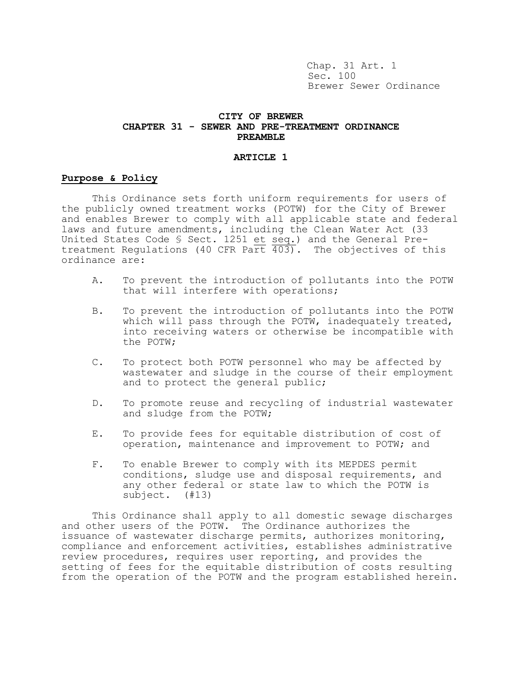Chap. 31 Art. 1 Sec. 100 Brewer Sewer Ordinance

## **CITY OF BREWER CHAPTER 31 - SEWER AND PRE-TREATMENT ORDINANCE PREAMBLE**

#### **ARTICLE 1**

# **Purpose & Policy**

This Ordinance sets forth uniform requirements for users of the publicly owned treatment works (POTW) for the City of Brewer and enables Brewer to comply with all applicable state and federal laws and future amendments, including the Clean Water Act (33 United States Code § Sect. 1251 et seq.) and the General Pretreatment Regulations (40 CFR Part  $\overline{403}$ ). The objectives of this ordinance are:

- A. To prevent the introduction of pollutants into the POTW that will interfere with operations;
- B. To prevent the introduction of pollutants into the POTW which will pass through the POTW, inadequately treated, into receiving waters or otherwise be incompatible with the POTW;
- C. To protect both POTW personnel who may be affected by wastewater and sludge in the course of their employment and to protect the general public;
- D. To promote reuse and recycling of industrial wastewater and sludge from the POTW;
- E. To provide fees for equitable distribution of cost of operation, maintenance and improvement to POTW; and
- F. To enable Brewer to comply with its MEPDES permit conditions, sludge use and disposal requirements, and any other federal or state law to which the POTW is subject. (#13)

This Ordinance shall apply to all domestic sewage discharges and other users of the POTW. The Ordinance authorizes the issuance of wastewater discharge permits, authorizes monitoring, compliance and enforcement activities, establishes administrative review procedures, requires user reporting, and provides the setting of fees for the equitable distribution of costs resulting from the operation of the POTW and the program established herein.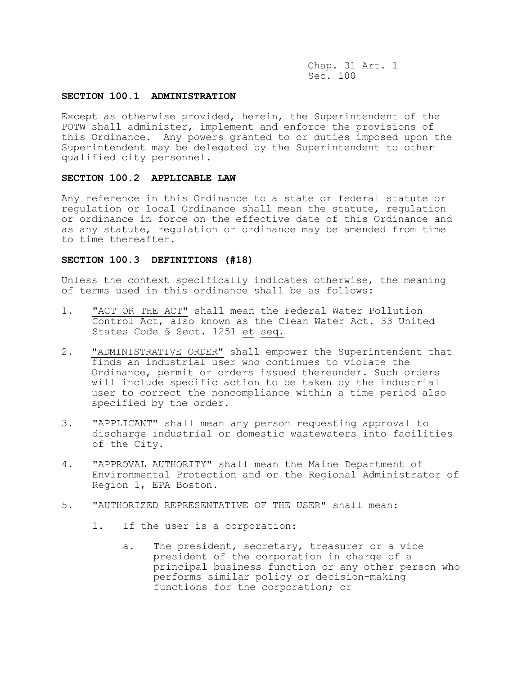# **SECTION 100.1 ADMINISTRATION**

Except as otherwise provided, herein, the Superintendent of the POTW shall administer, implement and enforce the provisions of this Ordinance. Any powers granted to or duties imposed upon the Superintendent may be delegated by the Superintendent to other qualified city personnel.

# **SECTION 100.2 APPLICABLE LAW**

Any reference in this Ordinance to a state or federal statute or regulation or local Ordinance shall mean the statute, regulation or ordinance in force on the effective date of this Ordinance and as any statute, regulation or ordinance may be amended from time to time thereafter.

## **SECTION 100.3 DEFINITIONS (#18)**

Unless the context specifically indicates otherwise, the meaning of terms used in this ordinance shall be as follows:

- 1. "ACT OR THE ACT" shall mean the Federal Water Pollution Control Act, also known as the Clean Water Act. 33 United States Code § Sect. 1251 et seq.
- 2. "ADMINISTRATIVE ORDER" shall empower the Superintendent that finds an industrial user who continues to violate the Ordinance, permit or orders issued thereunder. Such orders will include specific action to be taken by the industrial user to correct the noncompliance within a time period also specified by the order.
- 3. "APPLICANT" shall mean any person requesting approval to discharge industrial or domestic wastewaters into facilities of the City.
- 4. "APPROVAL AUTHORITY" shall mean the Maine Department of Environmental Protection and or the Regional Administrator of Region 1, EPA Boston.
- 5. "AUTHORIZED REPRESENTATIVE OF THE USER" shall mean:
	- 1. If the user is a corporation:
		- a. The president, secretary, treasurer or a vice president of the corporation in charge of a principal business function or any other person who performs similar policy or decision-making functions for the corporation; or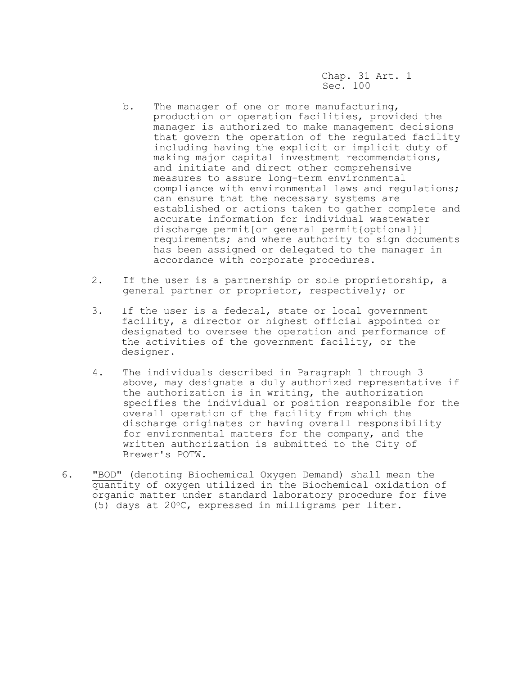- b. The manager of one or more manufacturing, production or operation facilities, provided the manager is authorized to make management decisions that govern the operation of the regulated facility including having the explicit or implicit duty of making major capital investment recommendations, and initiate and direct other comprehensive measures to assure long-term environmental compliance with environmental laws and regulations; can ensure that the necessary systems are established or actions taken to gather complete and accurate information for individual wastewater discharge permit[or general permit{optional}] requirements; and where authority to sign documents has been assigned or delegated to the manager in accordance with corporate procedures.
- 2. If the user is a partnership or sole proprietorship, a general partner or proprietor, respectively; or
- 3. If the user is a federal, state or local government facility, a director or highest official appointed or designated to oversee the operation and performance of the activities of the government facility, or the designer.
- 4. The individuals described in Paragraph 1 through 3 above, may designate a duly authorized representative if the authorization is in writing, the authorization specifies the individual or position responsible for the overall operation of the facility from which the discharge originates or having overall responsibility for environmental matters for the company, and the written authorization is submitted to the City of Brewer's POTW.
- 6. "BOD" (denoting Biochemical Oxygen Demand) shall mean the quantity of oxygen utilized in the Biochemical oxidation of organic matter under standard laboratory procedure for five (5) days at  $20^{\circ}$ C, expressed in milligrams per liter.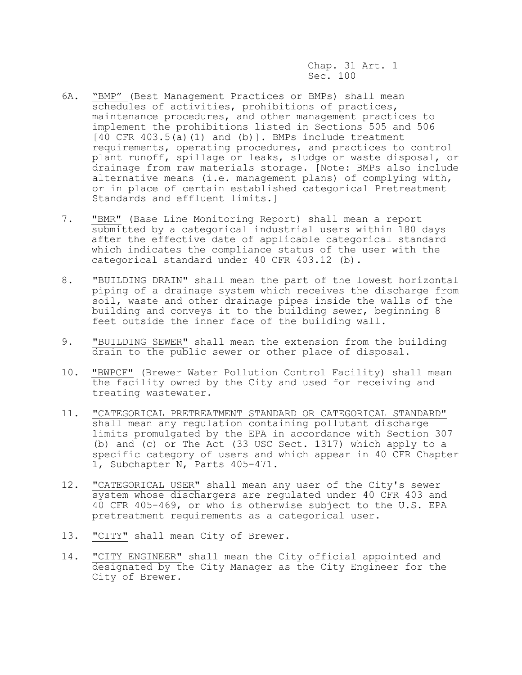- 6A. "BMP" (Best Management Practices or BMPs) shall mean schedules of activities, prohibitions of practices, maintenance procedures, and other management practices to implement the prohibitions listed in Sections 505 and 506  $[40$  CFR  $403.5(a)$  (1) and (b)]. BMPs include treatment requirements, operating procedures, and practices to control plant runoff, spillage or leaks, sludge or waste disposal, or drainage from raw materials storage. [Note: BMPs also include alternative means (i.e. management plans) of complying with, or in place of certain established categorical Pretreatment Standards and effluent limits.]
- 7. "BMR" (Base Line Monitoring Report) shall mean a report submitted by a categorical industrial users within 180 days after the effective date of applicable categorical standard which indicates the compliance status of the user with the categorical standard under 40 CFR 403.12 (b).
- 8. "BUILDING DRAIN" shall mean the part of the lowest horizontal piping of a drainage system which receives the discharge from soil, waste and other drainage pipes inside the walls of the building and conveys it to the building sewer, beginning 8 feet outside the inner face of the building wall.
- 9. "BUILDING SEWER" shall mean the extension from the building drain to the public sewer or other place of disposal.
- 10. "BWPCF" (Brewer Water Pollution Control Facility) shall mean the facility owned by the City and used for receiving and treating wastewater.
- 11. "CATEGORICAL PRETREATMENT STANDARD OR CATEGORICAL STANDARD" shall mean any regulation containing pollutant discharge limits promulgated by the EPA in accordance with Section 307 (b) and (c) or The Act (33 USC Sect. 1317) which apply to a specific category of users and which appear in 40 CFR Chapter 1, Subchapter N, Parts 405-471.
- 12. "CATEGORICAL USER" shall mean any user of the City's sewer system whose dischargers are regulated under 40 CFR 403 and 40 CFR 405-469, or who is otherwise subject to the U.S. EPA pretreatment requirements as a categorical user.
- 13. "CITY" shall mean City of Brewer.
- 14. "CITY ENGINEER" shall mean the City official appointed and designated by the City Manager as the City Engineer for the City of Brewer.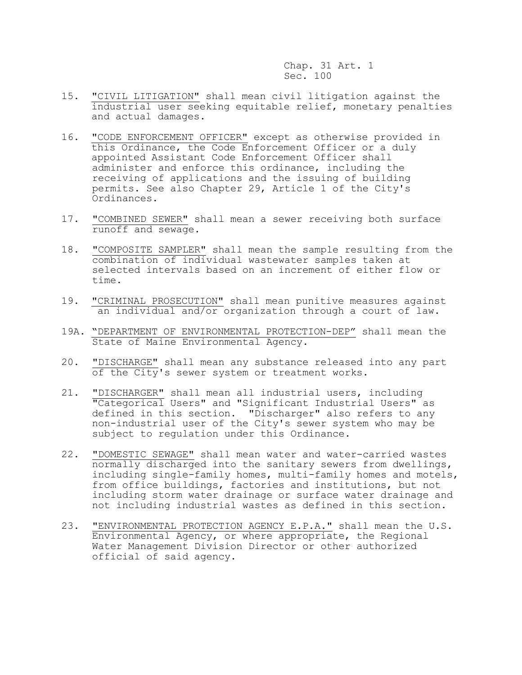- 15. "CIVIL LITIGATION" shall mean civil litigation against the industrial user seeking equitable relief, monetary penalties and actual damages.
- 16. "CODE ENFORCEMENT OFFICER" except as otherwise provided in this Ordinance, the Code Enforcement Officer or a duly appointed Assistant Code Enforcement Officer shall administer and enforce this ordinance, including the receiving of applications and the issuing of building permits. See also Chapter 29, Article 1 of the City's Ordinances.
- 17. "COMBINED SEWER" shall mean a sewer receiving both surface runoff and sewage.
- 18. "COMPOSITE SAMPLER" shall mean the sample resulting from the combination of individual wastewater samples taken at selected intervals based on an increment of either flow or time.
- 19. "CRIMINAL PROSECUTION" shall mean punitive measures against an individual and/or organization through a court of law.
- 19A. "DEPARTMENT OF ENVIRONMENTAL PROTECTION-DEP" shall mean the State of Maine Environmental Agency.
- 20. "DISCHARGE" shall mean any substance released into any part of the City's sewer system or treatment works.
- 21. "DISCHARGER" shall mean all industrial users, including "Categorical Users" and "Significant Industrial Users" as defined in this section. "Discharger" also refers to any non-industrial user of the City's sewer system who may be subject to regulation under this Ordinance.
- 22. "DOMESTIC SEWAGE" shall mean water and water-carried wastes normally discharged into the sanitary sewers from dwellings, including single-family homes, multi-family homes and motels, from office buildings, factories and institutions, but not including storm water drainage or surface water drainage and not including industrial wastes as defined in this section.
- 23. "ENVIRONMENTAL PROTECTION AGENCY E.P.A." shall mean the U.S. Environmental Agency, or where appropriate, the Regional Water Management Division Director or other authorized official of said agency.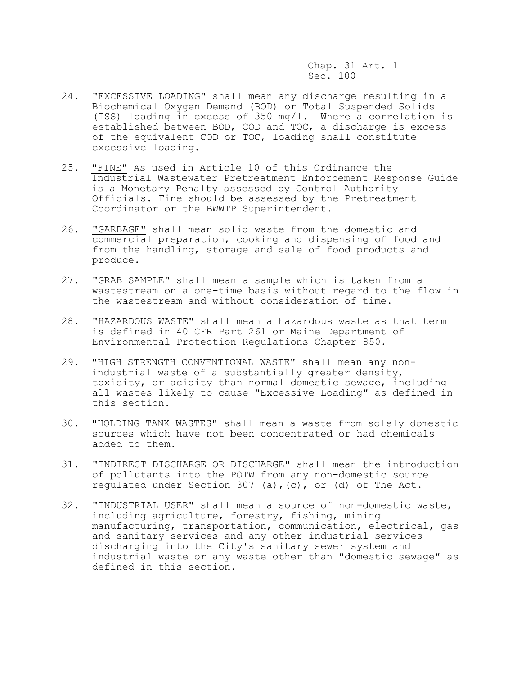- 24. "EXCESSIVE LOADING" shall mean any discharge resulting in a Biochemical Oxygen Demand (BOD) or Total Suspended Solids (TSS) loading in excess of 350 mg/l. Where a correlation is established between BOD, COD and TOC, a discharge is excess of the equivalent COD or TOC, loading shall constitute excessive loading.
- 25. "FINE" As used in Article 10 of this Ordinance the Industrial Wastewater Pretreatment Enforcement Response Guide is a Monetary Penalty assessed by Control Authority Officials. Fine should be assessed by the Pretreatment Coordinator or the BWWTP Superintendent.
- 26. "GARBAGE" shall mean solid waste from the domestic and commercial preparation, cooking and dispensing of food and from the handling, storage and sale of food products and produce.
- 27. "GRAB SAMPLE" shall mean a sample which is taken from a wastestream on a one-time basis without regard to the flow in the wastestream and without consideration of time.
- 28. "HAZARDOUS WASTE" shall mean a hazardous waste as that term is defined in 40 CFR Part 261 or Maine Department of Environmental Protection Regulations Chapter 850.
- 29. "HIGH STRENGTH CONVENTIONAL WASTE" shall mean any non industrial waste of a substantially greater density, toxicity, or acidity than normal domestic sewage, including all wastes likely to cause "Excessive Loading" as defined in this section.
- 30. "HOLDING TANK WASTES" shall mean a waste from solely domestic sources which have not been concentrated or had chemicals added to them.
- 31. "INDIRECT DISCHARGE OR DISCHARGE" shall mean the introduction of pollutants into the POTW from any non-domestic source regulated under Section 307 (a),(c), or (d) of The Act.
- 32. "INDUSTRIAL USER" shall mean a source of non-domestic waste, including agriculture, forestry, fishing, mining manufacturing, transportation, communication, electrical, gas and sanitary services and any other industrial services discharging into the City's sanitary sewer system and industrial waste or any waste other than "domestic sewage" as defined in this section.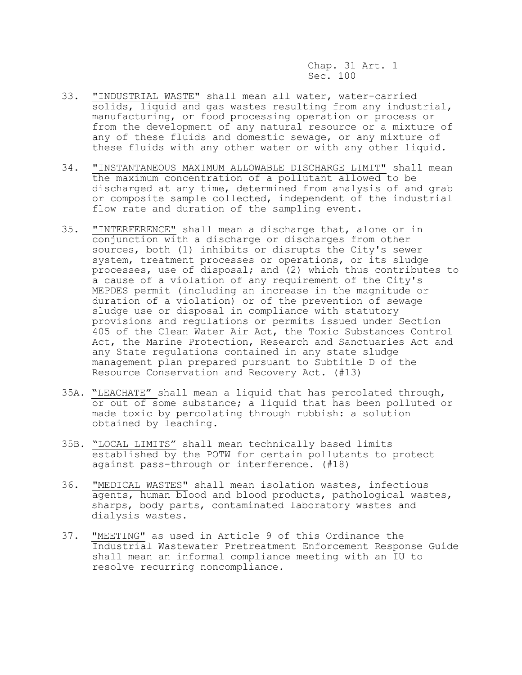- 33. "INDUSTRIAL WASTE" shall mean all water, water-carried solids, liquid and gas wastes resulting from any industrial, manufacturing, or food processing operation or process or from the development of any natural resource or a mixture of any of these fluids and domestic sewage, or any mixture of these fluids with any other water or with any other liquid.
- 34. "INSTANTANEOUS MAXIMUM ALLOWABLE DISCHARGE LIMIT" shall mean the maximum concentration of a pollutant allowed to be discharged at any time, determined from analysis of and grab or composite sample collected, independent of the industrial flow rate and duration of the sampling event.
- 35. "INTERFERENCE" shall mean a discharge that, alone or in conjunction with a discharge or discharges from other sources, both (1) inhibits or disrupts the City's sewer system, treatment processes or operations, or its sludge processes, use of disposal; and (2) which thus contributes to a cause of a violation of any requirement of the City's MEPDES permit (including an increase in the magnitude or duration of a violation) or of the prevention of sewage sludge use or disposal in compliance with statutory provisions and regulations or permits issued under Section 405 of the Clean Water Air Act, the Toxic Substances Control Act, the Marine Protection, Research and Sanctuaries Act and any State regulations contained in any state sludge management plan prepared pursuant to Subtitle D of the Resource Conservation and Recovery Act. (#13)
- 35A. "LEACHATE" shall mean a liquid that has percolated through, or out of some substance; a liquid that has been polluted or made toxic by percolating through rubbish: a solution obtained by leaching.
- 35B. "LOCAL LIMITS" shall mean technically based limits established by the POTW for certain pollutants to protect against pass-through or interference. (#18)
- 36. "MEDICAL WASTES" shall mean isolation wastes, infectious agents, human blood and blood products, pathological wastes, sharps, body parts, contaminated laboratory wastes and dialysis wastes.
- 37. "MEETING" as used in Article 9 of this Ordinance the Industrial Wastewater Pretreatment Enforcement Response Guide shall mean an informal compliance meeting with an IU to resolve recurring noncompliance.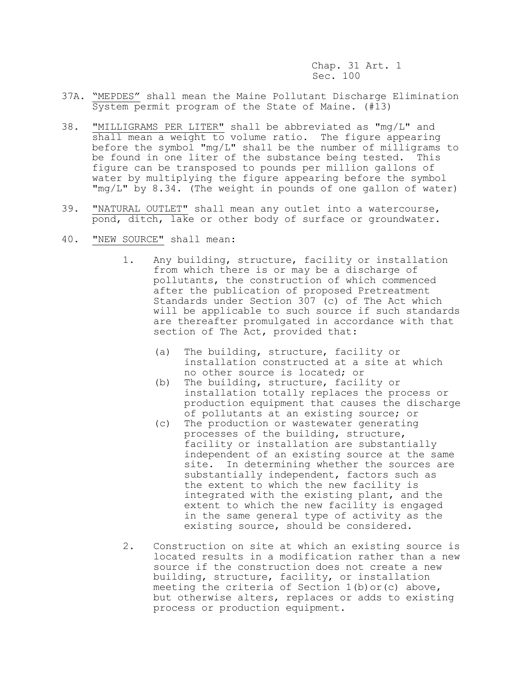- 37A. "MEPDES" shall mean the Maine Pollutant Discharge Elimination System permit program of the State of Maine. (#13)
- 38. "MILLIGRAMS PER LITER" shall be abbreviated as "mg/L" and shall mean a weight to volume ratio. The figure appearing before the symbol "mg/L" shall be the number of milligrams to be found in one liter of the substance being tested. This figure can be transposed to pounds per million gallons of water by multiplying the figure appearing before the symbol "mg/L" by 8.34. (The weight in pounds of one gallon of water)
- 39. "NATURAL OUTLET" shall mean any outlet into a watercourse, pond, ditch, lake or other body of surface or groundwater.
- 40. "NEW SOURCE" shall mean:
	- 1. Any building, structure, facility or installation from which there is or may be a discharge of pollutants, the construction of which commenced after the publication of proposed Pretreatment Standards under Section 307 (c) of The Act which will be applicable to such source if such standards are thereafter promulgated in accordance with that section of The Act, provided that:
		- (a) The building, structure, facility or installation constructed at a site at which no other source is located; or
		- (b) The building, structure, facility or installation totally replaces the process or production equipment that causes the discharge of pollutants at an existing source; or
		- (c) The production or wastewater generating processes of the building, structure, facility or installation are substantially independent of an existing source at the same site. In determining whether the sources are substantially independent, factors such as the extent to which the new facility is integrated with the existing plant, and the extent to which the new facility is engaged in the same general type of activity as the existing source, should be considered.
	- 2. Construction on site at which an existing source is located results in a modification rather than a new source if the construction does not create a new building, structure, facility, or installation meeting the criteria of Section 1(b)or(c) above, but otherwise alters, replaces or adds to existing process or production equipment.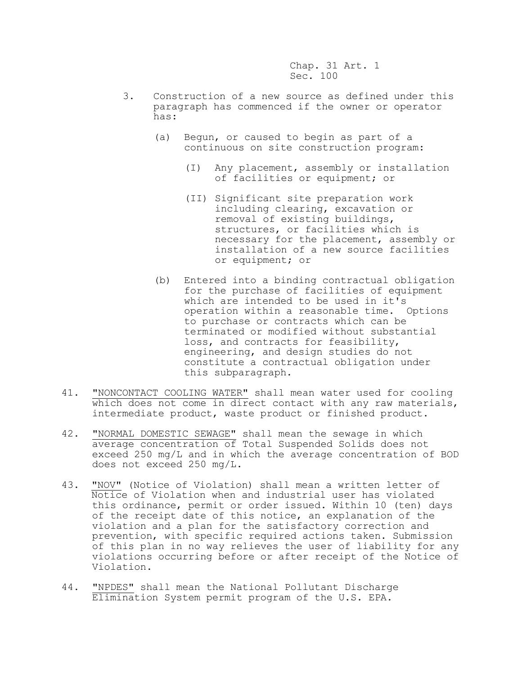- 3. Construction of a new source as defined under this paragraph has commenced if the owner or operator has:
	- (a) Begun, or caused to begin as part of a continuous on site construction program:
		- (I) Any placement, assembly or installation of facilities or equipment; or
		- (II) Significant site preparation work including clearing, excavation or removal of existing buildings, structures, or facilities which is necessary for the placement, assembly or installation of a new source facilities or equipment; or
	- (b) Entered into a binding contractual obligation for the purchase of facilities of equipment which are intended to be used in it's operation within a reasonable time. Options to purchase or contracts which can be terminated or modified without substantial loss, and contracts for feasibility, engineering, and design studies do not constitute a contractual obligation under this subparagraph.
- 41. "NONCONTACT COOLING WATER" shall mean water used for cooling which does not come in direct contact with any raw materials, intermediate product, waste product or finished product.
- 42. "NORMAL DOMESTIC SEWAGE" shall mean the sewage in which average concentration of Total Suspended Solids does not exceed 250 mg/L and in which the average concentration of BOD does not exceed 250 mg/L.
- 43. "NOV" (Notice of Violation) shall mean a written letter of Notice of Violation when and industrial user has violated this ordinance, permit or order issued. Within 10 (ten) days of the receipt date of this notice, an explanation of the violation and a plan for the satisfactory correction and prevention, with specific required actions taken. Submission of this plan in no way relieves the user of liability for any violations occurring before or after receipt of the Notice of Violation.
- 44. "NPDES" shall mean the National Pollutant Discharge Elimination System permit program of the U.S. EPA.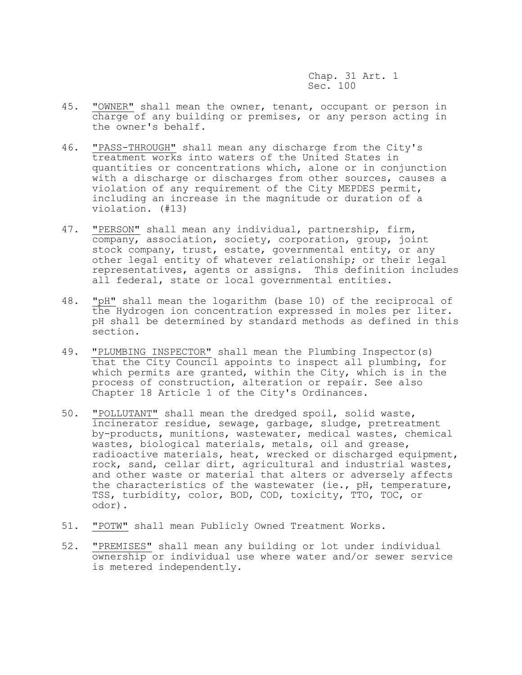- 45. "OWNER" shall mean the owner, tenant, occupant or person in charge of any building or premises, or any person acting in the owner's behalf.
- 46. "PASS-THROUGH" shall mean any discharge from the City's treatment works into waters of the United States in quantities or concentrations which, alone or in conjunction with a discharge or discharges from other sources, causes a violation of any requirement of the City MEPDES permit, including an increase in the magnitude or duration of a violation. (#13)
- 47. "PERSON" shall mean any individual, partnership, firm, company, association, society, corporation, group, joint stock company, trust, estate, governmental entity, or any other legal entity of whatever relationship; or their legal representatives, agents or assigns. This definition includes all federal, state or local governmental entities.
- 48. "pH" shall mean the logarithm (base 10) of the reciprocal of the Hydrogen ion concentration expressed in moles per liter. pH shall be determined by standard methods as defined in this section.
- 49. "PLUMBING INSPECTOR" shall mean the Plumbing Inspector(s) that the City Council appoints to inspect all plumbing, for which permits are granted, within the City, which is in the process of construction, alteration or repair. See also Chapter 18 Article 1 of the City's Ordinances.
- 50. "POLLUTANT" shall mean the dredged spoil, solid waste, incinerator residue, sewage, garbage, sludge, pretreatment by-products, munitions, wastewater, medical wastes, chemical wastes, biological materials, metals, oil and grease, radioactive materials, heat, wrecked or discharged equipment, rock, sand, cellar dirt, agricultural and industrial wastes, and other waste or material that alters or adversely affects the characteristics of the wastewater (ie., pH, temperature, TSS, turbidity, color, BOD, COD, toxicity, TTO, TOC, or odor).
- 51. "POTW" shall mean Publicly Owned Treatment Works.
- 52. "PREMISES" shall mean any building or lot under individual ownership or individual use where water and/or sewer service is metered independently.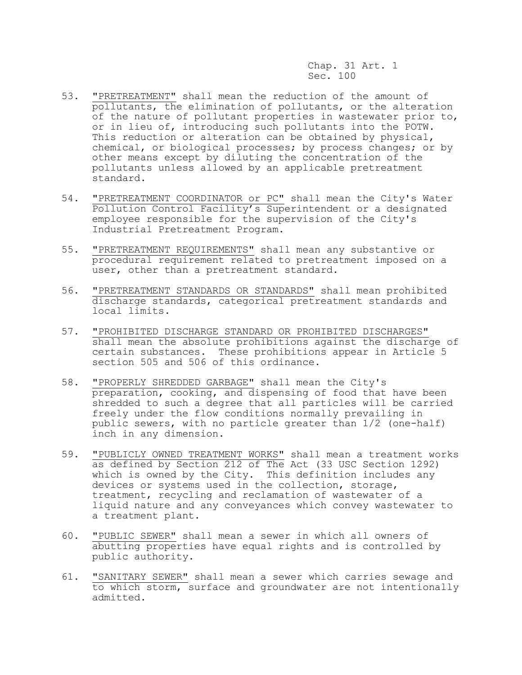- 53. "PRETREATMENT" shall mean the reduction of the amount of pollutants, the elimination of pollutants, or the alteration of the nature of pollutant properties in wastewater prior to, or in lieu of, introducing such pollutants into the POTW. This reduction or alteration can be obtained by physical, chemical, or biological processes; by process changes; or by other means except by diluting the concentration of the pollutants unless allowed by an applicable pretreatment standard.
- 54. "PRETREATMENT COORDINATOR or PC" shall mean the City's Water Pollution Control Facility's Superintendent or a designated employee responsible for the supervision of the City's Industrial Pretreatment Program.
- 55. "PRETREATMENT REQUIREMENTS" shall mean any substantive or procedural requirement related to pretreatment imposed on a user, other than a pretreatment standard.
- 56. "PRETREATMENT STANDARDS OR STANDARDS" shall mean prohibited discharge standards, categorical pretreatment standards and local limits.
- 57. "PROHIBITED DISCHARGE STANDARD OR PROHIBITED DISCHARGES" shall mean the absolute prohibitions against the discharge of certain substances. These prohibitions appear in Article 5 section 505 and 506 of this ordinance.
- 58. "PROPERLY SHREDDED GARBAGE" shall mean the City's preparation, cooking, and dispensing of food that have been shredded to such a degree that all particles will be carried freely under the flow conditions normally prevailing in public sewers, with no particle greater than 1/2 (one-half) inch in any dimension.
- 59. "PUBLICLY OWNED TREATMENT WORKS" shall mean a treatment works as defined by Section 212 of The Act (33 USC Section 1292) which is owned by the City. This definition includes any devices or systems used in the collection, storage, treatment, recycling and reclamation of wastewater of a liquid nature and any conveyances which convey wastewater to a treatment plant.
- 60. "PUBLIC SEWER" shall mean a sewer in which all owners of abutting properties have equal rights and is controlled by public authority.
- 61. "SANITARY SEWER" shall mean a sewer which carries sewage and to which storm, surface and groundwater are not intentionally admitted.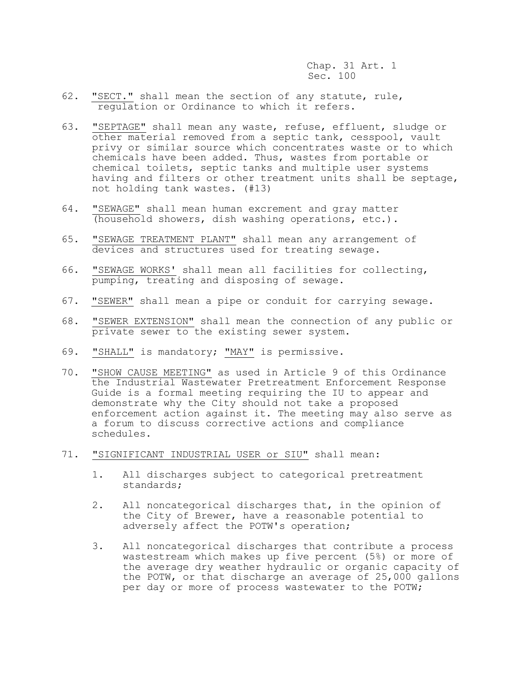- 62. "SECT." shall mean the section of any statute, rule, regulation or Ordinance to which it refers.
- 63. "SEPTAGE" shall mean any waste, refuse, effluent, sludge or other material removed from a septic tank, cesspool, vault privy or similar source which concentrates waste or to which chemicals have been added. Thus, wastes from portable or chemical toilets, septic tanks and multiple user systems having and filters or other treatment units shall be septage, not holding tank wastes. (#13)
- 64. "SEWAGE" shall mean human excrement and gray matter (household showers, dish washing operations, etc.).
- 65. "SEWAGE TREATMENT PLANT" shall mean any arrangement of devices and structures used for treating sewage.
- 66. "SEWAGE WORKS' shall mean all facilities for collecting, pumping, treating and disposing of sewage.
- 67. "SEWER" shall mean a pipe or conduit for carrying sewage.
- 68. "SEWER EXTENSION" shall mean the connection of any public or private sewer to the existing sewer system.
- 69. "SHALL" is mandatory; "MAY" is permissive.
- 70. "SHOW CAUSE MEETING" as used in Article 9 of this Ordinance the Industrial Wastewater Pretreatment Enforcement Response Guide is a formal meeting requiring the IU to appear and demonstrate why the City should not take a proposed enforcement action against it. The meeting may also serve as a forum to discuss corrective actions and compliance schedules.
- 71. "SIGNIFICANT INDUSTRIAL USER or SIU" shall mean:
	- 1. All discharges subject to categorical pretreatment standards;
	- 2. All noncategorical discharges that, in the opinion of the City of Brewer, have a reasonable potential to adversely affect the POTW's operation;
	- 3. All noncategorical discharges that contribute a process wastestream which makes up five percent (5%) or more of the average dry weather hydraulic or organic capacity of the POTW, or that discharge an average of 25,000 gallons per day or more of process wastewater to the POTW;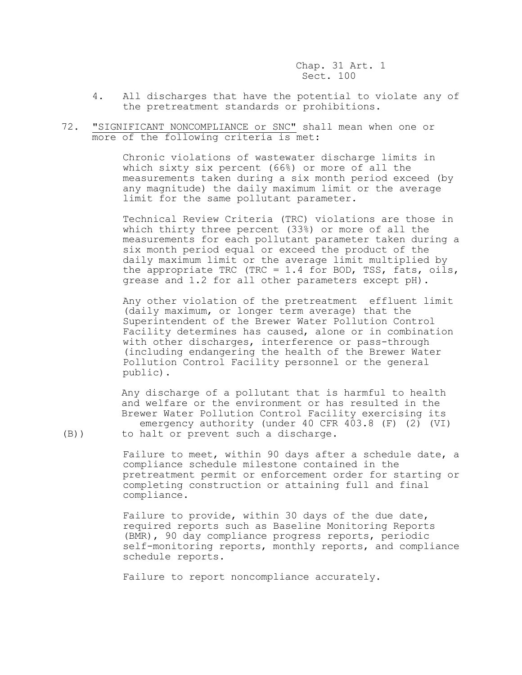- 4. All discharges that have the potential to violate any of the pretreatment standards or prohibitions.
- 72. "SIGNIFICANT NONCOMPLIANCE or SNC" shall mean when one or more of the following criteria is met:

Chronic violations of wastewater discharge limits in which sixty six percent (66%) or more of all the measurements taken during a six month period exceed (by any magnitude) the daily maximum limit or the average limit for the same pollutant parameter.

Technical Review Criteria (TRC) violations are those in which thirty three percent (33%) or more of all the measurements for each pollutant parameter taken during a six month period equal or exceed the product of the daily maximum limit or the average limit multiplied by the appropriate TRC (TRC = 1.4 for BOD, TSS, fats, oils, grease and 1.2 for all other parameters except pH).

Any other violation of the pretreatment effluent limit (daily maximum, or longer term average) that the Superintendent of the Brewer Water Pollution Control Facility determines has caused, alone or in combination with other discharges, interference or pass-through (including endangering the health of the Brewer Water Pollution Control Facility personnel or the general public).

 Any discharge of a pollutant that is harmful to health and welfare or the environment or has resulted in the Brewer Water Pollution Control Facility exercising its emergency authority (under 40 CFR 403.8 (F) (2) (VI) (B)) to halt or prevent such a discharge.

> Failure to meet, within 90 days after a schedule date, a compliance schedule milestone contained in the pretreatment permit or enforcement order for starting or completing construction or attaining full and final

Failure to provide, within 30 days of the due date, required reports such as Baseline Monitoring Reports (BMR), 90 day compliance progress reports, periodic self-monitoring reports, monthly reports, and compliance schedule reports.

Failure to report noncompliance accurately.

compliance.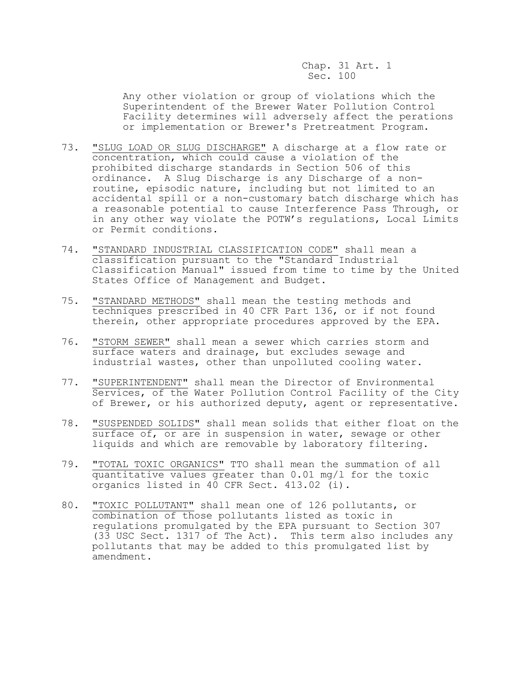Any other violation or group of violations which the Superintendent of the Brewer Water Pollution Control Facility determines will adversely affect the perations or implementation or Brewer's Pretreatment Program.

- 73. "SLUG LOAD OR SLUG DISCHARGE" A discharge at a flow rate or concentration, which could cause a violation of the prohibited discharge standards in Section 506 of this ordinance. A Slug Discharge is any Discharge of a nonroutine, episodic nature, including but not limited to an accidental spill or a non-customary batch discharge which has a reasonable potential to cause Interference Pass Through, or in any other way violate the POTW's regulations, Local Limits or Permit conditions.
- 74. "STANDARD INDUSTRIAL CLASSIFICATION CODE" shall mean a classification pursuant to the "Standard Industrial Classification Manual" issued from time to time by the United States Office of Management and Budget.
- 75. "STANDARD METHODS" shall mean the testing methods and techniques prescribed in 40 CFR Part 136, or if not found therein, other appropriate procedures approved by the EPA.
- 76. "STORM SEWER" shall mean a sewer which carries storm and surface waters and drainage, but excludes sewage and industrial wastes, other than unpolluted cooling water.
- 77. "SUPERINTENDENT" shall mean the Director of Environmental Services, of the Water Pollution Control Facility of the City of Brewer, or his authorized deputy, agent or representative.
- 78. "SUSPENDED SOLIDS" shall mean solids that either float on the surface of, or are in suspension in water, sewage or other liquids and which are removable by laboratory filtering.
- 79. "TOTAL TOXIC ORGANICS" TTO shall mean the summation of all quantitative values greater than 0.01 mg/l for the toxic organics listed in 40 CFR Sect. 413.02 (i).
- 80. "TOXIC POLLUTANT" shall mean one of 126 pollutants, or combination of those pollutants listed as toxic in regulations promulgated by the EPA pursuant to Section 307 (33 USC Sect. 1317 of The Act). This term also includes any pollutants that may be added to this promulgated list by amendment.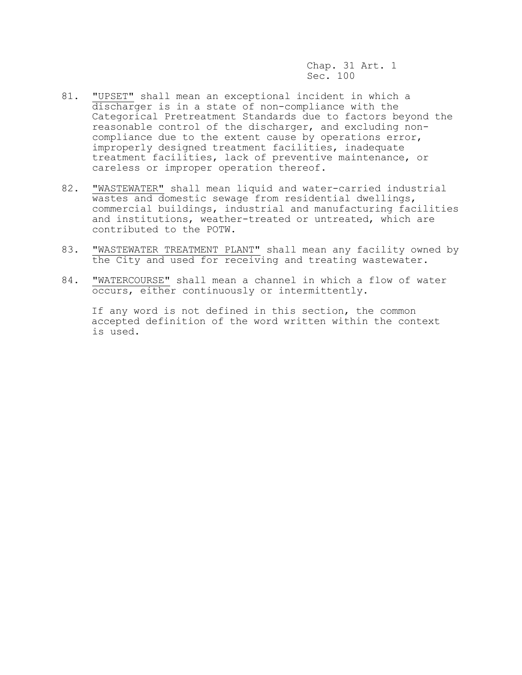- 81. "UPSET" shall mean an exceptional incident in which a discharger is in a state of non-compliance with the Categorical Pretreatment Standards due to factors beyond the reasonable control of the discharger, and excluding noncompliance due to the extent cause by operations error, improperly designed treatment facilities, inadequate treatment facilities, lack of preventive maintenance, or careless or improper operation thereof.
- 82. "WASTEWATER" shall mean liquid and water-carried industrial wastes and domestic sewage from residential dwellings, commercial buildings, industrial and manufacturing facilities and institutions, weather-treated or untreated, which are contributed to the POTW.
- 83. "WASTEWATER TREATMENT PLANT" shall mean any facility owned by the City and used for receiving and treating wastewater.
- 84. "WATERCOURSE" shall mean a channel in which a flow of water occurs, either continuously or intermittently.

 If any word is not defined in this section, the common accepted definition of the word written within the context is used.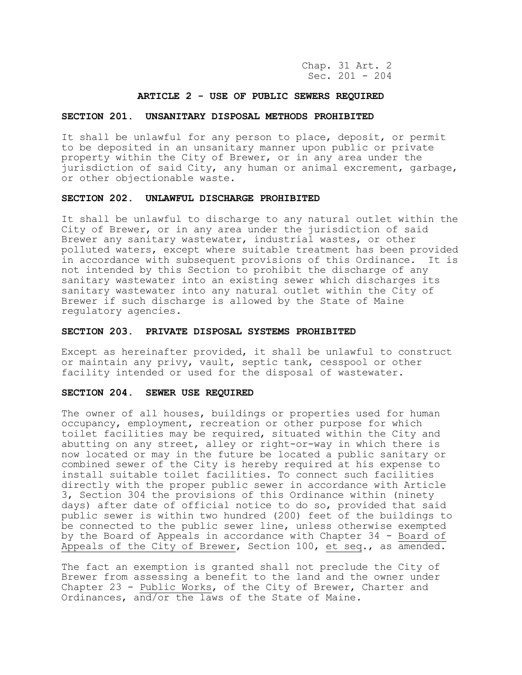Chap. 31 Art. 2 Sec. 201 - 204

## **ARTICLE 2 - USE OF PUBLIC SEWERS REQUIRED**

### **SECTION 201. UNSANITARY DISPOSAL METHODS PROHIBITED**

It shall be unlawful for any person to place, deposit, or permit to be deposited in an unsanitary manner upon public or private property within the City of Brewer, or in any area under the jurisdiction of said City, any human or animal excrement, garbage, or other objectionable waste.

### **SECTION 202. UNLAWFUL DISCHARGE PROHIBITED**

It shall be unlawful to discharge to any natural outlet within the City of Brewer, or in any area under the jurisdiction of said Brewer any sanitary wastewater, industrial wastes, or other polluted waters, except where suitable treatment has been provided in accordance with subsequent provisions of this Ordinance. It is not intended by this Section to prohibit the discharge of any sanitary wastewater into an existing sewer which discharges its sanitary wastewater into any natural outlet within the City of Brewer if such discharge is allowed by the State of Maine regulatory agencies.

### **SECTION 203. PRIVATE DISPOSAL SYSTEMS PROHIBITED**

Except as hereinafter provided, it shall be unlawful to construct or maintain any privy, vault, septic tank, cesspool or other facility intended or used for the disposal of wastewater.

### **SECTION 204. SEWER USE REQUIRED**

The owner of all houses, buildings or properties used for human occupancy, employment, recreation or other purpose for which toilet facilities may be required, situated within the City and abutting on any street, alley or right-or-way in which there is now located or may in the future be located a public sanitary or combined sewer of the City is hereby required at his expense to install suitable toilet facilities. To connect such facilities directly with the proper public sewer in accordance with Article 3, Section 304 the provisions of this Ordinance within (ninety days) after date of official notice to do so, provided that said public sewer is within two hundred (200) feet of the buildings to be connected to the public sewer line, unless otherwise exempted by the Board of Appeals in accordance with Chapter 34 - Board of Appeals of the City of Brewer, Section 100, et seq., as amended.

The fact an exemption is granted shall not preclude the City of Brewer from assessing a benefit to the land and the owner under Chapter 23 - Public Works, of the City of Brewer, Charter and Ordinances, and/or the laws of the State of Maine.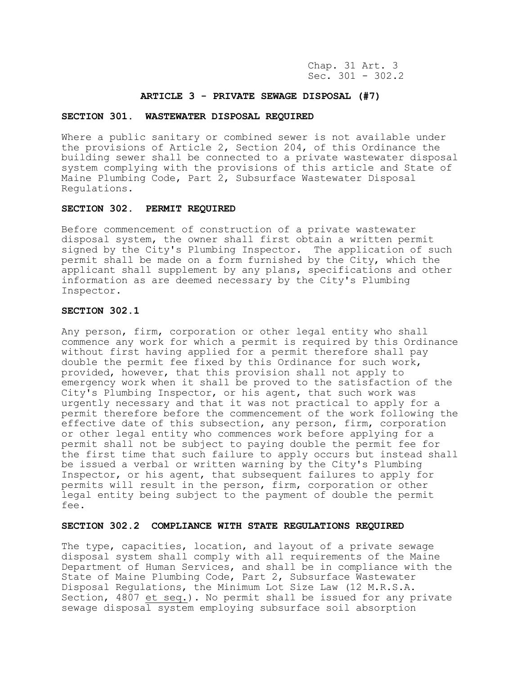Chap. 31 Art. 3 Sec.  $301 - 302.2$ 

## **ARTICLE 3 - PRIVATE SEWAGE DISPOSAL (#7)**

### **SECTION 301. WASTEWATER DISPOSAL REQUIRED**

Where a public sanitary or combined sewer is not available under the provisions of Article 2, Section 204, of this Ordinance the building sewer shall be connected to a private wastewater disposal system complying with the provisions of this article and State of Maine Plumbing Code, Part 2, Subsurface Wastewater Disposal Regulations.

## **SECTION 302. PERMIT REQUIRED**

Before commencement of construction of a private wastewater disposal system, the owner shall first obtain a written permit signed by the City's Plumbing Inspector. The application of such permit shall be made on a form furnished by the City, which the applicant shall supplement by any plans, specifications and other information as are deemed necessary by the City's Plumbing Inspector.

## **SECTION 302.1**

Any person, firm, corporation or other legal entity who shall commence any work for which a permit is required by this Ordinance without first having applied for a permit therefore shall pay double the permit fee fixed by this Ordinance for such work, provided, however, that this provision shall not apply to emergency work when it shall be proved to the satisfaction of the City's Plumbing Inspector, or his agent, that such work was urgently necessary and that it was not practical to apply for a permit therefore before the commencement of the work following the effective date of this subsection, any person, firm, corporation or other legal entity who commences work before applying for a permit shall not be subject to paying double the permit fee for the first time that such failure to apply occurs but instead shall be issued a verbal or written warning by the City's Plumbing Inspector, or his agent, that subsequent failures to apply for permits will result in the person, firm, corporation or other legal entity being subject to the payment of double the permit fee.

# **SECTION 302.2 COMPLIANCE WITH STATE REGULATIONS REQUIRED**

The type, capacities, location, and layout of a private sewage disposal system shall comply with all requirements of the Maine Department of Human Services, and shall be in compliance with the State of Maine Plumbing Code, Part 2, Subsurface Wastewater Disposal Regulations, the Minimum Lot Size Law (12 M.R.S.A. Section, 4807 et seq.). No permit shall be issued for any private sewage disposal system employing subsurface soil absorption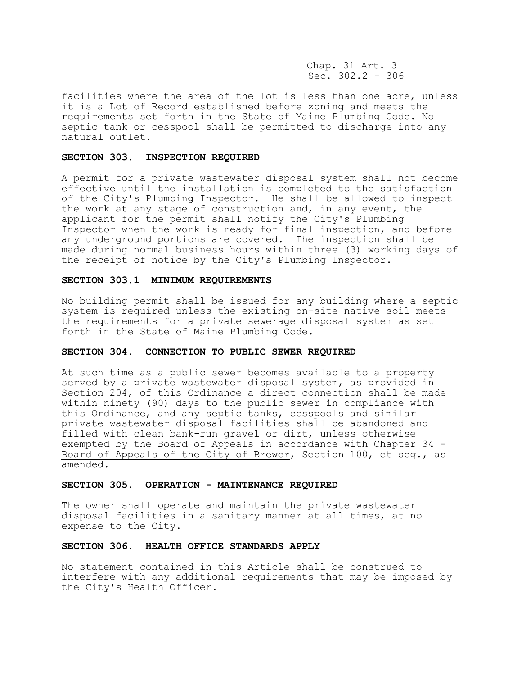Chap. 31 Art. 3 Sec. 302.2 - 306

facilities where the area of the lot is less than one acre, unless it is a Lot of Record established before zoning and meets the requirements set forth in the State of Maine Plumbing Code. No septic tank or cesspool shall be permitted to discharge into any natural outlet.

#### **SECTION 303. INSPECTION REQUIRED**

A permit for a private wastewater disposal system shall not become effective until the installation is completed to the satisfaction of the City's Plumbing Inspector. He shall be allowed to inspect the work at any stage of construction and, in any event, the applicant for the permit shall notify the City's Plumbing Inspector when the work is ready for final inspection, and before any underground portions are covered. The inspection shall be made during normal business hours within three (3) working days of the receipt of notice by the City's Plumbing Inspector.

### **SECTION 303.1 MINIMUM REQUIREMENTS**

No building permit shall be issued for any building where a septic system is required unless the existing on-site native soil meets the requirements for a private sewerage disposal system as set forth in the State of Maine Plumbing Code.

# **SECTION 304. CONNECTION TO PUBLIC SEWER REQUIRED**

At such time as a public sewer becomes available to a property served by a private wastewater disposal system, as provided in Section 204, of this Ordinance a direct connection shall be made within ninety (90) days to the public sewer in compliance with this Ordinance, and any septic tanks, cesspools and similar private wastewater disposal facilities shall be abandoned and filled with clean bank-run gravel or dirt, unless otherwise exempted by the Board of Appeals in accordance with Chapter 34 - Board of Appeals of the City of Brewer, Section 100, et seq., as amended.

## **SECTION 305. OPERATION - MAINTENANCE REQUIRED**

The owner shall operate and maintain the private wastewater disposal facilities in a sanitary manner at all times, at no expense to the City.

## **SECTION 306. HEALTH OFFICE STANDARDS APPLY**

No statement contained in this Article shall be construed to interfere with any additional requirements that may be imposed by the City's Health Officer.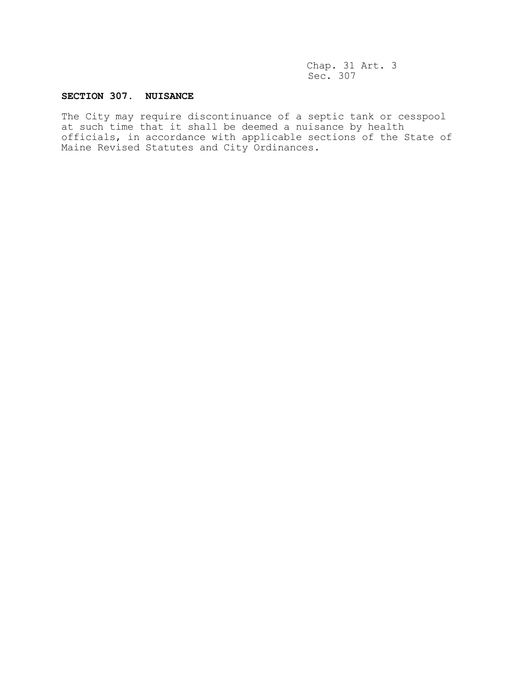# **SECTION 307. NUISANCE**

The City may require discontinuance of a septic tank or cesspool at such time that it shall be deemed a nuisance by health officials, in accordance with applicable sections of the State of Maine Revised Statutes and City Ordinances.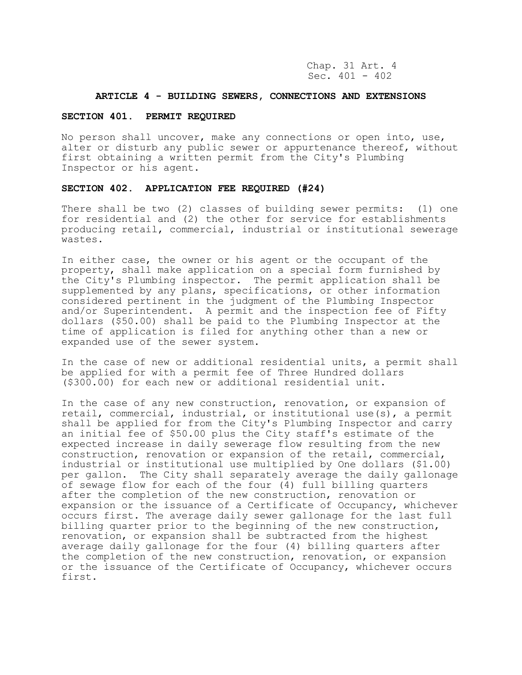Chap. 31 Art. 4 Sec. 401 - 402

## **ARTICLE 4 - BUILDING SEWERS, CONNECTIONS AND EXTENSIONS**

### **SECTION 401. PERMIT REQUIRED**

No person shall uncover, make any connections or open into, use, alter or disturb any public sewer or appurtenance thereof, without first obtaining a written permit from the City's Plumbing Inspector or his agent.

# **SECTION 402. APPLICATION FEE REQUIRED (#24)**

There shall be two (2) classes of building sewer permits: (1) one for residential and (2) the other for service for establishments producing retail, commercial, industrial or institutional sewerage wastes.

In either case, the owner or his agent or the occupant of the property, shall make application on a special form furnished by the City's Plumbing inspector. The permit application shall be supplemented by any plans, specifications, or other information considered pertinent in the judgment of the Plumbing Inspector and/or Superintendent. A permit and the inspection fee of Fifty dollars (\$50.00) shall be paid to the Plumbing Inspector at the time of application is filed for anything other than a new or expanded use of the sewer system.

In the case of new or additional residential units, a permit shall be applied for with a permit fee of Three Hundred dollars (\$300.00) for each new or additional residential unit.

In the case of any new construction, renovation, or expansion of retail, commercial, industrial, or institutional use(s), a permit shall be applied for from the City's Plumbing Inspector and carry an initial fee of \$50.00 plus the City staff's estimate of the expected increase in daily sewerage flow resulting from the new construction, renovation or expansion of the retail, commercial, industrial or institutional use multiplied by One dollars (\$1.00) per gallon. The City shall separately average the daily gallonage of sewage flow for each of the four (4) full billing quarters after the completion of the new construction, renovation or expansion or the issuance of a Certificate of Occupancy, whichever occurs first. The average daily sewer gallonage for the last full billing quarter prior to the beginning of the new construction, renovation, or expansion shall be subtracted from the highest average daily gallonage for the four (4) billing quarters after the completion of the new construction, renovation, or expansion or the issuance of the Certificate of Occupancy, whichever occurs first.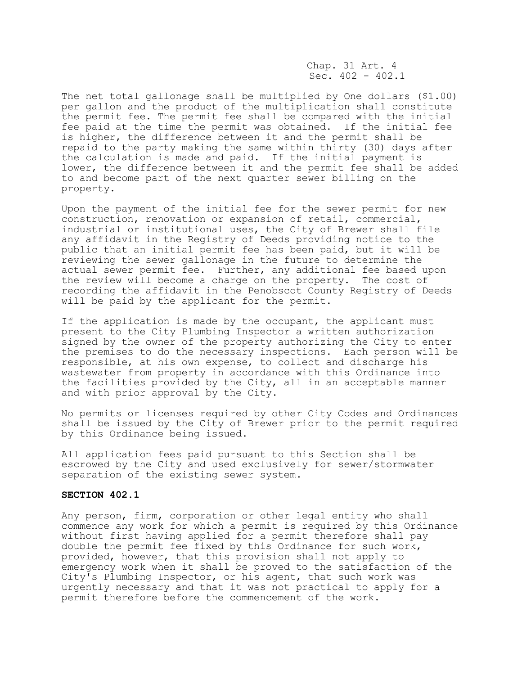Chap. 31 Art. 4 Sec. 402 - 402.1

The net total gallonage shall be multiplied by One dollars (\$1.00) per gallon and the product of the multiplication shall constitute the permit fee. The permit fee shall be compared with the initial fee paid at the time the permit was obtained. If the initial fee is higher, the difference between it and the permit shall be repaid to the party making the same within thirty (30) days after the calculation is made and paid. If the initial payment is lower, the difference between it and the permit fee shall be added to and become part of the next quarter sewer billing on the property.

Upon the payment of the initial fee for the sewer permit for new construction, renovation or expansion of retail, commercial, industrial or institutional uses, the City of Brewer shall file any affidavit in the Registry of Deeds providing notice to the public that an initial permit fee has been paid, but it will be reviewing the sewer gallonage in the future to determine the actual sewer permit fee. Further, any additional fee based upon the review will become a charge on the property. The cost of recording the affidavit in the Penobscot County Registry of Deeds will be paid by the applicant for the permit.

If the application is made by the occupant, the applicant must present to the City Plumbing Inspector a written authorization signed by the owner of the property authorizing the City to enter the premises to do the necessary inspections. Each person will be responsible, at his own expense, to collect and discharge his wastewater from property in accordance with this Ordinance into the facilities provided by the City, all in an acceptable manner and with prior approval by the City.

No permits or licenses required by other City Codes and Ordinances shall be issued by the City of Brewer prior to the permit required by this Ordinance being issued.

All application fees paid pursuant to this Section shall be escrowed by the City and used exclusively for sewer/stormwater separation of the existing sewer system.

## **SECTION 402.1**

Any person, firm, corporation or other legal entity who shall commence any work for which a permit is required by this Ordinance without first having applied for a permit therefore shall pay double the permit fee fixed by this Ordinance for such work, provided, however, that this provision shall not apply to emergency work when it shall be proved to the satisfaction of the City's Plumbing Inspector, or his agent, that such work was urgently necessary and that it was not practical to apply for a permit therefore before the commencement of the work.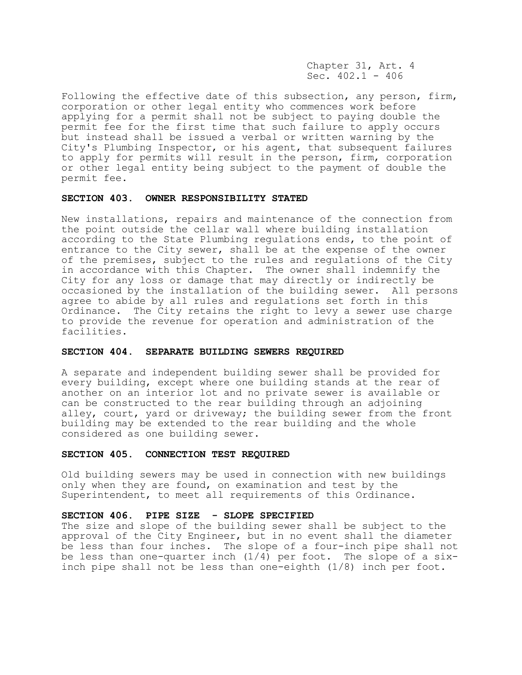Chapter 31, Art. 4 Sec.  $402.1 - 406$ 

Following the effective date of this subsection, any person, firm, corporation or other legal entity who commences work before applying for a permit shall not be subject to paying double the permit fee for the first time that such failure to apply occurs but instead shall be issued a verbal or written warning by the City's Plumbing Inspector, or his agent, that subsequent failures to apply for permits will result in the person, firm, corporation or other legal entity being subject to the payment of double the permit fee.

### **SECTION 403. OWNER RESPONSIBILITY STATED**

New installations, repairs and maintenance of the connection from the point outside the cellar wall where building installation according to the State Plumbing regulations ends, to the point of entrance to the City sewer, shall be at the expense of the owner of the premises, subject to the rules and regulations of the City in accordance with this Chapter. The owner shall indemnify the City for any loss or damage that may directly or indirectly be occasioned by the installation of the building sewer. All persons agree to abide by all rules and regulations set forth in this Ordinance. The City retains the right to levy a sewer use charge to provide the revenue for operation and administration of the facilities.

## **SECTION 404. SEPARATE BUILDING SEWERS REQUIRED**

A separate and independent building sewer shall be provided for every building, except where one building stands at the rear of another on an interior lot and no private sewer is available or can be constructed to the rear building through an adjoining alley, court, yard or driveway; the building sewer from the front building may be extended to the rear building and the whole considered as one building sewer.

## **SECTION 405. CONNECTION TEST REQUIRED**

Old building sewers may be used in connection with new buildings only when they are found, on examination and test by the Superintendent, to meet all requirements of this Ordinance.

## **SECTION 406. PIPE SIZE - SLOPE SPECIFIED**

The size and slope of the building sewer shall be subject to the approval of the City Engineer, but in no event shall the diameter be less than four inches. The slope of a four-inch pipe shall not be less than one-quarter inch  $(1/4)$  per foot. The slope of a sixinch pipe shall not be less than one-eighth (1/8) inch per foot.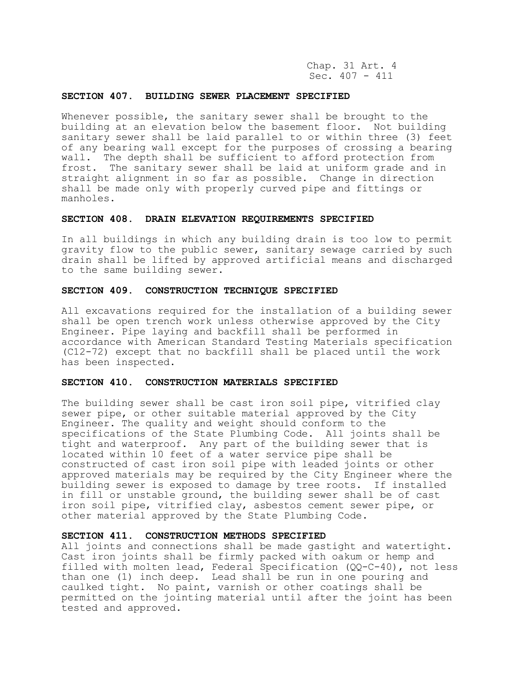Chap. 31 Art. 4 Sec. 407 - 411

## **SECTION 407. BUILDING SEWER PLACEMENT SPECIFIED**

Whenever possible, the sanitary sewer shall be brought to the building at an elevation below the basement floor. Not building sanitary sewer shall be laid parallel to or within three (3) feet of any bearing wall except for the purposes of crossing a bearing wall. The depth shall be sufficient to afford protection from frost. The sanitary sewer shall be laid at uniform grade and in straight alignment in so far as possible. Change in direction shall be made only with properly curved pipe and fittings or manholes.

## **SECTION 408. DRAIN ELEVATION REQUIREMENTS SPECIFIED**

In all buildings in which any building drain is too low to permit gravity flow to the public sewer, sanitary sewage carried by such drain shall be lifted by approved artificial means and discharged to the same building sewer.

## **SECTION 409. CONSTRUCTION TECHNIQUE SPECIFIED**

All excavations required for the installation of a building sewer shall be open trench work unless otherwise approved by the City Engineer. Pipe laying and backfill shall be performed in accordance with American Standard Testing Materials specification (C12-72) except that no backfill shall be placed until the work has been inspected.

#### **SECTION 410. CONSTRUCTION MATERIALS SPECIFIED**

The building sewer shall be cast iron soil pipe, vitrified clay sewer pipe, or other suitable material approved by the City Engineer. The quality and weight should conform to the specifications of the State Plumbing Code. All joints shall be tight and waterproof. Any part of the building sewer that is located within 10 feet of a water service pipe shall be constructed of cast iron soil pipe with leaded joints or other approved materials may be required by the City Engineer where the building sewer is exposed to damage by tree roots. If installed in fill or unstable ground, the building sewer shall be of cast iron soil pipe, vitrified clay, asbestos cement sewer pipe, or other material approved by the State Plumbing Code.

### **SECTION 411. CONSTRUCTION METHODS SPECIFIED**

All joints and connections shall be made gastight and watertight. Cast iron joints shall be firmly packed with oakum or hemp and filled with molten lead, Federal Specification  $(QQ-C-40)$ , not less than one (1) inch deep. Lead shall be run in one pouring and caulked tight. No paint, varnish or other coatings shall be permitted on the jointing material until after the joint has been tested and approved.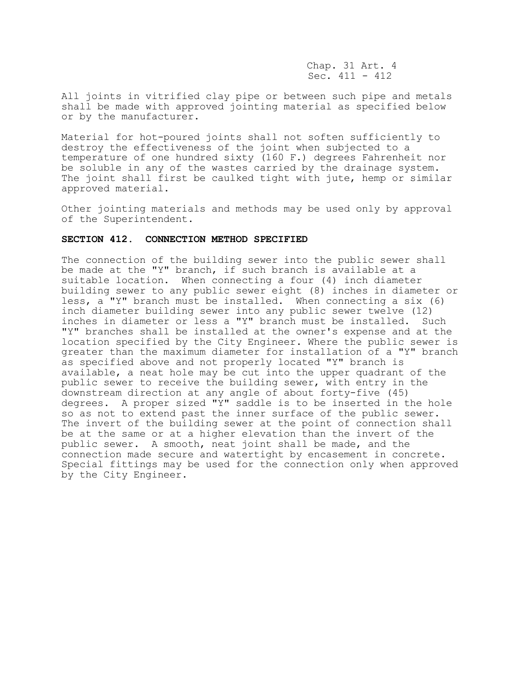Chap. 31 Art. 4 Sec. 411 - 412

All joints in vitrified clay pipe or between such pipe and metals shall be made with approved jointing material as specified below or by the manufacturer.

Material for hot-poured joints shall not soften sufficiently to destroy the effectiveness of the joint when subjected to a temperature of one hundred sixty (160 F.) degrees Fahrenheit nor be soluble in any of the wastes carried by the drainage system. The joint shall first be caulked tight with jute, hemp or similar approved material.

Other jointing materials and methods may be used only by approval of the Superintendent.

# **SECTION 412. CONNECTION METHOD SPECIFIED**

The connection of the building sewer into the public sewer shall be made at the "Y" branch, if such branch is available at a suitable location. When connecting a four (4) inch diameter building sewer to any public sewer eight (8) inches in diameter or less, a "Y" branch must be installed. When connecting a six (6) inch diameter building sewer into any public sewer twelve (12) inches in diameter or less a "Y" branch must be installed. Such "Y" branches shall be installed at the owner's expense and at the location specified by the City Engineer. Where the public sewer is greater than the maximum diameter for installation of a "Y" branch as specified above and not properly located "Y" branch is available, a neat hole may be cut into the upper quadrant of the public sewer to receive the building sewer, with entry in the downstream direction at any angle of about forty-five (45) degrees. A proper sized "Y" saddle is to be inserted in the hole so as not to extend past the inner surface of the public sewer. The invert of the building sewer at the point of connection shall be at the same or at a higher elevation than the invert of the public sewer. A smooth, neat joint shall be made, and the connection made secure and watertight by encasement in concrete. Special fittings may be used for the connection only when approved by the City Engineer.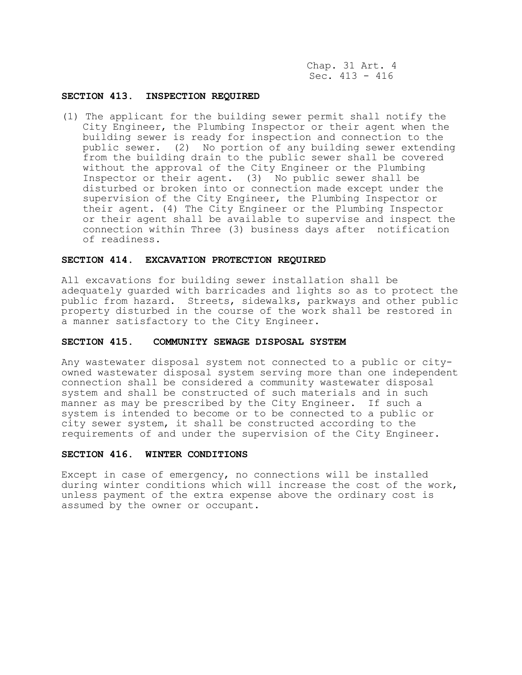Chap. 31 Art. 4 Sec. 413 - 416

## **SECTION 413. INSPECTION REQUIRED**

(1) The applicant for the building sewer permit shall notify the City Engineer, the Plumbing Inspector or their agent when the building sewer is ready for inspection and connection to the public sewer. (2) No portion of any building sewer extending from the building drain to the public sewer shall be covered without the approval of the City Engineer or the Plumbing Inspector or their agent. (3) No public sewer shall be disturbed or broken into or connection made except under the supervision of the City Engineer, the Plumbing Inspector or their agent. (4) The City Engineer or the Plumbing Inspector or their agent shall be available to supervise and inspect the connection within Three (3) business days after notification of readiness.

## **SECTION 414. EXCAVATION PROTECTION REQUIRED**

All excavations for building sewer installation shall be adequately guarded with barricades and lights so as to protect the public from hazard. Streets, sidewalks, parkways and other public property disturbed in the course of the work shall be restored in a manner satisfactory to the City Engineer.

### **SECTION 415. COMMUNITY SEWAGE DISPOSAL SYSTEM**

Any wastewater disposal system not connected to a public or cityowned wastewater disposal system serving more than one independent connection shall be considered a community wastewater disposal system and shall be constructed of such materials and in such manner as may be prescribed by the City Engineer. If such a system is intended to become or to be connected to a public or city sewer system, it shall be constructed according to the requirements of and under the supervision of the City Engineer.

### **SECTION 416. WINTER CONDITIONS**

Except in case of emergency, no connections will be installed during winter conditions which will increase the cost of the work, unless payment of the extra expense above the ordinary cost is assumed by the owner or occupant.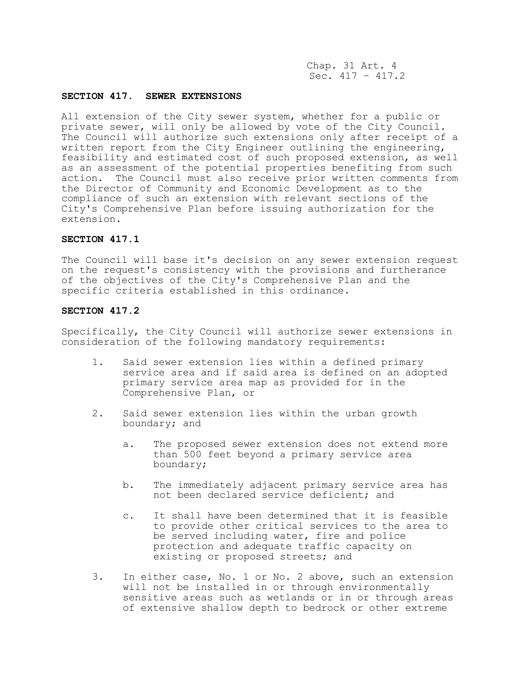Chap. 31 Art. 4 Sec.  $417 - 417.2$ 

## **SECTION 417. SEWER EXTENSIONS**

All extension of the City sewer system, whether for a public or private sewer, will only be allowed by vote of the City Council. The Council will authorize such extensions only after receipt of a written report from the City Engineer outlining the engineering, feasibility and estimated cost of such proposed extension, as well as an assessment of the potential properties benefiting from such action. The Council must also receive prior written comments from the Director of Community and Economic Development as to the compliance of such an extension with relevant sections of the City's Comprehensive Plan before issuing authorization for the extension.

# **SECTION 417.1**

The Council will base it's decision on any sewer extension request on the request's consistency with the provisions and furtherance of the objectives of the City's Comprehensive Plan and the specific criteria established in this ordinance.

## **SECTION 417.2**

Specifically, the City Council will authorize sewer extensions in consideration of the following mandatory requirements:

- 1. Said sewer extension lies within a defined primary service area and if said area is defined on an adopted primary service area map as provided for in the Comprehensive Plan, or
- 2. Said sewer extension lies within the urban growth boundary; and
	- a. The proposed sewer extension does not extend more than 500 feet beyond a primary service area boundary;
	- b. The immediately adjacent primary service area has not been declared service deficient; and
	- c. It shall have been determined that it is feasible to provide other critical services to the area to be served including water, fire and police protection and adequate traffic capacity on existing or proposed streets; and
- 3. In either case, No. 1 or No. 2 above, such an extension will not be installed in or through environmentally sensitive areas such as wetlands or in or through areas of extensive shallow depth to bedrock or other extreme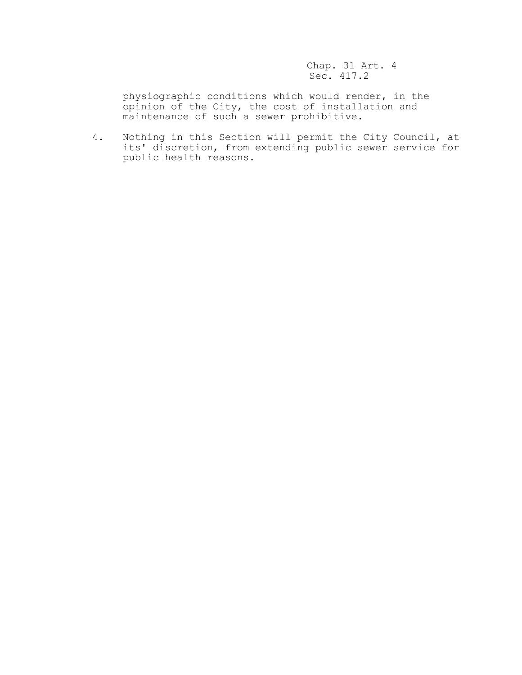Chap. 31 Art. 4 Sec. 417.2

physiographic conditions which would render, in the opinion of the City, the cost of installation and maintenance of such a sewer prohibitive.

4. Nothing in this Section will permit the City Council, at its' discretion, from extending public sewer service for public health reasons.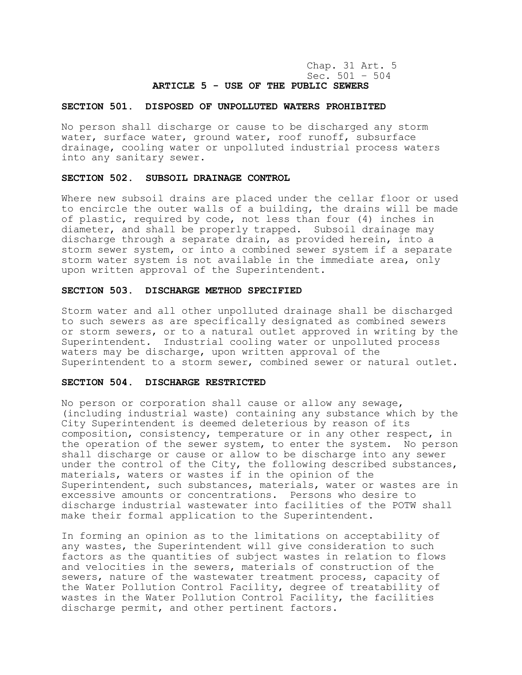Chap. 31 Art. 5 Sec. 501 – 504 **ARTICLE 5 - USE OF THE PUBLIC SEWERS**

## **SECTION 501. DISPOSED OF UNPOLLUTED WATERS PROHIBITED**

No person shall discharge or cause to be discharged any storm water, surface water, ground water, roof runoff, subsurface drainage, cooling water or unpolluted industrial process waters into any sanitary sewer.

## **SECTION 502. SUBSOIL DRAINAGE CONTROL**

Where new subsoil drains are placed under the cellar floor or used to encircle the outer walls of a building, the drains will be made of plastic, required by code, not less than four (4) inches in diameter, and shall be properly trapped. Subsoil drainage may discharge through a separate drain, as provided herein, into a storm sewer system, or into a combined sewer system if a separate storm water system is not available in the immediate area, only upon written approval of the Superintendent.

## **SECTION 503. DISCHARGE METHOD SPECIFIED**

Storm water and all other unpolluted drainage shall be discharged to such sewers as are specifically designated as combined sewers or storm sewers, or to a natural outlet approved in writing by the Superintendent. Industrial cooling water or unpolluted process waters may be discharge, upon written approval of the Superintendent to a storm sewer, combined sewer or natural outlet.

#### **SECTION 504. DISCHARGE RESTRICTED**

No person or corporation shall cause or allow any sewage, (including industrial waste) containing any substance which by the City Superintendent is deemed deleterious by reason of its composition, consistency, temperature or in any other respect, in the operation of the sewer system, to enter the system. No person shall discharge or cause or allow to be discharge into any sewer under the control of the City, the following described substances, materials, waters or wastes if in the opinion of the Superintendent, such substances, materials, water or wastes are in excessive amounts or concentrations. Persons who desire to discharge industrial wastewater into facilities of the POTW shall make their formal application to the Superintendent.

In forming an opinion as to the limitations on acceptability of any wastes, the Superintendent will give consideration to such factors as the quantities of subject wastes in relation to flows and velocities in the sewers, materials of construction of the sewers, nature of the wastewater treatment process, capacity of the Water Pollution Control Facility, degree of treatability of wastes in the Water Pollution Control Facility, the facilities discharge permit, and other pertinent factors.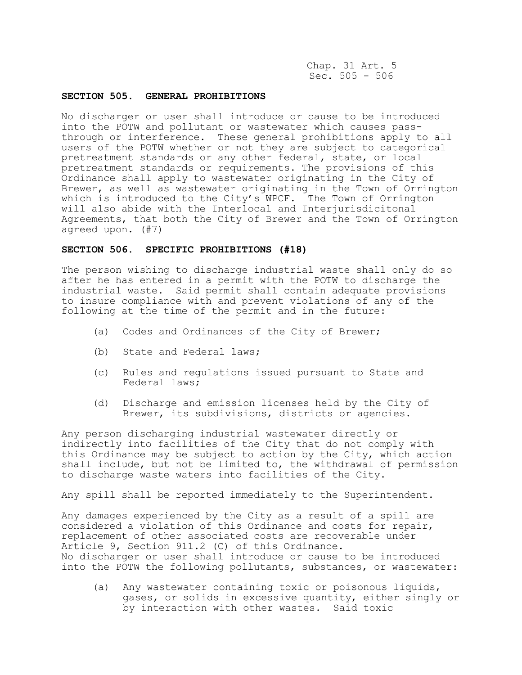Chap. 31 Art. 5 Sec.  $505 - 506$ 

## **SECTION 505. GENERAL PROHIBITIONS**

No discharger or user shall introduce or cause to be introduced into the POTW and pollutant or wastewater which causes passthrough or interference. These general prohibitions apply to all users of the POTW whether or not they are subject to categorical pretreatment standards or any other federal, state, or local pretreatment standards or requirements. The provisions of this Ordinance shall apply to wastewater originating in the City of Brewer, as well as wastewater originating in the Town of Orrington which is introduced to the City's WPCF. The Town of Orrington will also abide with the Interlocal and Interjurisdicitonal Agreements, that both the City of Brewer and the Town of Orrington agreed upon. (#7)

### **SECTION 506. SPECIFIC PROHIBITIONS (#18)**

The person wishing to discharge industrial waste shall only do so after he has entered in a permit with the POTW to discharge the industrial waste. Said permit shall contain adequate provisions to insure compliance with and prevent violations of any of the following at the time of the permit and in the future:

- (a) Codes and Ordinances of the City of Brewer;
- (b) State and Federal laws;
- (c) Rules and regulations issued pursuant to State and Federal laws;
- (d) Discharge and emission licenses held by the City of Brewer, its subdivisions, districts or agencies.

Any person discharging industrial wastewater directly or indirectly into facilities of the City that do not comply with this Ordinance may be subject to action by the City, which action shall include, but not be limited to, the withdrawal of permission to discharge waste waters into facilities of the City.

Any spill shall be reported immediately to the Superintendent.

Any damages experienced by the City as a result of a spill are considered a violation of this Ordinance and costs for repair, replacement of other associated costs are recoverable under Article 9, Section 911.2 (C) of this Ordinance. No discharger or user shall introduce or cause to be introduced into the POTW the following pollutants, substances, or wastewater:

(a) Any wastewater containing toxic or poisonous liquids, gases, or solids in excessive quantity, either singly or by interaction with other wastes. Said toxic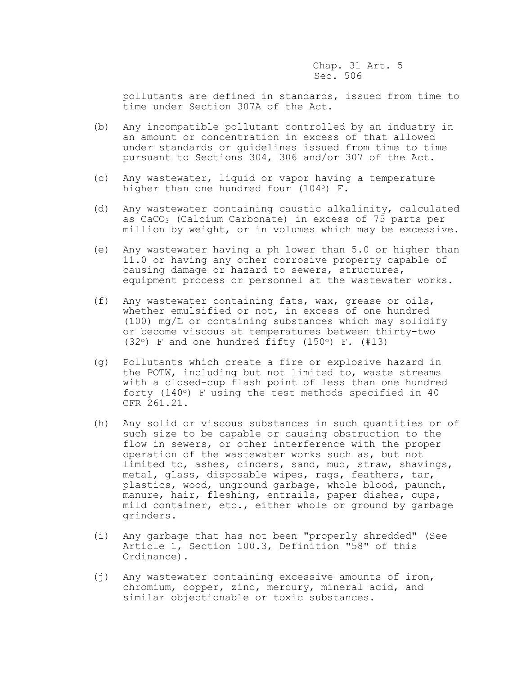pollutants are defined in standards, issued from time to time under Section 307A of the Act.

- (b) Any incompatible pollutant controlled by an industry in an amount or concentration in excess of that allowed under standards or guidelines issued from time to time pursuant to Sections 304, 306 and/or 307 of the Act.
- (c) Any wastewater, liquid or vapor having a temperature higher than one hundred four (104°) F.
- (d) Any wastewater containing caustic alkalinity, calculated as CaCO<sup>3</sup> (Calcium Carbonate) in excess of 75 parts per million by weight, or in volumes which may be excessive.
- (e) Any wastewater having a ph lower than 5.0 or higher than 11.0 or having any other corrosive property capable of causing damage or hazard to sewers, structures, equipment process or personnel at the wastewater works.
- (f) Any wastewater containing fats, wax, grease or oils, whether emulsified or not, in excess of one hundred (100) mg/L or containing substances which may solidify or become viscous at temperatures between thirty-two (32 $\circ$ ) F and one hundred fifty (150 $\circ$ ) F. (#13)
- (g) Pollutants which create a fire or explosive hazard in the POTW, including but not limited to, waste streams with a closed-cup flash point of less than one hundred forty (140 $\circ$ ) F using the test methods specified in 40 CFR 261.21.
- (h) Any solid or viscous substances in such quantities or of such size to be capable or causing obstruction to the flow in sewers, or other interference with the proper operation of the wastewater works such as, but not limited to, ashes, cinders, sand, mud, straw, shavings, metal, glass, disposable wipes, rags, feathers, tar, plastics, wood, unground garbage, whole blood, paunch, manure, hair, fleshing, entrails, paper dishes, cups, mild container, etc., either whole or ground by garbage grinders.
- (i) Any garbage that has not been "properly shredded" (See Article 1, Section 100.3, Definition "58" of this Ordinance).
- (j) Any wastewater containing excessive amounts of iron, chromium, copper, zinc, mercury, mineral acid, and similar objectionable or toxic substances.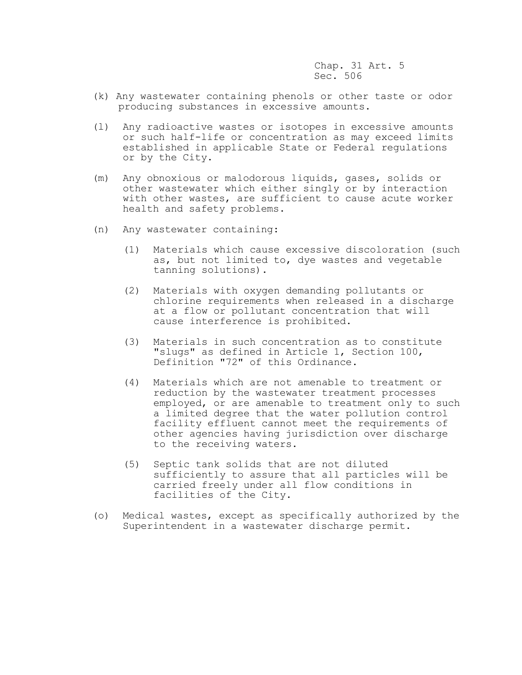- (k) Any wastewater containing phenols or other taste or odor producing substances in excessive amounts.
- (l) Any radioactive wastes or isotopes in excessive amounts or such half-life or concentration as may exceed limits established in applicable State or Federal regulations or by the City.
- (m) Any obnoxious or malodorous liquids, gases, solids or other wastewater which either singly or by interaction with other wastes, are sufficient to cause acute worker health and safety problems.
- (n) Any wastewater containing:
	- (1) Materials which cause excessive discoloration (such as, but not limited to, dye wastes and vegetable tanning solutions).
	- (2) Materials with oxygen demanding pollutants or chlorine requirements when released in a discharge at a flow or pollutant concentration that will cause interference is prohibited.
	- (3) Materials in such concentration as to constitute "slugs" as defined in Article 1, Section 100, Definition "72" of this Ordinance.
	- (4) Materials which are not amenable to treatment or reduction by the wastewater treatment processes employed, or are amenable to treatment only to such a limited degree that the water pollution control facility effluent cannot meet the requirements of other agencies having jurisdiction over discharge to the receiving waters.
	- (5) Septic tank solids that are not diluted sufficiently to assure that all particles will be carried freely under all flow conditions in facilities of the City.
- (o) Medical wastes, except as specifically authorized by the Superintendent in a wastewater discharge permit.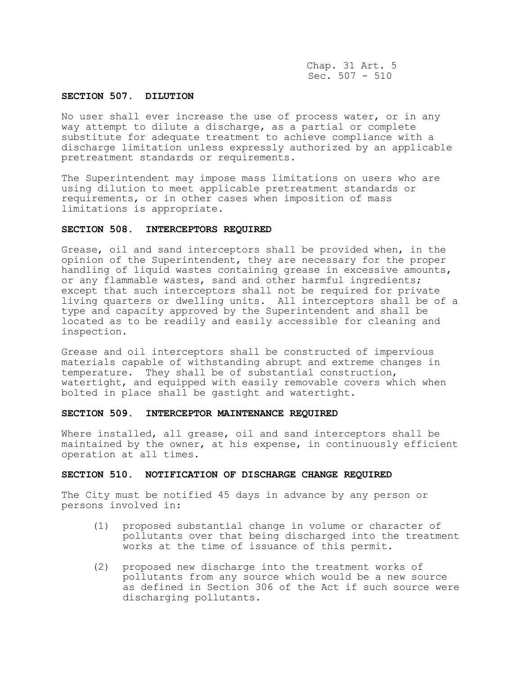Chap. 31 Art. 5 Sec.  $507 - 510$ 

## **SECTION 507. DILUTION**

No user shall ever increase the use of process water, or in any way attempt to dilute a discharge, as a partial or complete substitute for adequate treatment to achieve compliance with a discharge limitation unless expressly authorized by an applicable pretreatment standards or requirements.

The Superintendent may impose mass limitations on users who are using dilution to meet applicable pretreatment standards or requirements, or in other cases when imposition of mass limitations is appropriate.

#### **SECTION 508. INTERCEPTORS REQUIRED**

Grease, oil and sand interceptors shall be provided when, in the opinion of the Superintendent, they are necessary for the proper handling of liquid wastes containing grease in excessive amounts, or any flammable wastes, sand and other harmful ingredients; except that such interceptors shall not be required for private living quarters or dwelling units. All interceptors shall be of a type and capacity approved by the Superintendent and shall be located as to be readily and easily accessible for cleaning and inspection.

Grease and oil interceptors shall be constructed of impervious materials capable of withstanding abrupt and extreme changes in temperature. They shall be of substantial construction, watertight, and equipped with easily removable covers which when bolted in place shall be gastight and watertight.

## **SECTION 509. INTERCEPTOR MAINTENANCE REQUIRED**

Where installed, all grease, oil and sand interceptors shall be maintained by the owner, at his expense, in continuously efficient operation at all times.

### **SECTION 510. NOTIFICATION OF DISCHARGE CHANGE REQUIRED**

The City must be notified 45 days in advance by any person or persons involved in:

- (1) proposed substantial change in volume or character of pollutants over that being discharged into the treatment works at the time of issuance of this permit.
- (2) proposed new discharge into the treatment works of pollutants from any source which would be a new source as defined in Section 306 of the Act if such source were discharging pollutants.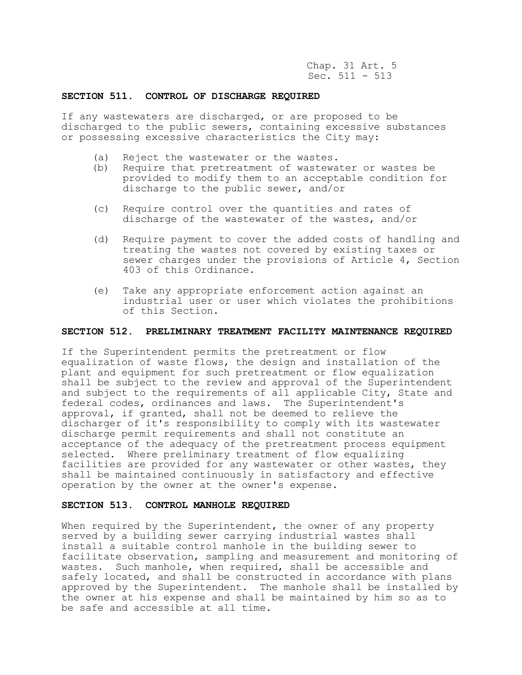Chap. 31 Art. 5 Sec. 511 - 513

## **SECTION 511. CONTROL OF DISCHARGE REQUIRED**

If any wastewaters are discharged, or are proposed to be discharged to the public sewers, containing excessive substances or possessing excessive characteristics the City may:

- (a) Reject the wastewater or the wastes.
- (b) Require that pretreatment of wastewater or wastes be provided to modify them to an acceptable condition for discharge to the public sewer, and/or
- (c) Require control over the quantities and rates of discharge of the wastewater of the wastes, and/or
- (d) Require payment to cover the added costs of handling and treating the wastes not covered by existing taxes or sewer charges under the provisions of Article 4, Section 403 of this Ordinance.
- (e) Take any appropriate enforcement action against an industrial user or user which violates the prohibitions of this Section.

## **SECTION 512. PRELIMINARY TREATMENT FACILITY MAINTENANCE REQUIRED**

If the Superintendent permits the pretreatment or flow equalization of waste flows, the design and installation of the plant and equipment for such pretreatment or flow equalization shall be subject to the review and approval of the Superintendent and subject to the requirements of all applicable City, State and federal codes, ordinances and laws. The Superintendent's approval, if granted, shall not be deemed to relieve the discharger of it's responsibility to comply with its wastewater discharge permit requirements and shall not constitute an acceptance of the adequacy of the pretreatment process equipment selected. Where preliminary treatment of flow equalizing facilities are provided for any wastewater or other wastes, they shall be maintained continuously in satisfactory and effective operation by the owner at the owner's expense.

## **SECTION 513. CONTROL MANHOLE REQUIRED**

When required by the Superintendent, the owner of any property served by a building sewer carrying industrial wastes shall install a suitable control manhole in the building sewer to facilitate observation, sampling and measurement and monitoring of wastes. Such manhole, when required, shall be accessible and safely located, and shall be constructed in accordance with plans approved by the Superintendent. The manhole shall be installed by the owner at his expense and shall be maintained by him so as to be safe and accessible at all time.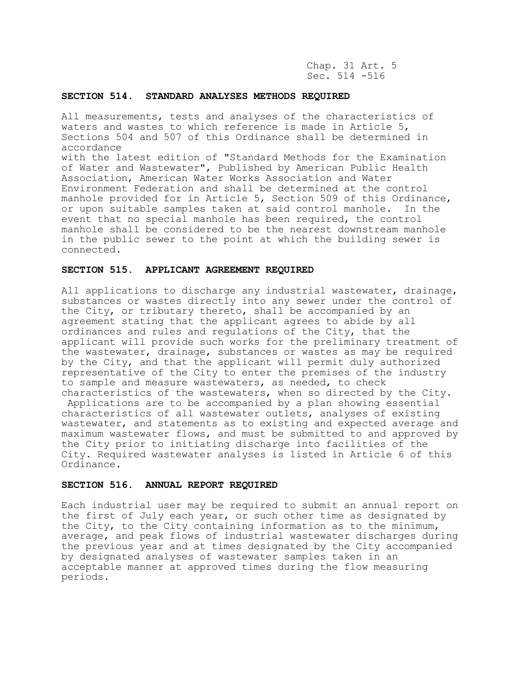Chap. 31 Art. 5 Sec. 514 -516

## **SECTION 514. STANDARD ANALYSES METHODS REQUIRED**

All measurements, tests and analyses of the characteristics of waters and wastes to which reference is made in Article 5, Sections 504 and 507 of this Ordinance shall be determined in accordance with the latest edition of "Standard Methods for the Examination of Water and Wastewater", Published by American Public Health Association, American Water Works Association and Water Environment Federation and shall be determined at the control manhole provided for in Article 5, Section 509 of this Ordinance, or upon suitable samples taken at said control manhole. In the event that no special manhole has been required, the control manhole shall be considered to be the nearest downstream manhole in the public sewer to the point at which the building sewer is connected.

### **SECTION 515. APPLICANT AGREEMENT REQUIRED**

All applications to discharge any industrial wastewater, drainage, substances or wastes directly into any sewer under the control of the City, or tributary thereto, shall be accompanied by an agreement stating that the applicant agrees to abide by all ordinances and rules and regulations of the City, that the applicant will provide such works for the preliminary treatment of the wastewater, drainage, substances or wastes as may be required by the City, and that the applicant will permit duly authorized representative of the City to enter the premises of the industry to sample and measure wastewaters, as needed, to check characteristics of the wastewaters, when so directed by the City. Applications are to be accompanied by a plan showing essential characteristics of all wastewater outlets, analyses of existing wastewater, and statements as to existing and expected average and maximum wastewater flows, and must be submitted to and approved by the City prior to initiating discharge into facilities of the City. Required wastewater analyses is listed in Article 6 of this Ordinance.

## **SECTION 516. ANNUAL REPORT REQUIRED**

Each industrial user may be required to submit an annual report on the first of July each year, or such other time as designated by the City, to the City containing information as to the minimum, average, and peak flows of industrial wastewater discharges during the previous year and at times designated by the City accompanied by designated analyses of wastewater samples taken in an acceptable manner at approved times during the flow measuring periods.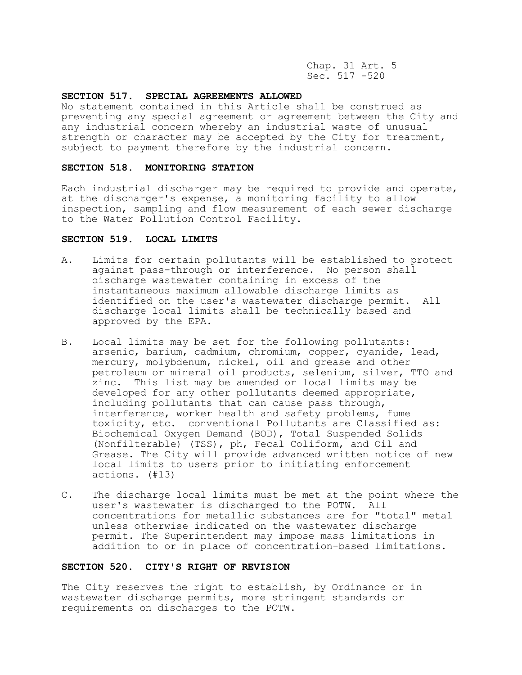Chap. 31 Art. 5 Sec. 517 -520

## **SECTION 517. SPECIAL AGREEMENTS ALLOWED**

No statement contained in this Article shall be construed as preventing any special agreement or agreement between the City and any industrial concern whereby an industrial waste of unusual strength or character may be accepted by the City for treatment, subject to payment therefore by the industrial concern.

## **SECTION 518. MONITORING STATION**

Each industrial discharger may be required to provide and operate, at the discharger's expense, a monitoring facility to allow inspection, sampling and flow measurement of each sewer discharge to the Water Pollution Control Facility.

# **SECTION 519. LOCAL LIMITS**

- A. Limits for certain pollutants will be established to protect against pass-through or interference. No person shall discharge wastewater containing in excess of the instantaneous maximum allowable discharge limits as identified on the user's wastewater discharge permit. All discharge local limits shall be technically based and approved by the EPA.
- B. Local limits may be set for the following pollutants: arsenic, barium, cadmium, chromium, copper, cyanide, lead, mercury, molybdenum, nickel, oil and grease and other petroleum or mineral oil products, selenium, silver, TTO and zinc. This list may be amended or local limits may be developed for any other pollutants deemed appropriate, including pollutants that can cause pass through, interference, worker health and safety problems, fume toxicity, etc. conventional Pollutants are Classified as: Biochemical Oxygen Demand (BOD), Total Suspended Solids (Nonfilterable) (TSS), ph, Fecal Coliform, and Oil and Grease. The City will provide advanced written notice of new local limits to users prior to initiating enforcement actions. (#13)
- C. The discharge local limits must be met at the point where the user's wastewater is discharged to the POTW. All concentrations for metallic substances are for "total" metal unless otherwise indicated on the wastewater discharge permit. The Superintendent may impose mass limitations in addition to or in place of concentration-based limitations.

# **SECTION 520. CITY'S RIGHT OF REVISION**

The City reserves the right to establish, by Ordinance or in wastewater discharge permits, more stringent standards or requirements on discharges to the POTW.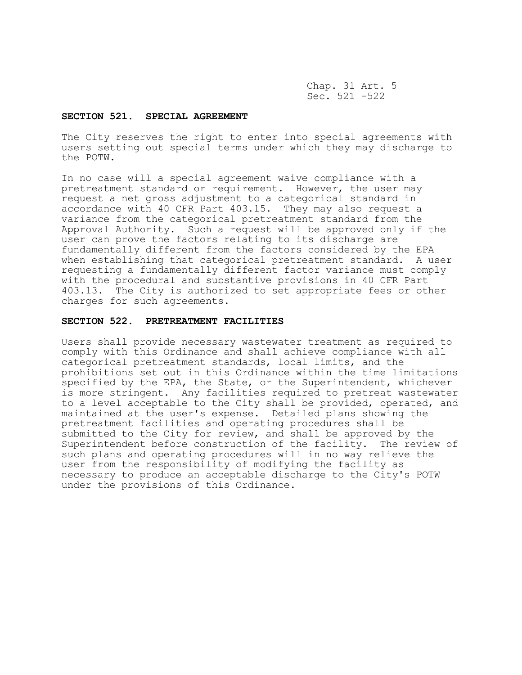Chap. 31 Art. 5 Sec. 521 -522

# **SECTION 521. SPECIAL AGREEMENT**

The City reserves the right to enter into special agreements with users setting out special terms under which they may discharge to the POTW.

In no case will a special agreement waive compliance with a pretreatment standard or requirement. However, the user may request a net gross adjustment to a categorical standard in accordance with 40 CFR Part 403.15. They may also request a variance from the categorical pretreatment standard from the Approval Authority. Such a request will be approved only if the user can prove the factors relating to its discharge are fundamentally different from the factors considered by the EPA when establishing that categorical pretreatment standard. A user requesting a fundamentally different factor variance must comply with the procedural and substantive provisions in 40 CFR Part 403.13. The City is authorized to set appropriate fees or other charges for such agreements.

# **SECTION 522. PRETREATMENT FACILITIES**

Users shall provide necessary wastewater treatment as required to comply with this Ordinance and shall achieve compliance with all categorical pretreatment standards, local limits, and the prohibitions set out in this Ordinance within the time limitations specified by the EPA, the State, or the Superintendent, whichever is more stringent. Any facilities required to pretreat wastewater to a level acceptable to the City shall be provided, operated, and maintained at the user's expense. Detailed plans showing the pretreatment facilities and operating procedures shall be submitted to the City for review, and shall be approved by the Superintendent before construction of the facility. The review of such plans and operating procedures will in no way relieve the user from the responsibility of modifying the facility as necessary to produce an acceptable discharge to the City's POTW under the provisions of this Ordinance.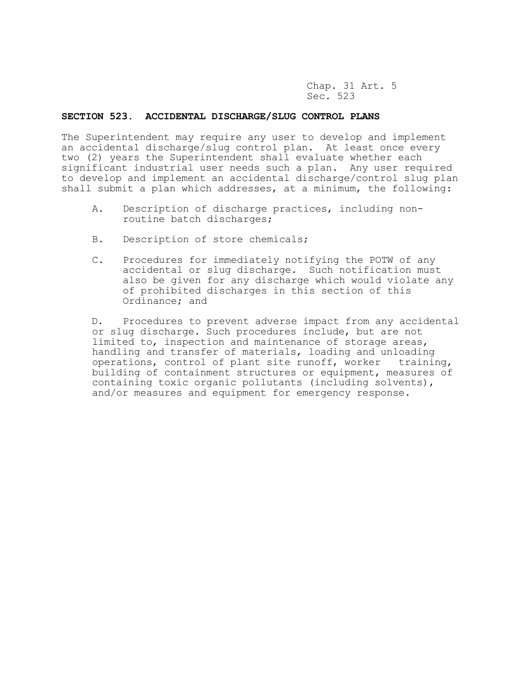Chap. 31 Art. 5 Sec. 523

#### **SECTION 523. ACCIDENTAL DISCHARGE/SLUG CONTROL PLANS**

The Superintendent may require any user to develop and implement an accidental discharge/slug control plan. At least once every two (2) years the Superintendent shall evaluate whether each significant industrial user needs such a plan. Any user required to develop and implement an accidental discharge/control slug plan shall submit a plan which addresses, at a minimum, the following:

- A. Description of discharge practices, including nonroutine batch discharges;
- B. Description of store chemicals;
- C. Procedures for immediately notifying the POTW of any accidental or slug discharge. Such notification must also be given for any discharge which would violate any of prohibited discharges in this section of this Ordinance; and

 D. Procedures to prevent adverse impact from any accidental or slug discharge. Such procedures include, but are not limited to, inspection and maintenance of storage areas, handling and transfer of materials, loading and unloading operations, control of plant site runoff, worker training, building of containment structures or equipment, measures of containing toxic organic pollutants (including solvents), and/or measures and equipment for emergency response.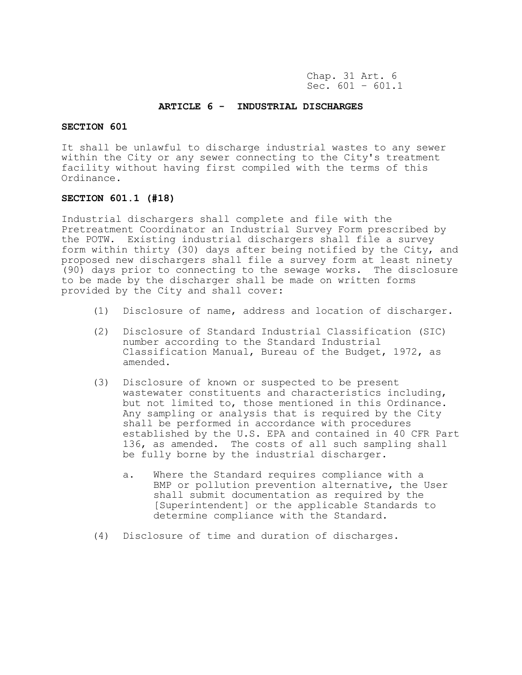Chap. 31 Art. 6 Sec.  $601 - 601.1$ 

## **ARTICLE 6 - INDUSTRIAL DISCHARGES**

# **SECTION 601**

It shall be unlawful to discharge industrial wastes to any sewer within the City or any sewer connecting to the City's treatment facility without having first compiled with the terms of this Ordinance.

### **SECTION 601.1 (#18)**

Industrial dischargers shall complete and file with the Pretreatment Coordinator an Industrial Survey Form prescribed by the POTW. Existing industrial dischargers shall file a survey form within thirty (30) days after being notified by the City, and proposed new dischargers shall file a survey form at least ninety (90) days prior to connecting to the sewage works. The disclosure to be made by the discharger shall be made on written forms provided by the City and shall cover:

- (1) Disclosure of name, address and location of discharger.
- (2) Disclosure of Standard Industrial Classification (SIC) number according to the Standard Industrial Classification Manual, Bureau of the Budget, 1972, as amended.
- (3) Disclosure of known or suspected to be present wastewater constituents and characteristics including, but not limited to, those mentioned in this Ordinance. Any sampling or analysis that is required by the City shall be performed in accordance with procedures established by the U.S. EPA and contained in 40 CFR Part 136, as amended. The costs of all such sampling shall be fully borne by the industrial discharger.
	- a. Where the Standard requires compliance with a BMP or pollution prevention alternative, the User shall submit documentation as required by the [Superintendent] or the applicable Standards to determine compliance with the Standard.
- (4) Disclosure of time and duration of discharges.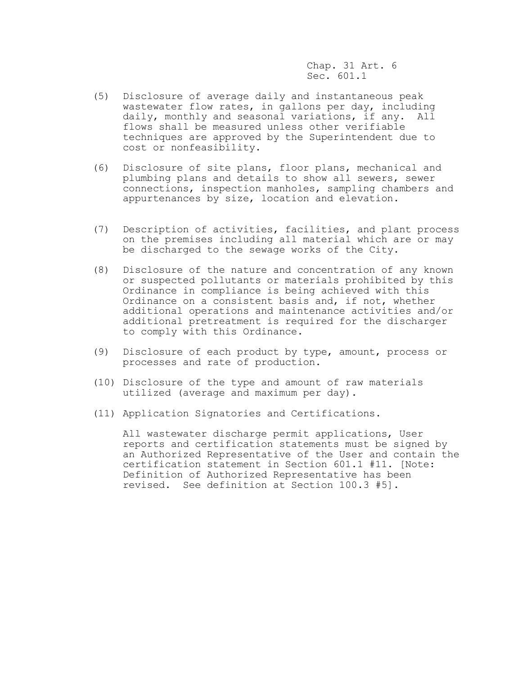Chap. 31 Art. 6 Sec. 601.1

- (5) Disclosure of average daily and instantaneous peak wastewater flow rates, in gallons per day, including daily, monthly and seasonal variations, if any. All flows shall be measured unless other verifiable techniques are approved by the Superintendent due to cost or nonfeasibility.
- (6) Disclosure of site plans, floor plans, mechanical and plumbing plans and details to show all sewers, sewer connections, inspection manholes, sampling chambers and appurtenances by size, location and elevation.
- (7) Description of activities, facilities, and plant process on the premises including all material which are or may be discharged to the sewage works of the City.
- (8) Disclosure of the nature and concentration of any known or suspected pollutants or materials prohibited by this Ordinance in compliance is being achieved with this Ordinance on a consistent basis and, if not, whether additional operations and maintenance activities and/or additional pretreatment is required for the discharger to comply with this Ordinance.
- (9) Disclosure of each product by type, amount, process or processes and rate of production.
- (10) Disclosure of the type and amount of raw materials utilized (average and maximum per day).
- (11) Application Signatories and Certifications.

All wastewater discharge permit applications, User reports and certification statements must be signed by an Authorized Representative of the User and contain the certification statement in Section 601.1 #11. [Note: Definition of Authorized Representative has been revised. See definition at Section 100.3 #5].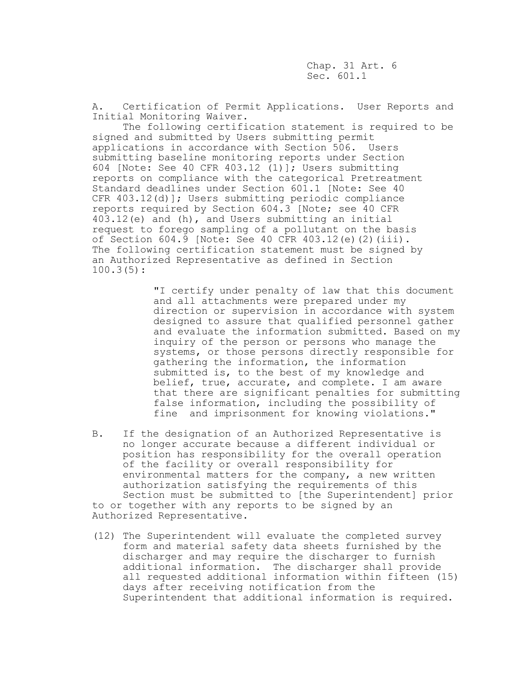Chap. 31 Art. 6 Sec. 601.1

A. Certification of Permit Applications. User Reports and Initial Monitoring Waiver.

The following certification statement is required to be signed and submitted by Users submitting permit applications in accordance with Section 506. Users submitting baseline monitoring reports under Section 604 [Note: See 40 CFR 403.12 (1)]; Users submitting reports on compliance with the categorical Pretreatment Standard deadlines under Section 601.1 [Note: See 40 CFR 403.12(d)]; Users submitting periodic compliance reports required by Section 604.3 [Note; see 40 CFR 403.12(e) and (h), and Users submitting an initial request to forego sampling of a pollutant on the basis of Section 604.9 [Note: See 40 CFR 403.12(e)(2)(iii). The following certification statement must be signed by an Authorized Representative as defined in Section 100.3(5):

> "I certify under penalty of law that this document and all attachments were prepared under my direction or supervision in accordance with system designed to assure that qualified personnel gather and evaluate the information submitted. Based on my inquiry of the person or persons who manage the systems, or those persons directly responsible for gathering the information, the information submitted is, to the best of my knowledge and belief, true, accurate, and complete. I am aware that there are significant penalties for submitting false information, including the possibility of fine and imprisonment for knowing violations."

- B. If the designation of an Authorized Representative is no longer accurate because a different individual or position has responsibility for the overall operation of the facility or overall responsibility for environmental matters for the company, a new written authorization satisfying the requirements of this Section must be submitted to [the Superintendent] prior to or together with any reports to be signed by an Authorized Representative.
- (12) The Superintendent will evaluate the completed survey form and material safety data sheets furnished by the discharger and may require the discharger to furnish additional information. The discharger shall provide all requested additional information within fifteen (15) days after receiving notification from the Superintendent that additional information is required.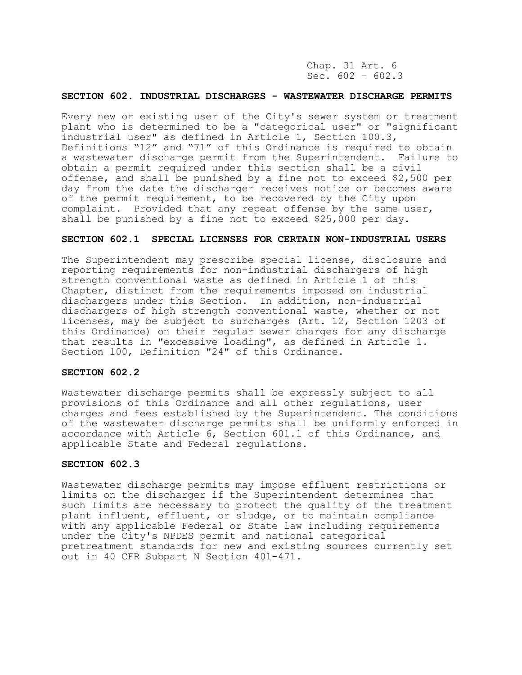Chap. 31 Art. 6 Sec.  $602 - 602.3$ 

### **SECTION 602. INDUSTRIAL DISCHARGES - WASTEWATER DISCHARGE PERMITS**

Every new or existing user of the City's sewer system or treatment plant who is determined to be a "categorical user" or "significant industrial user" as defined in Article 1, Section 100.3, Definitions "12" and "71" of this Ordinance is required to obtain a wastewater discharge permit from the Superintendent. Failure to obtain a permit required under this section shall be a civil offense, and shall be punished by a fine not to exceed \$2,500 per day from the date the discharger receives notice or becomes aware of the permit requirement, to be recovered by the City upon complaint. Provided that any repeat offense by the same user, shall be punished by a fine not to exceed \$25,000 per day.

# **SECTION 602.1 SPECIAL LICENSES FOR CERTAIN NON-INDUSTRIAL USERS**

The Superintendent may prescribe special license, disclosure and reporting requirements for non-industrial dischargers of high strength conventional waste as defined in Article 1 of this Chapter, distinct from the requirements imposed on industrial dischargers under this Section. In addition, non-industrial dischargers of high strength conventional waste, whether or not licenses, may be subject to surcharges (Art. 12, Section 1203 of this Ordinance) on their regular sewer charges for any discharge that results in "excessive loading", as defined in Article 1. Section 100, Definition "24" of this Ordinance.

# **SECTION 602.2**

Wastewater discharge permits shall be expressly subject to all provisions of this Ordinance and all other regulations, user charges and fees established by the Superintendent. The conditions of the wastewater discharge permits shall be uniformly enforced in accordance with Article 6, Section 601.1 of this Ordinance, and applicable State and Federal regulations.

# **SECTION 602.3**

Wastewater discharge permits may impose effluent restrictions or limits on the discharger if the Superintendent determines that such limits are necessary to protect the quality of the treatment plant influent, effluent, or sludge, or to maintain compliance with any applicable Federal or State law including requirements under the City's NPDES permit and national categorical pretreatment standards for new and existing sources currently set out in 40 CFR Subpart N Section 401-471.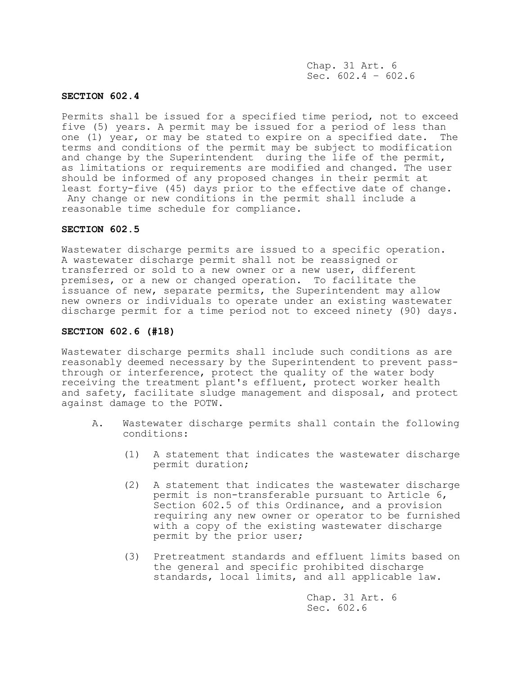Chap. 31 Art. 6 Sec.  $602.4 - 602.6$ 

### **SECTION 602.4**

Permits shall be issued for a specified time period, not to exceed five (5) years. A permit may be issued for a period of less than one (1) year, or may be stated to expire on a specified date. The terms and conditions of the permit may be subject to modification and change by the Superintendent during the life of the permit, as limitations or requirements are modified and changed. The user should be informed of any proposed changes in their permit at least forty-five (45) days prior to the effective date of change. Any change or new conditions in the permit shall include a reasonable time schedule for compliance.

#### **SECTION 602.5**

Wastewater discharge permits are issued to a specific operation. A wastewater discharge permit shall not be reassigned or transferred or sold to a new owner or a new user, different premises, or a new or changed operation. To facilitate the issuance of new, separate permits, the Superintendent may allow new owners or individuals to operate under an existing wastewater discharge permit for a time period not to exceed ninety (90) days.

### **SECTION 602.6 (#18)**

Wastewater discharge permits shall include such conditions as are reasonably deemed necessary by the Superintendent to prevent passthrough or interference, protect the quality of the water body receiving the treatment plant's effluent, protect worker health and safety, facilitate sludge management and disposal, and protect against damage to the POTW.

- A. Wastewater discharge permits shall contain the following conditions:
	- (1) A statement that indicates the wastewater discharge permit duration;
	- (2) A statement that indicates the wastewater discharge permit is non-transferable pursuant to Article 6, Section 602.5 of this Ordinance, and a provision requiring any new owner or operator to be furnished with a copy of the existing wastewater discharge permit by the prior user;
	- (3) Pretreatment standards and effluent limits based on the general and specific prohibited discharge standards, local limits, and all applicable law.

Chap. 31 Art. 6 Sec. 602.6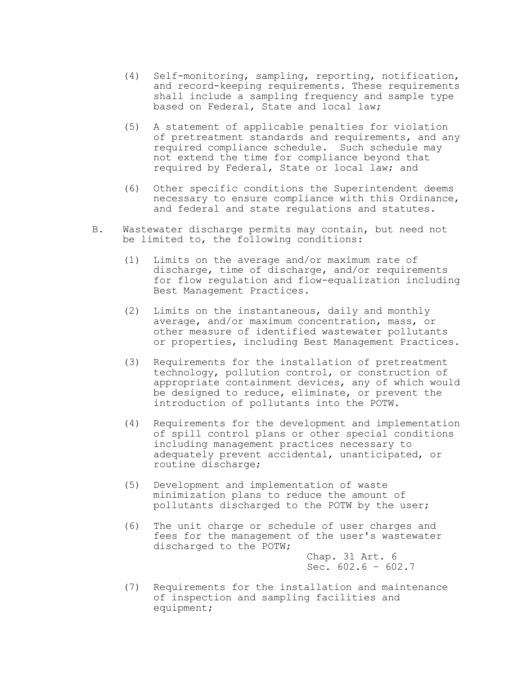- (4) Self-monitoring, sampling, reporting, notification, and record-keeping requirements. These requirements shall include a sampling frequency and sample type based on Federal, State and local law;
- (5) A statement of applicable penalties for violation of pretreatment standards and requirements, and any required compliance schedule. Such schedule may not extend the time for compliance beyond that required by Federal, State or local law; and
- (6) Other specific conditions the Superintendent deems necessary to ensure compliance with this Ordinance, and federal and state regulations and statutes.
- B. Wastewater discharge permits may contain, but need not be limited to, the following conditions:
	- (1) Limits on the average and/or maximum rate of discharge, time of discharge, and/or requirements for flow regulation and flow-equalization including Best Management Practices.
	- (2) Limits on the instantaneous, daily and monthly average, and/or maximum concentration, mass, or other measure of identified wastewater pollutants or properties, including Best Management Practices.
	- (3) Requirements for the installation of pretreatment technology, pollution control, or construction of appropriate containment devices, any of which would be designed to reduce, eliminate, or prevent the introduction of pollutants into the POTW.
	- (4) Requirements for the development and implementation of spill control plans or other special conditions including management practices necessary to adequately prevent accidental, unanticipated, or routine discharge;
	- (5) Development and implementation of waste minimization plans to reduce the amount of pollutants discharged to the POTW by the user;
	- (6) The unit charge or schedule of user charges and fees for the management of the user's wastewater discharged to the POTW;

Chap. 31 Art. 6 Sec.  $602.6 - 602.7$ 

(7) Requirements for the installation and maintenance of inspection and sampling facilities and equipment;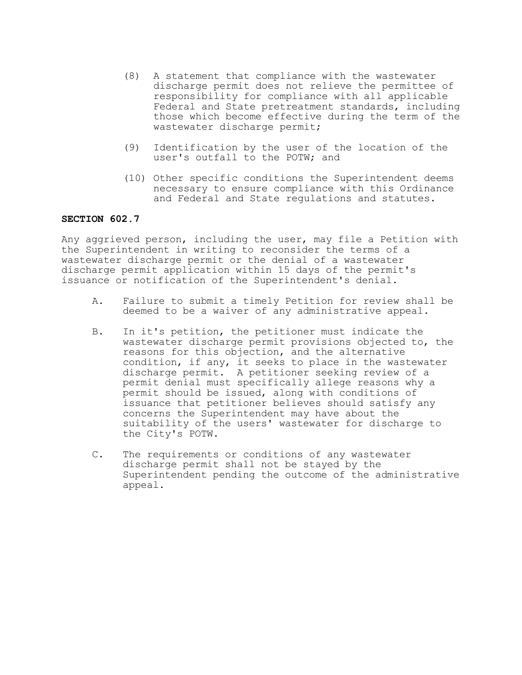- (8) A statement that compliance with the wastewater discharge permit does not relieve the permittee of responsibility for compliance with all applicable Federal and State pretreatment standards, including those which become effective during the term of the wastewater discharge permit;
- (9) Identification by the user of the location of the user's outfall to the POTW; and
- (10) Other specific conditions the Superintendent deems necessary to ensure compliance with this Ordinance and Federal and State regulations and statutes.

# **SECTION 602.7**

Any aggrieved person, including the user, may file a Petition with the Superintendent in writing to reconsider the terms of a wastewater discharge permit or the denial of a wastewater discharge permit application within 15 days of the permit's issuance or notification of the Superintendent's denial.

- A. Failure to submit a timely Petition for review shall be deemed to be a waiver of any administrative appeal.
- B. In it's petition, the petitioner must indicate the wastewater discharge permit provisions objected to, the reasons for this objection, and the alternative condition, if any, it seeks to place in the wastewater discharge permit. A petitioner seeking review of a permit denial must specifically allege reasons why a permit should be issued, along with conditions of issuance that petitioner believes should satisfy any concerns the Superintendent may have about the suitability of the users' wastewater for discharge to the City's POTW.
- C. The requirements or conditions of any wastewater discharge permit shall not be stayed by the Superintendent pending the outcome of the administrative appeal.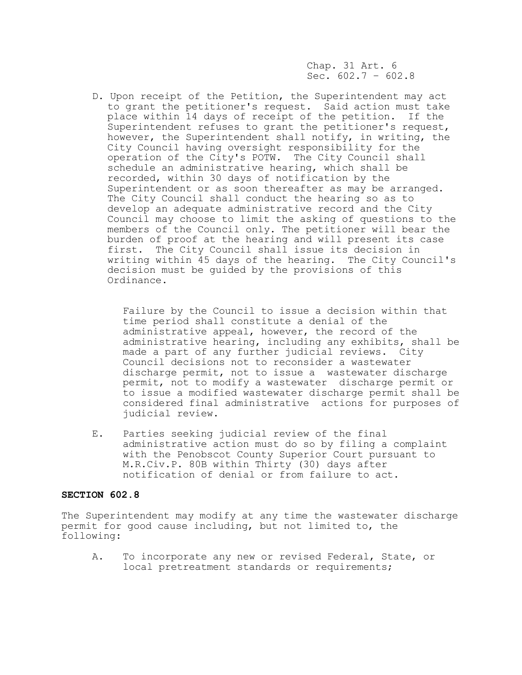Chap. 31 Art. 6 Sec.  $602.7 - 602.8$ 

D. Upon receipt of the Petition, the Superintendent may act to grant the petitioner's request. Said action must take place within 14 days of receipt of the petition. If the Superintendent refuses to grant the petitioner's request, however, the Superintendent shall notify, in writing, the City Council having oversight responsibility for the operation of the City's POTW. The City Council shall schedule an administrative hearing, which shall be recorded, within 30 days of notification by the Superintendent or as soon thereafter as may be arranged. The City Council shall conduct the hearing so as to develop an adequate administrative record and the City Council may choose to limit the asking of questions to the members of the Council only. The petitioner will bear the burden of proof at the hearing and will present its case first. The City Council shall issue its decision in writing within 45 days of the hearing. The City Council's decision must be guided by the provisions of this Ordinance.

Failure by the Council to issue a decision within that time period shall constitute a denial of the administrative appeal, however, the record of the administrative hearing, including any exhibits, shall be made a part of any further judicial reviews. City Council decisions not to reconsider a wastewater discharge permit, not to issue a wastewater discharge permit, not to modify a wastewater discharge permit or to issue a modified wastewater discharge permit shall be considered final administrative actions for purposes of judicial review.

E. Parties seeking judicial review of the final administrative action must do so by filing a complaint with the Penobscot County Superior Court pursuant to M.R.Civ.P. 80B within Thirty (30) days after notification of denial or from failure to act.

### **SECTION 602.8**

The Superintendent may modify at any time the wastewater discharge permit for good cause including, but not limited to, the following:

A. To incorporate any new or revised Federal, State, or local pretreatment standards or requirements;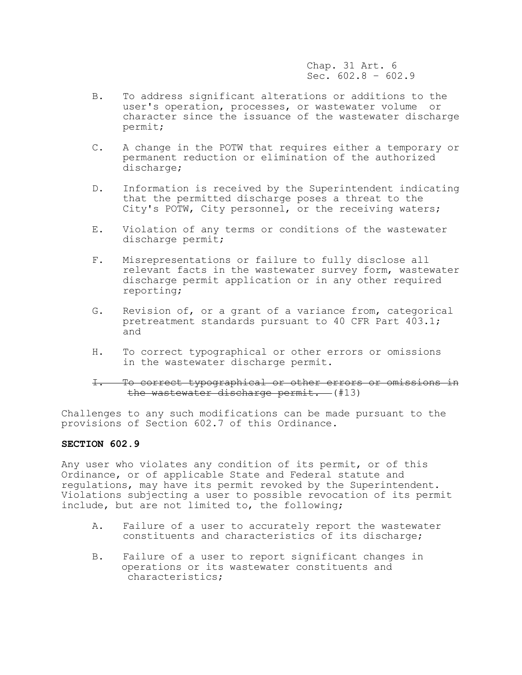Chap. 31 Art. 6 Sec.  $602.8 - 602.9$ 

- B. To address significant alterations or additions to the user's operation, processes, or wastewater volume or character since the issuance of the wastewater discharge permit;
- C. A change in the POTW that requires either a temporary or permanent reduction or elimination of the authorized discharge;
- D. Information is received by the Superintendent indicating that the permitted discharge poses a threat to the City's POTW, City personnel, or the receiving waters;
- E. Violation of any terms or conditions of the wastewater discharge permit;
- F. Misrepresentations or failure to fully disclose all relevant facts in the wastewater survey form, wastewater discharge permit application or in any other required reporting;
- G. Revision of, or a grant of a variance from, categorical pretreatment standards pursuant to 40 CFR Part 403.1; and
- H. To correct typographical or other errors or omissions in the wastewater discharge permit.

# I. To correct typographical or other errors or omissions in the wastewater discharge permit. (#13)

Challenges to any such modifications can be made pursuant to the provisions of Section 602.7 of this Ordinance.

## **SECTION 602.9**

Any user who violates any condition of its permit, or of this Ordinance, or of applicable State and Federal statute and regulations, may have its permit revoked by the Superintendent. Violations subjecting a user to possible revocation of its permit include, but are not limited to, the following;

- A. Failure of a user to accurately report the wastewater constituents and characteristics of its discharge;
- B. Failure of a user to report significant changes in operations or its wastewater constituents and characteristics;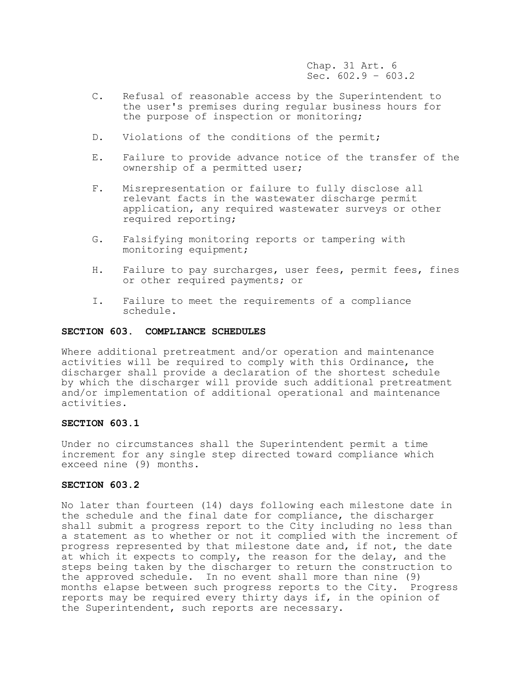Chap. 31 Art. 6 Sec.  $602.9 - 603.2$ 

- C. Refusal of reasonable access by the Superintendent to the user's premises during regular business hours for the purpose of inspection or monitoring;
- D. Violations of the conditions of the permit;
- E. Failure to provide advance notice of the transfer of the ownership of a permitted user;
- F. Misrepresentation or failure to fully disclose all relevant facts in the wastewater discharge permit application, any required wastewater surveys or other required reporting;
- G. Falsifying monitoring reports or tampering with monitoring equipment;
- H. Failure to pay surcharges, user fees, permit fees, fines or other required payments; or
- I. Failure to meet the requirements of a compliance schedule.

### **SECTION 603. COMPLIANCE SCHEDULES**

Where additional pretreatment and/or operation and maintenance activities will be required to comply with this Ordinance, the discharger shall provide a declaration of the shortest schedule by which the discharger will provide such additional pretreatment and/or implementation of additional operational and maintenance activities.

### **SECTION 603.1**

Under no circumstances shall the Superintendent permit a time increment for any single step directed toward compliance which exceed nine (9) months.

# **SECTION 603.2**

No later than fourteen (14) days following each milestone date in the schedule and the final date for compliance, the discharger shall submit a progress report to the City including no less than a statement as to whether or not it complied with the increment of progress represented by that milestone date and, if not, the date at which it expects to comply, the reason for the delay, and the steps being taken by the discharger to return the construction to the approved schedule. In no event shall more than nine (9) months elapse between such progress reports to the City. Progress reports may be required every thirty days if, in the opinion of the Superintendent, such reports are necessary.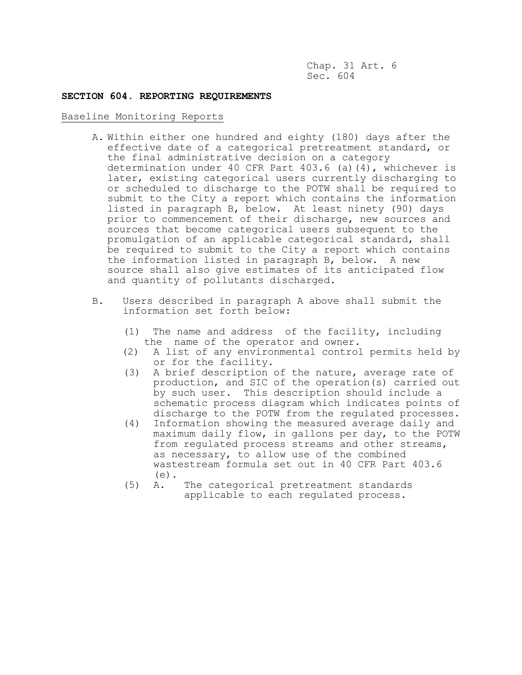Chap. 31 Art. 6 Sec. 604

## **SECTION 604. REPORTING REQUIREMENTS**

## Baseline Monitoring Reports

- A. Within either one hundred and eighty (180) days after the effective date of a categorical pretreatment standard, or the final administrative decision on a category determination under 40 CFR Part 403.6 (a)(4), whichever is later, existing categorical users currently discharging to or scheduled to discharge to the POTW shall be required to submit to the City a report which contains the information listed in paragraph B, below. At least ninety (90) days prior to commencement of their discharge, new sources and sources that become categorical users subsequent to the promulgation of an applicable categorical standard, shall be required to submit to the City a report which contains the information listed in paragraph B, below. A new source shall also give estimates of its anticipated flow and quantity of pollutants discharged.
- B. Users described in paragraph A above shall submit the information set forth below:
	- (1) The name and address of the facility, including the name of the operator and owner.
	- (2) A list of any environmental control permits held by or for the facility.
	- (3) A brief description of the nature, average rate of production, and SIC of the operation(s) carried out by such user. This description should include a schematic process diagram which indicates points of discharge to the POTW from the regulated processes.
	- (4) Information showing the measured average daily and maximum daily flow, in gallons per day, to the POTW from regulated process streams and other streams, as necessary, to allow use of the combined wastestream formula set out in 40 CFR Part 403.6 (e).
	- (5) A. The categorical pretreatment standards applicable to each regulated process.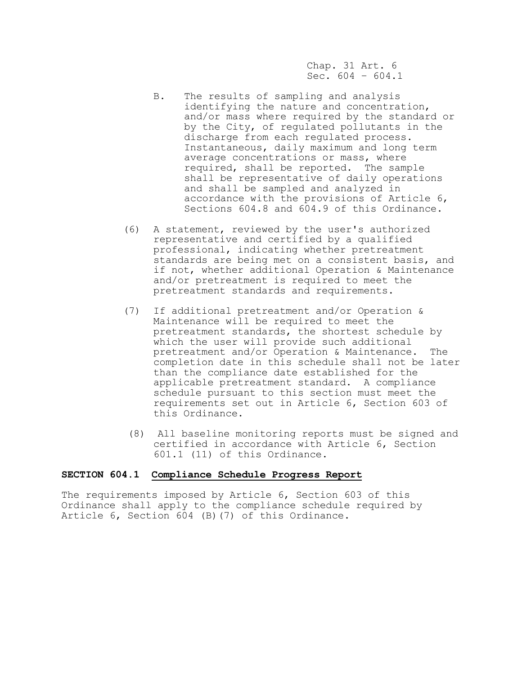Chap. 31 Art. 6 Sec.  $604 - 604.1$ 

- B. The results of sampling and analysis identifying the nature and concentration, and/or mass where required by the standard or by the City, of regulated pollutants in the discharge from each regulated process. Instantaneous, daily maximum and long term average concentrations or mass, where required, shall be reported. The sample shall be representative of daily operations and shall be sampled and analyzed in accordance with the provisions of Article 6, Sections 604.8 and 604.9 of this Ordinance.
- (6) A statement, reviewed by the user's authorized representative and certified by a qualified professional, indicating whether pretreatment standards are being met on a consistent basis, and if not, whether additional Operation & Maintenance and/or pretreatment is required to meet the pretreatment standards and requirements.
- (7) If additional pretreatment and/or Operation & Maintenance will be required to meet the pretreatment standards, the shortest schedule by which the user will provide such additional pretreatment and/or Operation & Maintenance. The completion date in this schedule shall not be later than the compliance date established for the applicable pretreatment standard. A compliance schedule pursuant to this section must meet the requirements set out in Article 6, Section 603 of this Ordinance.
- (8) All baseline monitoring reports must be signed and certified in accordance with Article 6, Section 601.1 (11) of this Ordinance.

## **SECTION 604.1 Compliance Schedule Progress Report**

The requirements imposed by Article 6, Section 603 of this Ordinance shall apply to the compliance schedule required by Article 6, Section 604 (B)(7) of this Ordinance.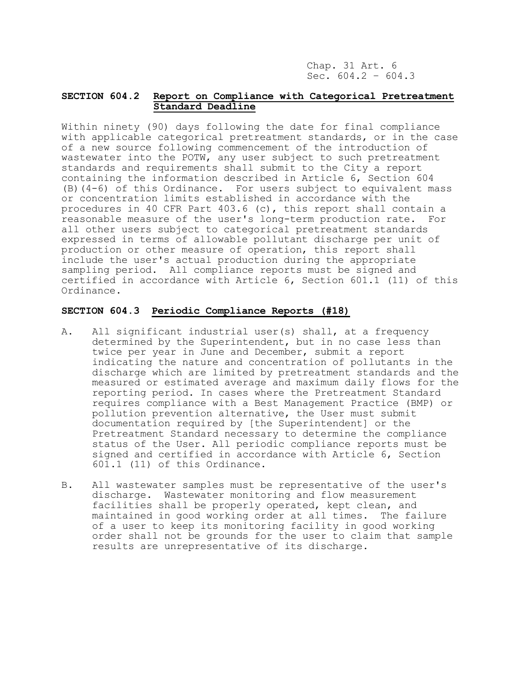Chap. 31 Art. 6 Sec.  $604.2 - 604.3$ 

# **SECTION 604.2 Report on Compliance with Categorical Pretreatment Standard Deadline**

Within ninety (90) days following the date for final compliance with applicable categorical pretreatment standards, or in the case of a new source following commencement of the introduction of wastewater into the POTW, any user subject to such pretreatment standards and requirements shall submit to the City a report containing the information described in Article 6, Section 604 (B)(4-6) of this Ordinance. For users subject to equivalent mass or concentration limits established in accordance with the procedures in 40 CFR Part 403.6 (c), this report shall contain a reasonable measure of the user's long-term production rate. For all other users subject to categorical pretreatment standards expressed in terms of allowable pollutant discharge per unit of production or other measure of operation, this report shall include the user's actual production during the appropriate sampling period. All compliance reports must be signed and certified in accordance with Article 6, Section 601.1 (11) of this Ordinance.

# **SECTION 604.3 Periodic Compliance Reports (#18)**

- A. All significant industrial user(s) shall, at a frequency determined by the Superintendent, but in no case less than twice per year in June and December, submit a report indicating the nature and concentration of pollutants in the discharge which are limited by pretreatment standards and the measured or estimated average and maximum daily flows for the reporting period. In cases where the Pretreatment Standard requires compliance with a Best Management Practice (BMP) or pollution prevention alternative, the User must submit documentation required by [the Superintendent] or the Pretreatment Standard necessary to determine the compliance status of the User. All periodic compliance reports must be signed and certified in accordance with Article 6, Section 601.1 (11) of this Ordinance.
- B. All wastewater samples must be representative of the user's discharge. Wastewater monitoring and flow measurement facilities shall be properly operated, kept clean, and maintained in good working order at all times. The failure of a user to keep its monitoring facility in good working order shall not be grounds for the user to claim that sample results are unrepresentative of its discharge.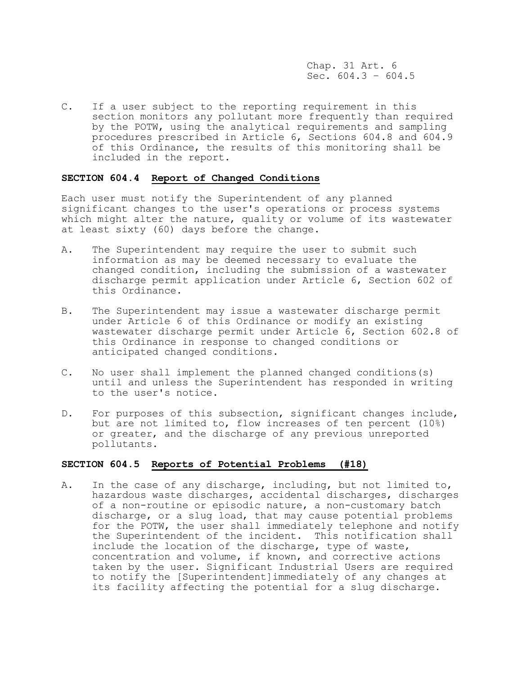Chap. 31 Art. 6 Sec.  $604.3 - 604.5$ 

C. If a user subject to the reporting requirement in this section monitors any pollutant more frequently than required by the POTW, using the analytical requirements and sampling procedures prescribed in Article 6, Sections 604.8 and 604.9 of this Ordinance, the results of this monitoring shall be included in the report.

# **SECTION 604.4 Report of Changed Conditions**

Each user must notify the Superintendent of any planned significant changes to the user's operations or process systems which might alter the nature, quality or volume of its wastewater at least sixty (60) days before the change.

- A. The Superintendent may require the user to submit such information as may be deemed necessary to evaluate the changed condition, including the submission of a wastewater discharge permit application under Article 6, Section 602 of this Ordinance.
- B. The Superintendent may issue a wastewater discharge permit under Article 6 of this Ordinance or modify an existing wastewater discharge permit under Article 6, Section 602.8 of this Ordinance in response to changed conditions or anticipated changed conditions.
- C. No user shall implement the planned changed conditions(s) until and unless the Superintendent has responded in writing to the user's notice.
- D. For purposes of this subsection, significant changes include, but are not limited to, flow increases of ten percent (10%) or greater, and the discharge of any previous unreported pollutants.

# **SECTION 604.5 Reports of Potential Problems (#18)**

A. In the case of any discharge, including, but not limited to, hazardous waste discharges, accidental discharges, discharges of a non-routine or episodic nature, a non-customary batch discharge, or a slug load, that may cause potential problems for the POTW, the user shall immediately telephone and notify the Superintendent of the incident. This notification shall include the location of the discharge, type of waste, concentration and volume, if known, and corrective actions taken by the user. Significant Industrial Users are required to notify the [Superintendent]immediately of any changes at its facility affecting the potential for a slug discharge.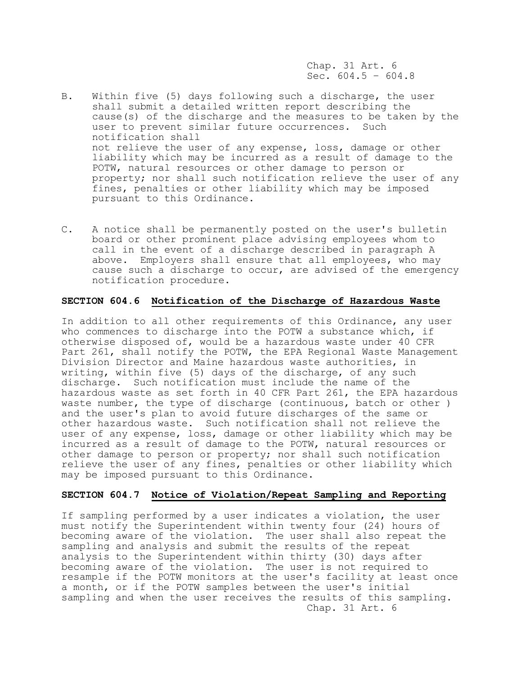Chap. 31 Art. 6 Sec.  $604.5 - 604.8$ 

- B. Within five (5) days following such a discharge, the user shall submit a detailed written report describing the cause(s) of the discharge and the measures to be taken by the user to prevent similar future occurrences. Such notification shall not relieve the user of any expense, loss, damage or other liability which may be incurred as a result of damage to the POTW, natural resources or other damage to person or property; nor shall such notification relieve the user of any fines, penalties or other liability which may be imposed pursuant to this Ordinance.
- C. A notice shall be permanently posted on the user's bulletin board or other prominent place advising employees whom to call in the event of a discharge described in paragraph A above. Employers shall ensure that all employees, who may cause such a discharge to occur, are advised of the emergency notification procedure.

# **SECTION 604.6 Notification of the Discharge of Hazardous Waste**

In addition to all other requirements of this Ordinance, any user who commences to discharge into the POTW a substance which, if otherwise disposed of, would be a hazardous waste under 40 CFR Part 261, shall notify the POTW, the EPA Regional Waste Management Division Director and Maine hazardous waste authorities, in writing, within five (5) days of the discharge, of any such discharge. Such notification must include the name of the hazardous waste as set forth in 40 CFR Part 261, the EPA hazardous waste number, the type of discharge (continuous, batch or other ) and the user's plan to avoid future discharges of the same or other hazardous waste. Such notification shall not relieve the user of any expense, loss, damage or other liability which may be incurred as a result of damage to the POTW, natural resources or other damage to person or property; nor shall such notification relieve the user of any fines, penalties or other liability which may be imposed pursuant to this Ordinance.

#### **SECTION 604.7 Notice of Violation/Repeat Sampling and Reporting**

If sampling performed by a user indicates a violation, the user must notify the Superintendent within twenty four (24) hours of becoming aware of the violation. The user shall also repeat the sampling and analysis and submit the results of the repeat analysis to the Superintendent within thirty (30) days after becoming aware of the violation. The user is not required to resample if the POTW monitors at the user's facility at least once a month, or if the POTW samples between the user's initial sampling and when the user receives the results of this sampling. Chap. 31 Art. 6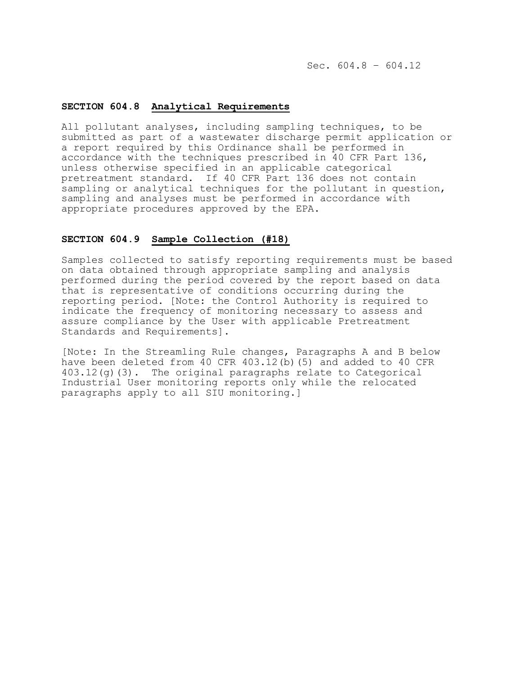Sec.  $604.8 - 604.12$ 

# **SECTION 604.8 Analytical Requirements**

All pollutant analyses, including sampling techniques, to be submitted as part of a wastewater discharge permit application or a report required by this Ordinance shall be performed in accordance with the techniques prescribed in 40 CFR Part 136, unless otherwise specified in an applicable categorical pretreatment standard. If 40 CFR Part 136 does not contain sampling or analytical techniques for the pollutant in question, sampling and analyses must be performed in accordance with appropriate procedures approved by the EPA.

# **SECTION 604.9 Sample Collection (#18)**

Samples collected to satisfy reporting requirements must be based on data obtained through appropriate sampling and analysis performed during the period covered by the report based on data that is representative of conditions occurring during the reporting period. [Note: the Control Authority is required to indicate the frequency of monitoring necessary to assess and assure compliance by the User with applicable Pretreatment Standards and Requirements].

[Note: In the Streamling Rule changes, Paragraphs A and B below have been deleted from 40 CFR 403.12(b)(5) and added to 40 CFR 403.12(g)(3). The original paragraphs relate to Categorical Industrial User monitoring reports only while the relocated paragraphs apply to all SIU monitoring.]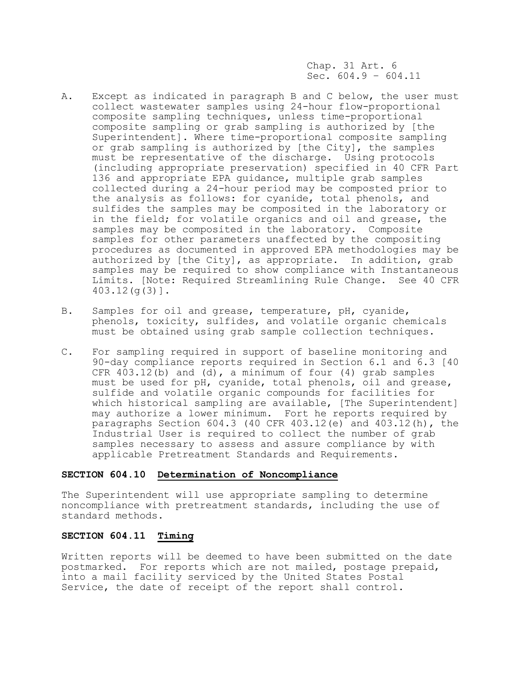Chap. 31 Art. 6 Sec.  $604.9 - 604.11$ 

- A. Except as indicated in paragraph B and C below, the user must collect wastewater samples using 24-hour flow-proportional composite sampling techniques, unless time-proportional composite sampling or grab sampling is authorized by [the Superintendent]. Where time-proportional composite sampling or grab sampling is authorized by [the City], the samples must be representative of the discharge. Using protocols (including appropriate preservation) specified in 40 CFR Part 136 and appropriate EPA guidance, multiple grab samples collected during a 24-hour period may be composted prior to the analysis as follows: for cyanide, total phenols, and sulfides the samples may be composited in the laboratory or in the field; for volatile organics and oil and grease, the samples may be composited in the laboratory. Composite samples for other parameters unaffected by the compositing procedures as documented in approved EPA methodologies may be authorized by [the City], as appropriate. In addition, grab samples may be required to show compliance with Instantaneous Limits. [Note: Required Streamlining Rule Change. See 40 CFR 403.12(g(3)].
- B. Samples for oil and grease, temperature, pH, cyanide, phenols, toxicity, sulfides, and volatile organic chemicals must be obtained using grab sample collection techniques.
- C. For sampling required in support of baseline monitoring and 90-day compliance reports required in Section 6.1 and 6.3 [40 CFR  $403.12(b)$  and  $(d)$ , a minimum of four  $(4)$  grab samples must be used for pH, cyanide, total phenols, oil and grease, sulfide and volatile organic compounds for facilities for which historical sampling are available, [The Superintendent] may authorize a lower minimum. Fort he reports required by paragraphs Section 604.3 (40 CFR 403.12(e) and 403.12(h), the Industrial User is required to collect the number of grab samples necessary to assess and assure compliance by with applicable Pretreatment Standards and Requirements.

## **SECTION 604.10 Determination of Noncompliance**

The Superintendent will use appropriate sampling to determine noncompliance with pretreatment standards, including the use of standard methods.

# **SECTION 604.11 Timing**

Written reports will be deemed to have been submitted on the date postmarked. For reports which are not mailed, postage prepaid, into a mail facility serviced by the United States Postal Service, the date of receipt of the report shall control.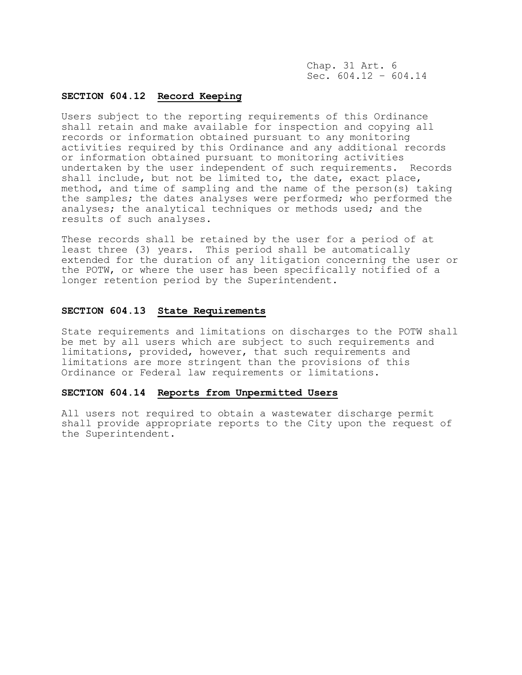Chap. 31 Art. 6 Sec.  $604.12 - 604.14$ 

# **SECTION 604.12 Record Keeping**

Users subject to the reporting requirements of this Ordinance shall retain and make available for inspection and copying all records or information obtained pursuant to any monitoring activities required by this Ordinance and any additional records or information obtained pursuant to monitoring activities undertaken by the user independent of such requirements. Records shall include, but not be limited to, the date, exact place, method, and time of sampling and the name of the person(s) taking the samples; the dates analyses were performed; who performed the analyses; the analytical techniques or methods used; and the results of such analyses.

These records shall be retained by the user for a period of at least three (3) years. This period shall be automatically extended for the duration of any litigation concerning the user or the POTW, or where the user has been specifically notified of a longer retention period by the Superintendent.

## **SECTION 604.13 State Requirements**

State requirements and limitations on discharges to the POTW shall be met by all users which are subject to such requirements and limitations, provided, however, that such requirements and limitations are more stringent than the provisions of this Ordinance or Federal law requirements or limitations.

# **SECTION 604.14 Reports from Unpermitted Users**

All users not required to obtain a wastewater discharge permit shall provide appropriate reports to the City upon the request of the Superintendent.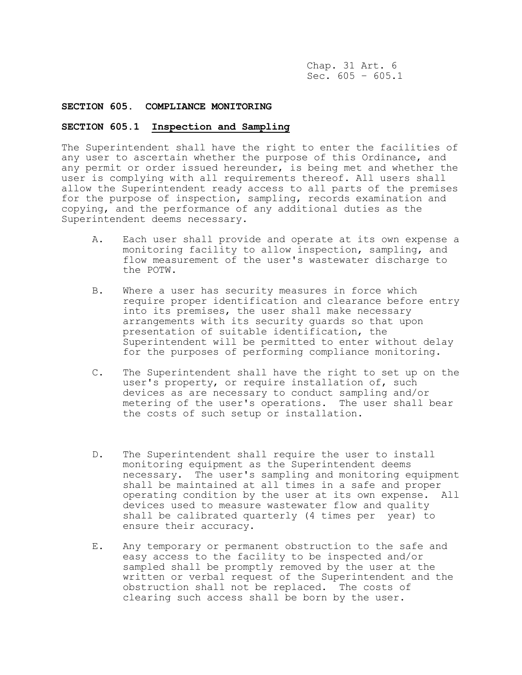Chap. 31 Art. 6 Sec.  $605 - 605.1$ 

### **SECTION 605. COMPLIANCE MONITORING**

# **SECTION 605.1 Inspection and Sampling**

The Superintendent shall have the right to enter the facilities of any user to ascertain whether the purpose of this Ordinance, and any permit or order issued hereunder, is being met and whether the user is complying with all requirements thereof. All users shall allow the Superintendent ready access to all parts of the premises for the purpose of inspection, sampling, records examination and copying, and the performance of any additional duties as the Superintendent deems necessary.

- A. Each user shall provide and operate at its own expense a monitoring facility to allow inspection, sampling, and flow measurement of the user's wastewater discharge to the POTW.
- B. Where a user has security measures in force which require proper identification and clearance before entry into its premises, the user shall make necessary arrangements with its security guards so that upon presentation of suitable identification, the Superintendent will be permitted to enter without delay for the purposes of performing compliance monitoring.
- C. The Superintendent shall have the right to set up on the user's property, or require installation of, such devices as are necessary to conduct sampling and/or metering of the user's operations. The user shall bear the costs of such setup or installation.
- D. The Superintendent shall require the user to install monitoring equipment as the Superintendent deems necessary. The user's sampling and monitoring equipment shall be maintained at all times in a safe and proper operating condition by the user at its own expense. All devices used to measure wastewater flow and quality shall be calibrated quarterly (4 times per year) to ensure their accuracy.
- E. Any temporary or permanent obstruction to the safe and easy access to the facility to be inspected and/or sampled shall be promptly removed by the user at the written or verbal request of the Superintendent and the obstruction shall not be replaced. The costs of clearing such access shall be born by the user.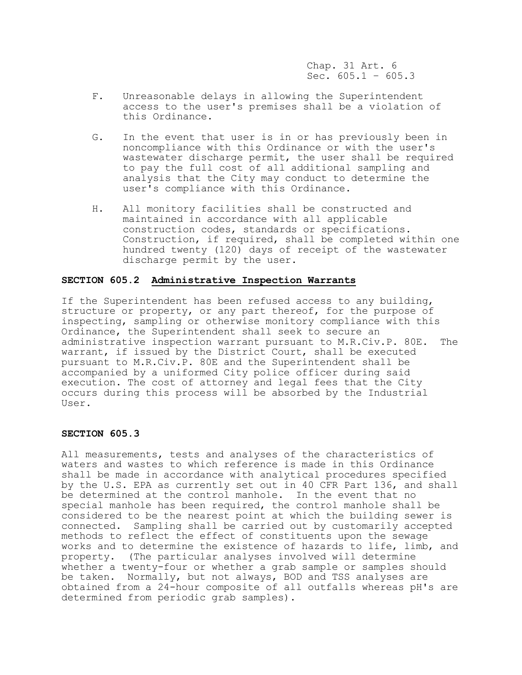Chap. 31 Art. 6 Sec.  $605.1 - 605.3$ 

- F. Unreasonable delays in allowing the Superintendent access to the user's premises shall be a violation of this Ordinance.
- G. In the event that user is in or has previously been in noncompliance with this Ordinance or with the user's wastewater discharge permit, the user shall be required to pay the full cost of all additional sampling and analysis that the City may conduct to determine the user's compliance with this Ordinance.
- H. All monitory facilities shall be constructed and maintained in accordance with all applicable construction codes, standards or specifications. Construction, if required, shall be completed within one hundred twenty (120) days of receipt of the wastewater discharge permit by the user.

# **SECTION 605.2 Administrative Inspection Warrants**

If the Superintendent has been refused access to any building, structure or property, or any part thereof, for the purpose of inspecting, sampling or otherwise monitory compliance with this Ordinance, the Superintendent shall seek to secure an administrative inspection warrant pursuant to M.R.Civ.P. 80E. The warrant, if issued by the District Court, shall be executed pursuant to M.R.Civ.P. 80E and the Superintendent shall be accompanied by a uniformed City police officer during said execution. The cost of attorney and legal fees that the City occurs during this process will be absorbed by the Industrial User.

### **SECTION 605.3**

All measurements, tests and analyses of the characteristics of waters and wastes to which reference is made in this Ordinance shall be made in accordance with analytical procedures specified by the U.S. EPA as currently set out in 40 CFR Part 136, and shall be determined at the control manhole. In the event that no special manhole has been required, the control manhole shall be considered to be the nearest point at which the building sewer is connected. Sampling shall be carried out by customarily accepted methods to reflect the effect of constituents upon the sewage works and to determine the existence of hazards to life, limb, and property. (The particular analyses involved will determine whether a twenty-four or whether a grab sample or samples should be taken. Normally, but not always, BOD and TSS analyses are obtained from a 24-hour composite of all outfalls whereas pH's are determined from periodic grab samples).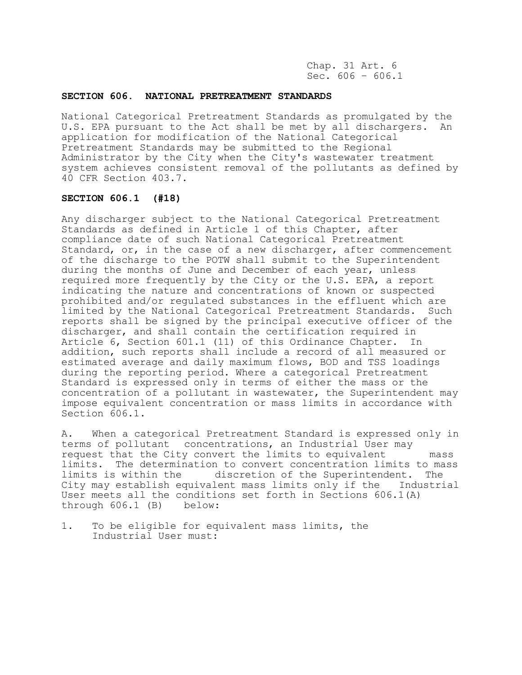Chap. 31 Art. 6 Sec.  $606 - 606.1$ 

#### **SECTION 606. NATIONAL PRETREATMENT STANDARDS**

National Categorical Pretreatment Standards as promulgated by the U.S. EPA pursuant to the Act shall be met by all dischargers. An application for modification of the National Categorical Pretreatment Standards may be submitted to the Regional Administrator by the City when the City's wastewater treatment system achieves consistent removal of the pollutants as defined by 40 CFR Section 403.7.

## **SECTION 606.1 (#18)**

Any discharger subject to the National Categorical Pretreatment Standards as defined in Article 1 of this Chapter, after compliance date of such National Categorical Pretreatment Standard, or, in the case of a new discharger, after commencement of the discharge to the POTW shall submit to the Superintendent during the months of June and December of each year, unless required more frequently by the City or the U.S. EPA, a report indicating the nature and concentrations of known or suspected prohibited and/or regulated substances in the effluent which are limited by the National Categorical Pretreatment Standards. Such reports shall be signed by the principal executive officer of the discharger, and shall contain the certification required in Article 6, Section 601.1 (11) of this Ordinance Chapter. In addition, such reports shall include a record of all measured or estimated average and daily maximum flows, BOD and TSS loadings during the reporting period. Where a categorical Pretreatment Standard is expressed only in terms of either the mass or the concentration of a pollutant in wastewater, the Superintendent may impose equivalent concentration or mass limits in accordance with Section 606.1.

A. When a categorical Pretreatment Standard is expressed only in terms of pollutant concentrations, an Industrial User may request that the City convert the limits to equivalent mass limits. The determination to convert concentration limits to mass limits is within the discretion of the Superintendent. The<br>City may establish equivalent mass limits only if the Industrial City may establish equivalent mass limits only if the User meets all the conditions set forth in Sections  $606.1(A)$ through 606.1 (B) below:

1. To be eligible for equivalent mass limits, the Industrial User must: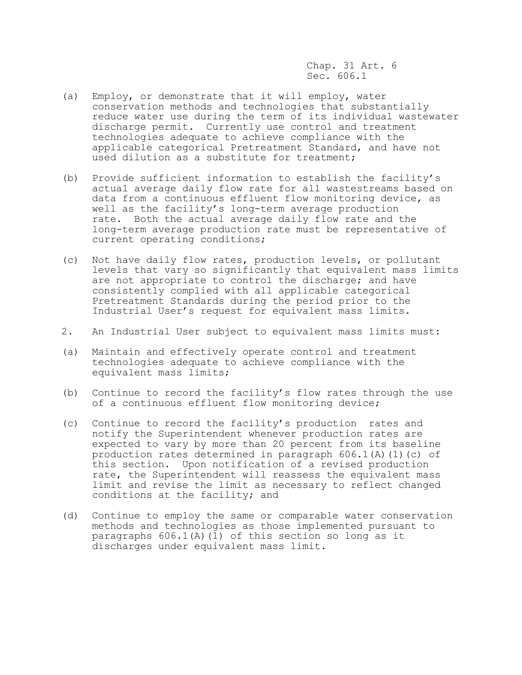Chap. 31 Art. 6 Sec. 606.1

- (a) Employ, or demonstrate that it will employ, water conservation methods and technologies that substantially reduce water use during the term of its individual wastewater discharge permit. Currently use control and treatment technologies adequate to achieve compliance with the applicable categorical Pretreatment Standard, and have not used dilution as a substitute for treatment;
- (b) Provide sufficient information to establish the facility's actual average daily flow rate for all wastestreams based on data from a continuous effluent flow monitoring device, as well as the facility's long-term average production rate. Both the actual average daily flow rate and the long-term average production rate must be representative of current operating conditions;
- (c) Not have daily flow rates, production levels, or pollutant levels that vary so significantly that equivalent mass limits are not appropriate to control the discharge; and have consistently complied with all applicable categorical Pretreatment Standards during the period prior to the Industrial User's request for equivalent mass limits.
- 2. An Industrial User subject to equivalent mass limits must:
- (a) Maintain and effectively operate control and treatment technologies adequate to achieve compliance with the equivalent mass limits;
- (b) Continue to record the facility's flow rates through the use of a continuous effluent flow monitoring device;
- (c) Continue to record the facility's production rates and notify the Superintendent whenever production rates are expected to vary by more than 20 percent from its baseline production rates determined in paragraph  $606.1(A)(1)(c)$  of this section. Upon notification of a revised production rate, the Superintendent will reassess the equivalent mass limit and revise the limit as necessary to reflect changed conditions at the facility; and
- (d) Continue to employ the same or comparable water conservation methods and technologies as those implemented pursuant to paragraphs  $606.1$ (A)(1) of this section so long as it discharges under equivalent mass limit.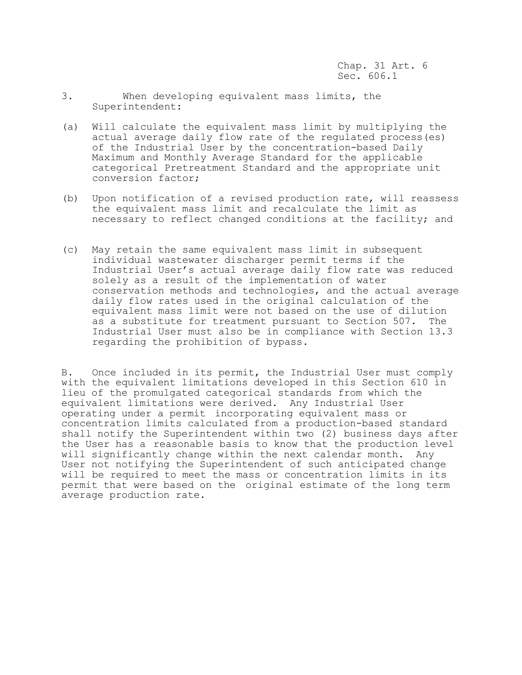- 3. When developing equivalent mass limits, the Superintendent:
- (a) Will calculate the equivalent mass limit by multiplying the actual average daily flow rate of the regulated process(es) of the Industrial User by the concentration-based Daily Maximum and Monthly Average Standard for the applicable categorical Pretreatment Standard and the appropriate unit conversion factor;
- (b) Upon notification of a revised production rate, will reassess the equivalent mass limit and recalculate the limit as necessary to reflect changed conditions at the facility; and
- (c) May retain the same equivalent mass limit in subsequent individual wastewater discharger permit terms if the Industrial User's actual average daily flow rate was reduced solely as a result of the implementation of water conservation methods and technologies, and the actual average daily flow rates used in the original calculation of the equivalent mass limit were not based on the use of dilution as a substitute for treatment pursuant to Section 507. The Industrial User must also be in compliance with Section 13.3 regarding the prohibition of bypass.

B. Once included in its permit, the Industrial User must comply with the equivalent limitations developed in this Section 610 in lieu of the promulgated categorical standards from which the equivalent limitations were derived. Any Industrial User operating under a permit incorporating equivalent mass or concentration limits calculated from a production-based standard shall notify the Superintendent within two (2) business days after the User has a reasonable basis to know that the production level will significantly change within the next calendar month. Any User not notifying the Superintendent of such anticipated change will be required to meet the mass or concentration limits in its permit that were based on the original estimate of the long term average production rate.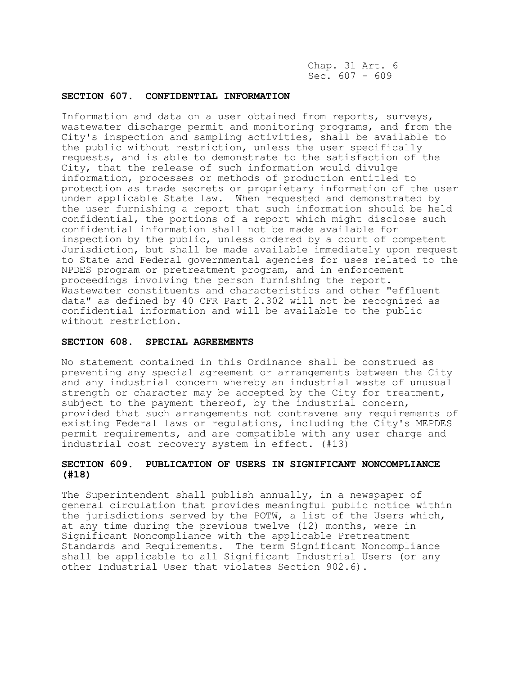Chap. 31 Art. 6 Sec.  $607 - 609$ 

## **SECTION 607. CONFIDENTIAL INFORMATION**

Information and data on a user obtained from reports, surveys, wastewater discharge permit and monitoring programs, and from the City's inspection and sampling activities, shall be available to the public without restriction, unless the user specifically requests, and is able to demonstrate to the satisfaction of the City, that the release of such information would divulge information, processes or methods of production entitled to protection as trade secrets or proprietary information of the user under applicable State law. When requested and demonstrated by the user furnishing a report that such information should be held confidential, the portions of a report which might disclose such confidential information shall not be made available for inspection by the public, unless ordered by a court of competent Jurisdiction, but shall be made available immediately upon request to State and Federal governmental agencies for uses related to the NPDES program or pretreatment program, and in enforcement proceedings involving the person furnishing the report. Wastewater constituents and characteristics and other "effluent data" as defined by 40 CFR Part 2.302 will not be recognized as confidential information and will be available to the public without restriction.

#### **SECTION 608. SPECIAL AGREEMENTS**

No statement contained in this Ordinance shall be construed as preventing any special agreement or arrangements between the City and any industrial concern whereby an industrial waste of unusual strength or character may be accepted by the City for treatment, subject to the payment thereof, by the industrial concern, provided that such arrangements not contravene any requirements of existing Federal laws or regulations, including the City's MEPDES permit requirements, and are compatible with any user charge and industrial cost recovery system in effect. (#13)

# **SECTION 609. PUBLICATION OF USERS IN SIGNIFICANT NONCOMPLIANCE (#18)**

The Superintendent shall publish annually, in a newspaper of general circulation that provides meaningful public notice within the jurisdictions served by the POTW, a list of the Users which, at any time during the previous twelve (12) months, were in Significant Noncompliance with the applicable Pretreatment Standards and Requirements. The term Significant Noncompliance shall be applicable to all Significant Industrial Users (or any other Industrial User that violates Section 902.6).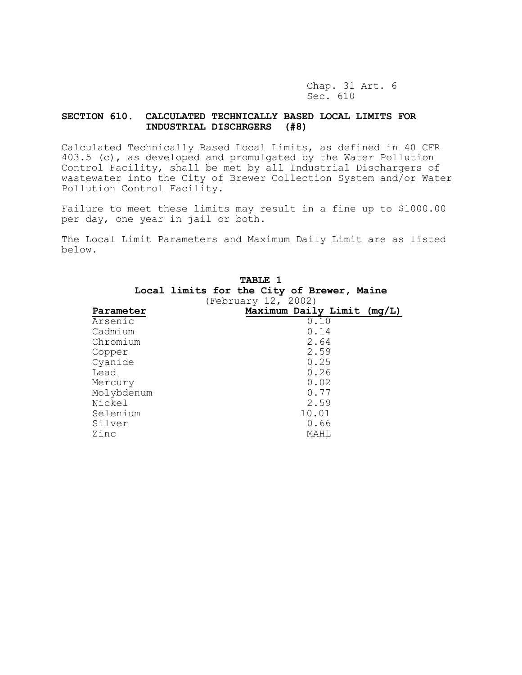Chap. 31 Art. 6 Sec. 610

# **SECTION 610. CALCULATED TECHNICALLY BASED LOCAL LIMITS FOR INDUSTRIAL DISCHRGERS (#8)**

Calculated Technically Based Local Limits, as defined in 40 CFR 403.5 (c), as developed and promulgated by the Water Pollution Control Facility, shall be met by all Industrial Dischargers of wastewater into the City of Brewer Collection System and/or Water Pollution Control Facility.

Failure to meet these limits may result in a fine up to \$1000.00 per day, one year in jail or both.

The Local Limit Parameters and Maximum Daily Limit are as listed below.

|            | <b>TABLE 1</b>                             |  |
|------------|--------------------------------------------|--|
|            | Local limits for the City of Brewer, Maine |  |
|            | (February 12, 2002)                        |  |
| Parameter  | Maximum Daily Limit (mg/L)                 |  |
| Arsenic    | 0.10                                       |  |
| Cadmium    | 0.14                                       |  |
| Chromium   | 2.64                                       |  |
| Copper     | 2.59                                       |  |
| Cyanide    | 0.25                                       |  |
| Lead       | 0.26                                       |  |
| Mercury    | 0.02                                       |  |
| Molybdenum | 0.77                                       |  |
| Nickel     | 2.59                                       |  |
| Selenium   | 10.01                                      |  |
| Silver     | 0.66                                       |  |
| Zinc       | MAHT.                                      |  |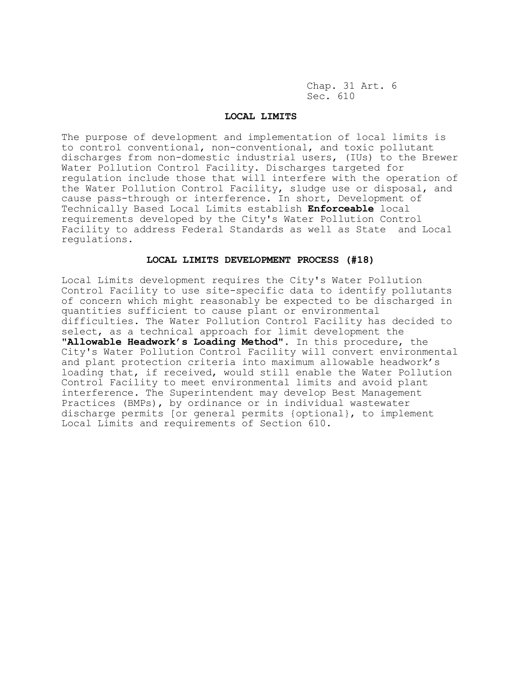Chap. 31 Art. 6 Sec. 610

#### **LOCAL LIMITS**

The purpose of development and implementation of local limits is to control conventional, non-conventional, and toxic pollutant discharges from non-domestic industrial users, (IUs) to the Brewer Water Pollution Control Facility. Discharges targeted for regulation include those that will interfere with the operation of the Water Pollution Control Facility, sludge use or disposal, and cause pass-through or interference. In short, Development of Technically Based Local Limits establish **Enforceable** local requirements developed by the City's Water Pollution Control Facility to address Federal Standards as well as State and Local regulations.

### **LOCAL LIMITS DEVELOPMENT PROCESS (#18)**

Local Limits development requires the City's Water Pollution Control Facility to use site-specific data to identify pollutants of concern which might reasonably be expected to be discharged in quantities sufficient to cause plant or environmental difficulties. The Water Pollution Control Facility has decided to select, as a technical approach for limit development the "**Allowable Headwork's Loading Method".** In this procedure, the City's Water Pollution Control Facility will convert environmental and plant protection criteria into maximum allowable headwork's loading that, if received, would still enable the Water Pollution Control Facility to meet environmental limits and avoid plant interference. The Superintendent may develop Best Management Practices (BMPs), by ordinance or in individual wastewater discharge permits [or general permits {optional}, to implement Local Limits and requirements of Section 610.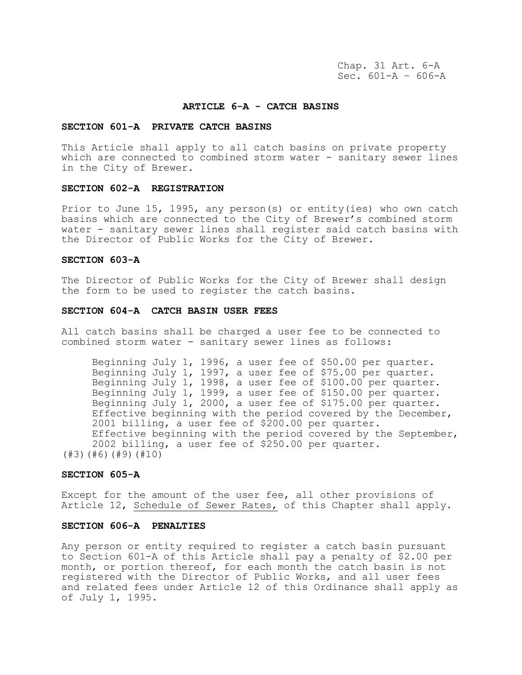Chap. 31 Art. 6-A Sec. 601-A – 606-A

#### **ARTICLE 6-A - CATCH BASINS**

## **SECTION 601-A PRIVATE CATCH BASINS**

This Article shall apply to all catch basins on private property which are connected to combined storm water - sanitary sewer lines in the City of Brewer.

## **SECTION 602-A REGISTRATION**

Prior to June 15, 1995, any person(s) or entity(ies) who own catch basins which are connected to the City of Brewer's combined storm water - sanitary sewer lines shall register said catch basins with the Director of Public Works for the City of Brewer.

# **SECTION 603-A**

The Director of Public Works for the City of Brewer shall design the form to be used to register the catch basins.

#### **SECTION 604-A CATCH BASIN USER FEES**

All catch basins shall be charged a user fee to be connected to combined storm water - sanitary sewer lines as follows:

Beginning July 1, 1996, a user fee of \$50.00 per quarter. Beginning July 1, 1997, a user fee of \$75.00 per quarter. Beginning July 1, 1998, a user fee of \$100.00 per quarter. Beginning July 1, 1999, a user fee of \$150.00 per quarter. Beginning July 1, 2000, a user fee of \$175.00 per quarter. Effective beginning with the period covered by the December, 2001 billing, a user fee of \$200.00 per quarter. Effective beginning with the period covered by the September, 2002 billing, a user fee of \$250.00 per quarter. (#3)(#6)(#9)(#10)

#### **SECTION 605-A**

Except for the amount of the user fee, all other provisions of Article 12, Schedule of Sewer Rates, of this Chapter shall apply.

# **SECTION 606-A PENALTIES**

Any person or entity required to register a catch basin pursuant to Section 601-A of this Article shall pay a penalty of \$2.00 per month, or portion thereof, for each month the catch basin is not registered with the Director of Public Works, and all user fees and related fees under Article 12 of this Ordinance shall apply as of July 1, 1995.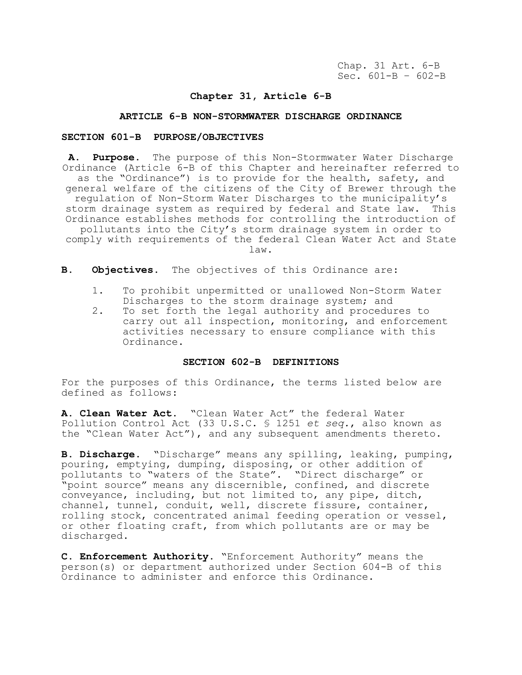# **Chapter 31, Article 6-B**

## **ARTICLE 6-B NON-STORMWATER DISCHARGE ORDINANCE**

## **SECTION 601-B PURPOSE/OBJECTIVES**

**A. Purpose.** The purpose of this Non-Stormwater Water Discharge Ordinance (Article 6-B of this Chapter and hereinafter referred to as the "Ordinance") is to provide for the health, safety, and general welfare of the citizens of the City of Brewer through the regulation of Non-Storm Water Discharges to the municipality's storm drainage system as required by federal and State law. This Ordinance establishes methods for controlling the introduction of pollutants into the City's storm drainage system in order to comply with requirements of the federal Clean Water Act and State

law.

- **B. Objectives.** The objectives of this Ordinance are:
	- 1. To prohibit unpermitted or unallowed Non-Storm Water Discharges to the storm drainage system; and
	- 2. To set forth the legal authority and procedures to carry out all inspection, monitoring, and enforcement activities necessary to ensure compliance with this Ordinance.

#### **SECTION 602-B DEFINITIONS**

For the purposes of this Ordinance, the terms listed below are defined as follows:

**A. Clean Water Act.** "Clean Water Act" the federal Water Pollution Control Act (33 U.S.C. § 1251 *et seq.*, also known as the "Clean Water Act"), and any subsequent amendments thereto.

**B. Discharge.** "Discharge" means any spilling, leaking, pumping, pouring, emptying, dumping, disposing, or other addition of pollutants to "waters of the State". "Direct discharge" or "point source" means any discernible, confined, and discrete conveyance, including, but not limited to, any pipe, ditch, channel, tunnel, conduit, well, discrete fissure, container, rolling stock, concentrated animal feeding operation or vessel, or other floating craft, from which pollutants are or may be discharged.

**C. Enforcement Authority.** "Enforcement Authority" means the person(s) or department authorized under Section 604-B of this Ordinance to administer and enforce this Ordinance.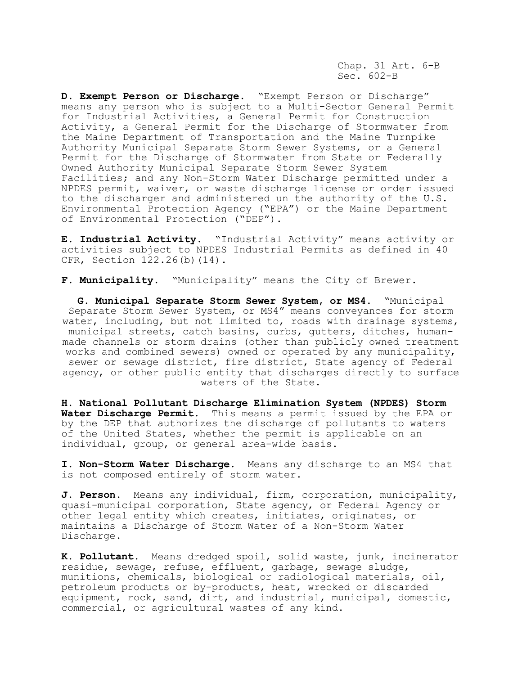Chap. 31 Art. 6-B Sec. 602-B

**D. Exempt Person or Discharge.** "Exempt Person or Discharge" means any person who is subject to a Multi-Sector General Permit for Industrial Activities, a General Permit for Construction Activity, a General Permit for the Discharge of Stormwater from the Maine Department of Transportation and the Maine Turnpike Authority Municipal Separate Storm Sewer Systems, or a General Permit for the Discharge of Stormwater from State or Federally Owned Authority Municipal Separate Storm Sewer System Facilities; and any Non-Storm Water Discharge permitted under a NPDES permit, waiver, or waste discharge license or order issued to the discharger and administered un the authority of the U.S. Environmental Protection Agency ("EPA") or the Maine Department of Environmental Protection ("DEP").

**E. Industrial Activity.** "Industrial Activity" means activity or activities subject to NPDES Industrial Permits as defined in 40 CFR, Section 122.26(b)(14).

**F. Municipality.** "Municipality" means the City of Brewer.

**G. Municipal Separate Storm Sewer System, or MS4.** "Municipal Separate Storm Sewer System, or MS4" means conveyances for storm water, including, but not limited to, roads with drainage systems, municipal streets, catch basins, curbs, gutters, ditches, humanmade channels or storm drains (other than publicly owned treatment works and combined sewers) owned or operated by any municipality, sewer or sewage district, fire district, State agency of Federal agency, or other public entity that discharges directly to surface waters of the State.

**H. National Pollutant Discharge Elimination System (NPDES) Storm Water Discharge Permit.** This means a permit issued by the EPA or by the DEP that authorizes the discharge of pollutants to waters of the United States, whether the permit is applicable on an individual, group, or general area-wide basis.

**I. Non-Storm Water Discharge.** Means any discharge to an MS4 that is not composed entirely of storm water.

**J. Person.** Means any individual, firm, corporation, municipality, quasi-municipal corporation, State agency, or Federal Agency or other legal entity which creates, initiates, originates, or maintains a Discharge of Storm Water of a Non-Storm Water Discharge.

**K. Pollutant.** Means dredged spoil, solid waste, junk, incinerator residue, sewage, refuse, effluent, garbage, sewage sludge, munitions, chemicals, biological or radiological materials, oil, petroleum products or by-products, heat, wrecked or discarded equipment, rock, sand, dirt, and industrial, municipal, domestic, commercial, or agricultural wastes of any kind.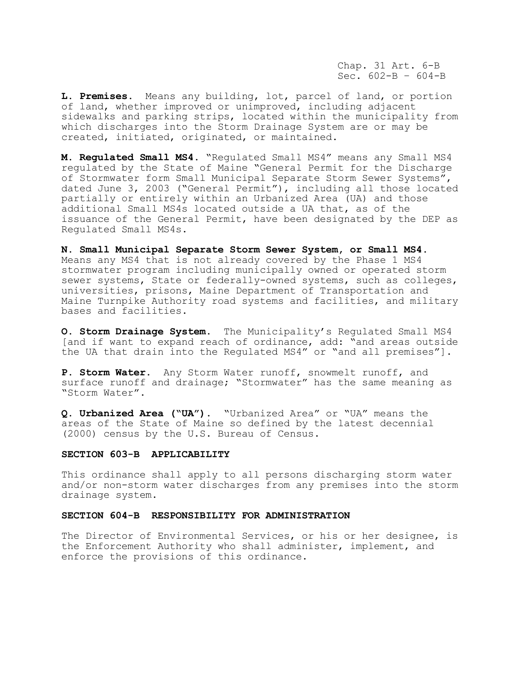Chap. 31 Art. 6-B Sec.  $602-B - 604-B$ 

**L. Premises.** Means any building, lot, parcel of land, or portion of land, whether improved or unimproved, including adjacent sidewalks and parking strips, located within the municipality from which discharges into the Storm Drainage System are or may be created, initiated, originated, or maintained.

**M. Regulated Small MS4.** "Regulated Small MS4" means any Small MS4 regulated by the State of Maine "General Permit for the Discharge of Stormwater form Small Municipal Separate Storm Sewer Systems", dated June 3, 2003 ("General Permit"), including all those located partially or entirely within an Urbanized Area (UA) and those additional Small MS4s located outside a UA that, as of the issuance of the General Permit, have been designated by the DEP as Regulated Small MS4s.

**N. Small Municipal Separate Storm Sewer System, or Small MS4.**  Means any MS4 that is not already covered by the Phase 1 MS4 stormwater program including municipally owned or operated storm sewer systems, State or federally-owned systems, such as colleges, universities, prisons, Maine Department of Transportation and Maine Turnpike Authority road systems and facilities, and military bases and facilities.

**O. Storm Drainage System.** The Municipality's Regulated Small MS4 [and if want to expand reach of ordinance, add: "and areas outside the UA that drain into the Regulated MS4" or "and all premises"].

**P. Storm Water**. Any Storm Water runoff, snowmelt runoff, and surface runoff and drainage; "Stormwater" has the same meaning as "Storm Water".

**Q. Urbanized Area ("UA").** "Urbanized Area" or "UA" means the areas of the State of Maine so defined by the latest decennial (2000) census by the U.S. Bureau of Census.

#### **SECTION 603-B APPLICABILITY**

This ordinance shall apply to all persons discharging storm water and/or non-storm water discharges from any premises into the storm drainage system.

### **SECTION 604-B RESPONSIBILITY FOR ADMINISTRATION**

The Director of Environmental Services, or his or her designee, is the Enforcement Authority who shall administer, implement, and enforce the provisions of this ordinance.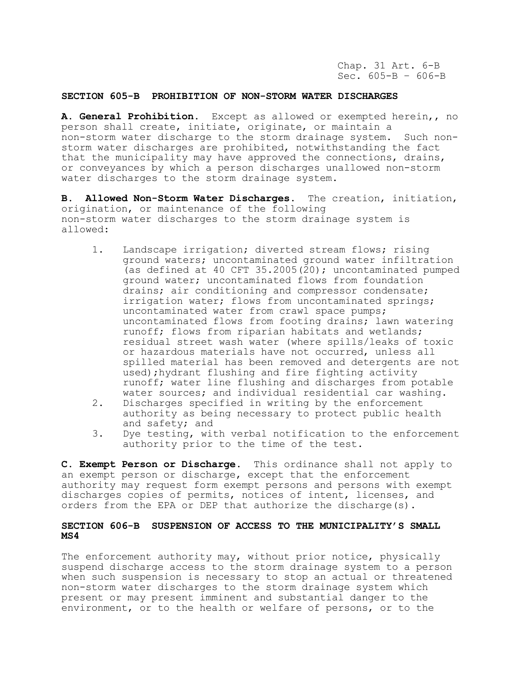Chap. 31 Art. 6-B Sec.  $605-B - 606-B$ 

### **SECTION 605-B PROHIBITION OF NON-STORM WATER DISCHARGES**

**A. General Prohibition.** Except as allowed or exempted herein,, no person shall create, initiate, originate, or maintain a non-storm water discharge to the storm drainage system. Such nonstorm water discharges are prohibited, notwithstanding the fact that the municipality may have approved the connections, drains, or conveyances by which a person discharges unallowed non-storm water discharges to the storm drainage system.

**B. Allowed Non-Storm Water Discharges.** The creation, initiation, origination, or maintenance of the following non-storm water discharges to the storm drainage system is allowed:

- 1. Landscape irrigation; diverted stream flows; rising ground waters; uncontaminated ground water infiltration (as defined at 40 CFT 35.2005(20); uncontaminated pumped ground water; uncontaminated flows from foundation drains; air conditioning and compressor condensate; irrigation water; flows from uncontaminated springs; uncontaminated water from crawl space pumps; uncontaminated flows from footing drains; lawn watering runoff; flows from riparian habitats and wetlands; residual street wash water (where spills/leaks of toxic or hazardous materials have not occurred, unless all spilled material has been removed and detergents are not used);hydrant flushing and fire fighting activity runoff; water line flushing and discharges from potable water sources; and individual residential car washing.
- 2. Discharges specified in writing by the enforcement authority as being necessary to protect public health and safety; and
- 3. Dye testing, with verbal notification to the enforcement authority prior to the time of the test.

**C. Exempt Person or Discharge.** This ordinance shall not apply to an exempt person or discharge, except that the enforcement authority may request form exempt persons and persons with exempt discharges copies of permits, notices of intent, licenses, and orders from the EPA or DEP that authorize the discharge(s).

# **SECTION 606-B SUSPENSION OF ACCESS TO THE MUNICIPALITY'S SMALL MS4**

The enforcement authority may, without prior notice, physically suspend discharge access to the storm drainage system to a person when such suspension is necessary to stop an actual or threatened non-storm water discharges to the storm drainage system which present or may present imminent and substantial danger to the environment, or to the health or welfare of persons, or to the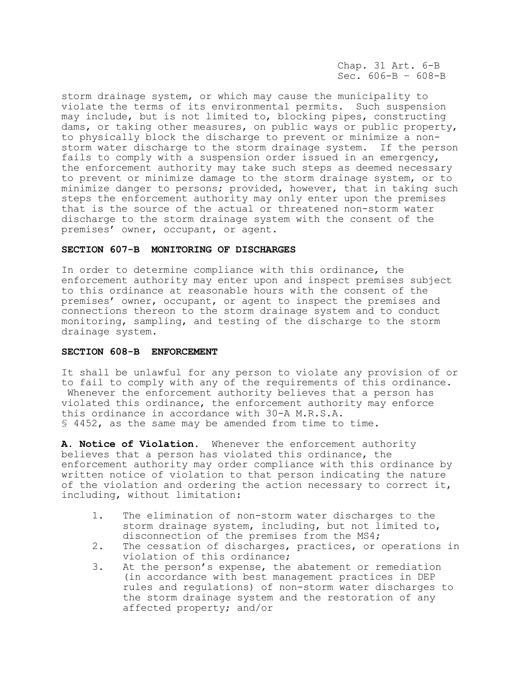Chap. 31 Art. 6-B Sec. 606-B – 608-B

storm drainage system, or which may cause the municipality to violate the terms of its environmental permits. Such suspension may include, but is not limited to, blocking pipes, constructing dams, or taking other measures, on public ways or public property, to physically block the discharge to prevent or minimize a nonstorm water discharge to the storm drainage system. If the person fails to comply with a suspension order issued in an emergency, the enforcement authority may take such steps as deemed necessary to prevent or minimize damage to the storm drainage system, or to minimize danger to persons; provided, however, that in taking such steps the enforcement authority may only enter upon the premises that is the source of the actual or threatened non-storm water discharge to the storm drainage system with the consent of the premises' owner, occupant, or agent.

## **SECTION 607-B MONITORING OF DISCHARGES**

In order to determine compliance with this ordinance, the enforcement authority may enter upon and inspect premises subject to this ordinance at reasonable hours with the consent of the premises' owner, occupant, or agent to inspect the premises and connections thereon to the storm drainage system and to conduct monitoring, sampling, and testing of the discharge to the storm drainage system.

# **SECTION 608-B ENFORCEMENT**

It shall be unlawful for any person to violate any provision of or to fail to comply with any of the requirements of this ordinance. Whenever the enforcement authority believes that a person has violated this ordinance, the enforcement authority may enforce this ordinance in accordance with 30-A M.R.S.A. § 4452, as the same may be amended from time to time.

**A. Notice of Violation.** Whenever the enforcement authority believes that a person has violated this ordinance, the enforcement authority may order compliance with this ordinance by written notice of violation to that person indicating the nature of the violation and ordering the action necessary to correct it, including, without limitation:

- 1. The elimination of non-storm water discharges to the storm drainage system, including, but not limited to, disconnection of the premises from the MS4;
- 2. The cessation of discharges, practices, or operations in violation of this ordinance;
- 3. At the person's expense, the abatement or remediation (in accordance with best management practices in DEP rules and regulations) of non-storm water discharges to the storm drainage system and the restoration of any affected property; and/or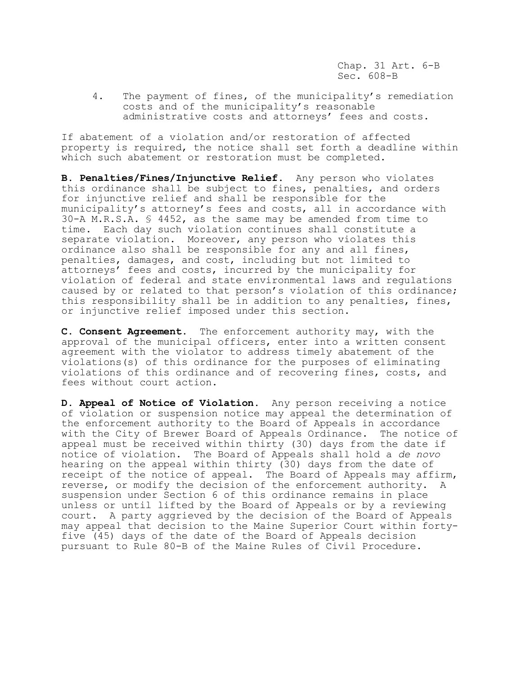Chap. 31 Art. 6-B Sec. 608-B

4. The payment of fines, of the municipality's remediation costs and of the municipality's reasonable administrative costs and attorneys' fees and costs.

If abatement of a violation and/or restoration of affected property is required, the notice shall set forth a deadline within which such abatement or restoration must be completed.

**B. Penalties/Fines/Injunctive Relief.** Any person who violates this ordinance shall be subject to fines, penalties, and orders for injunctive relief and shall be responsible for the municipality's attorney's fees and costs, all in accordance with 30-A M.R.S.A. § 4452, as the same may be amended from time to time. Each day such violation continues shall constitute a separate violation. Moreover, any person who violates this ordinance also shall be responsible for any and all fines, penalties, damages, and cost, including but not limited to attorneys' fees and costs, incurred by the municipality for violation of federal and state environmental laws and regulations caused by or related to that person's violation of this ordinance; this responsibility shall be in addition to any penalties, fines, or injunctive relief imposed under this section.

**C. Consent Agreement.** The enforcement authority may, with the approval of the municipal officers, enter into a written consent agreement with the violator to address timely abatement of the violations(s) of this ordinance for the purposes of eliminating violations of this ordinance and of recovering fines, costs, and fees without court action.

**D. Appeal of Notice of Violation.** Any person receiving a notice of violation or suspension notice may appeal the determination of the enforcement authority to the Board of Appeals in accordance with the City of Brewer Board of Appeals Ordinance. The notice of appeal must be received within thirty (30) days from the date if notice of violation. The Board of Appeals shall hold a *de novo* hearing on the appeal within thirty  $(30)$  days from the date of receipt of the notice of appeal. The Board of Appeals may affirm, reverse, or modify the decision of the enforcement authority. A suspension under Section 6 of this ordinance remains in place unless or until lifted by the Board of Appeals or by a reviewing court. A party aggrieved by the decision of the Board of Appeals may appeal that decision to the Maine Superior Court within fortyfive (45) days of the date of the Board of Appeals decision pursuant to Rule 80-B of the Maine Rules of Civil Procedure.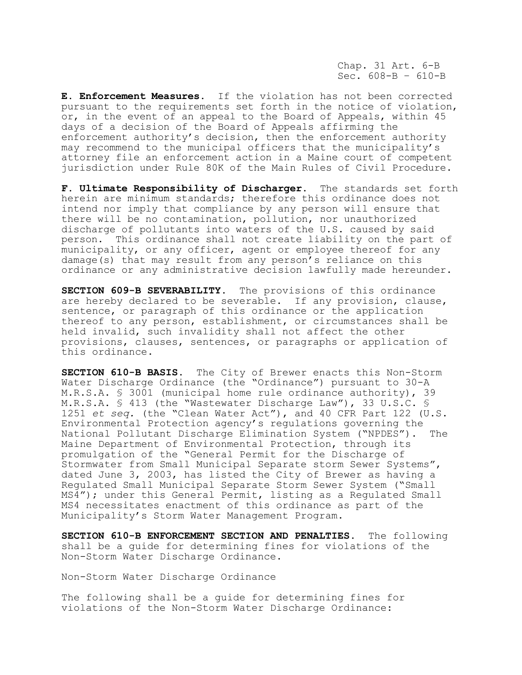Chap. 31 Art. 6-B Sec. 608-B – 610-B

**E. Enforcement Measures.** If the violation has not been corrected pursuant to the requirements set forth in the notice of violation, or, in the event of an appeal to the Board of Appeals, within 45 days of a decision of the Board of Appeals affirming the enforcement authority's decision, then the enforcement authority may recommend to the municipal officers that the municipality's attorney file an enforcement action in a Maine court of competent jurisdiction under Rule 80K of the Main Rules of Civil Procedure.

**F. Ultimate Responsibility of Discharger.** The standards set forth herein are minimum standards; therefore this ordinance does not intend nor imply that compliance by any person will ensure that there will be no contamination, pollution, nor unauthorized discharge of pollutants into waters of the U.S. caused by said person. This ordinance shall not create liability on the part of municipality, or any officer, agent or employee thereof for any damage(s) that may result from any person's reliance on this ordinance or any administrative decision lawfully made hereunder.

**SECTION 609-B SEVERABILITY.** The provisions of this ordinance are hereby declared to be severable. If any provision, clause, sentence, or paragraph of this ordinance or the application thereof to any person, establishment, or circumstances shall be held invalid, such invalidity shall not affect the other provisions, clauses, sentences, or paragraphs or application of this ordinance.

**SECTION 610-B BASIS.** The City of Brewer enacts this Non-Storm Water Discharge Ordinance (the "Ordinance") pursuant to 30-A M.R.S.A. § 3001 (municipal home rule ordinance authority), 39 M.R.S.A. § 413 (the "Wastewater Discharge Law"), 33 U.S.C. § 1251 *et seq.* (the "Clean Water Act"), and 40 CFR Part 122 (U.S. Environmental Protection agency's regulations governing the National Pollutant Discharge Elimination System ("NPDES"). The Maine Department of Environmental Protection, through its promulgation of the "General Permit for the Discharge of Stormwater from Small Municipal Separate storm Sewer Systems", dated June 3, 2003, has listed the City of Brewer as having a Regulated Small Municipal Separate Storm Sewer System ("Small MS4"); under this General Permit, listing as a Regulated Small MS4 necessitates enactment of this ordinance as part of the Municipality's Storm Water Management Program.

**SECTION 610-B ENFORCEMENT SECTION AND PENALTIES.** The following shall be a guide for determining fines for violations of the Non-Storm Water Discharge Ordinance.

Non-Storm Water Discharge Ordinance

The following shall be a guide for determining fines for violations of the Non-Storm Water Discharge Ordinance: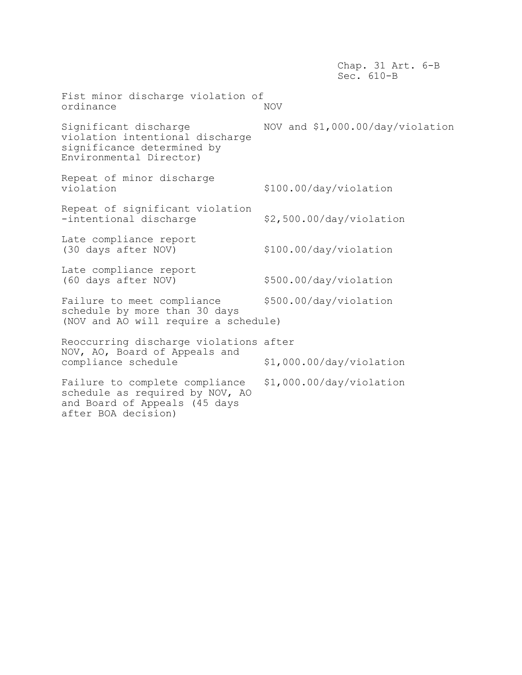Chap. 31 Art. 6-B Sec. 610-B Fist minor discharge violation of ordinance NOV Significant discharge NOV and \$1,000.00/day/violation violation intentional discharge significance determined by Environmental Director) Repeat of minor discharge<br>violation violation \$100.00/day/violation Repeat of significant violation -intentional discharge  $\frac{2}{500.00}/\text{day}/\text{violation}$ Late compliance report (30 days after NOV) \$100.00/day/violation Late compliance report (60 days after NOV) \$500.00/day/violation Failure to meet compliance \$500.00/day/violation schedule by more than 30 days (NOV and AO will require a schedule) Reoccurring discharge violations after NOV, AO, Board of Appeals and compliance schedule  $$1,000.00/day/violation$ Failure to complete compliance \$1,000.00/day/violation schedule as required by NOV, AO and Board of Appeals (45 days after BOA decision)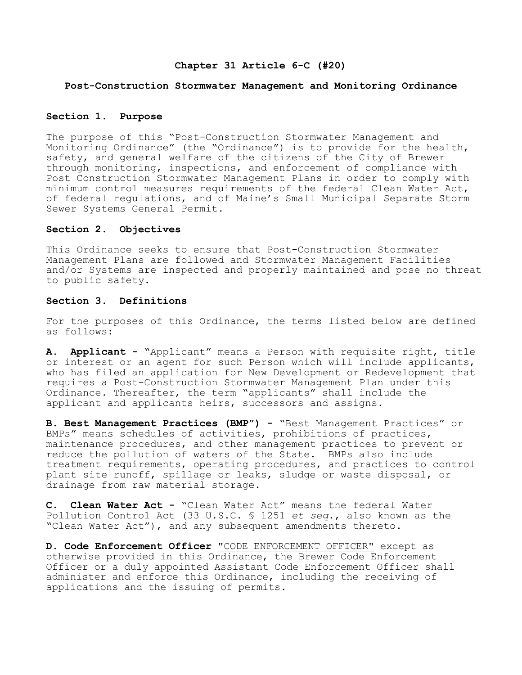# **Chapter 31 Article 6-C (#20)**

## **Post-Construction Stormwater Management and Monitoring Ordinance**

## **Section 1. Purpose**

The purpose of this "Post-Construction Stormwater Management and Monitoring Ordinance" (the "Ordinance") is to provide for the health, safety, and general welfare of the citizens of the City of Brewer through monitoring, inspections, and enforcement of compliance with Post Construction Stormwater Management Plans in order to comply with minimum control measures requirements of the federal Clean Water Act, of federal regulations, and of Maine's Small Municipal Separate Storm Sewer Systems General Permit.

### **Section 2. Objectives**

This Ordinance seeks to ensure that Post-Construction Stormwater Management Plans are followed and Stormwater Management Facilities and/or Systems are inspected and properly maintained and pose no threat to public safety.

# **Section 3. Definitions**

For the purposes of this Ordinance, the terms listed below are defined as follows:

**A. Applicant -** "Applicant" means a Person with requisite right, title or interest or an agent for such Person which will include applicants, who has filed an application for New Development or Redevelopment that requires a Post-Construction Stormwater Management Plan under this Ordinance. Thereafter, the term "applicants" shall include the applicant and applicants heirs, successors and assigns.

**B. Best Management Practices (BMP") -** "Best Management Practices" or BMPs" means schedules of activities, prohibitions of practices, maintenance procedures, and other management practices to prevent or reduce the pollution of waters of the State. BMPs also include treatment requirements, operating procedures, and practices to control plant site runoff, spillage or leaks, sludge or waste disposal, or drainage from raw material storage.

**C. Clean Water Act -** "Clean Water Act" means the federal Water Pollution Control Act (33 U.S.C. § 1251 *et seq*., also known as the "Clean Water Act"), and any subsequent amendments thereto.

**D. Code Enforcement Officer** "CODE ENFORCEMENT OFFICER" except as otherwise provided in this Ordinance, the Brewer Code Enforcement Officer or a duly appointed Assistant Code Enforcement Officer shall administer and enforce this Ordinance, including the receiving of applications and the issuing of permits.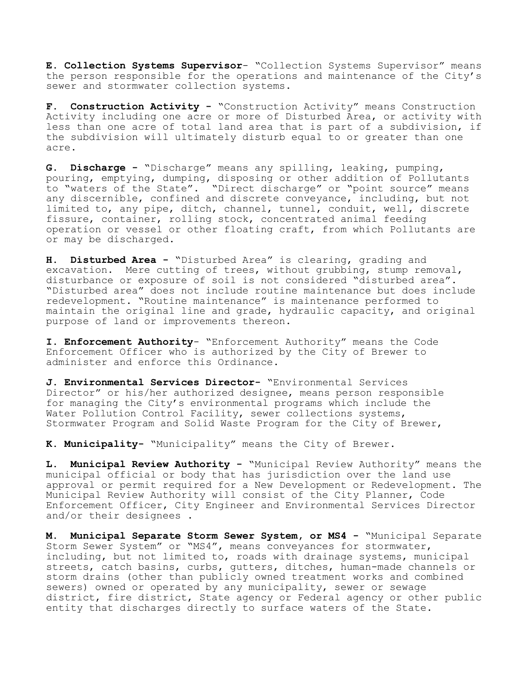**E. Collection Systems Supervisor**- "Collection Systems Supervisor" means the person responsible for the operations and maintenance of the City's sewer and stormwater collection systems**.**

**F. Construction Activity -** "Construction Activity" means Construction Activity including one acre or more of Disturbed Area, or activity with less than one acre of total land area that is part of a subdivision, if the subdivision will ultimately disturb equal to or greater than one acre.

**G. Discharge -** "Discharge" means any spilling, leaking, pumping, pouring, emptying, dumping, disposing or other addition of Pollutants to "waters of the State". "Direct discharge" or "point source" means any discernible, confined and discrete conveyance, including, but not limited to, any pipe, ditch, channel, tunnel, conduit, well, discrete fissure, container, rolling stock, concentrated animal feeding operation or vessel or other floating craft, from which Pollutants are or may be discharged.

**H. Disturbed Area -** "Disturbed Area" is clearing, grading and excavation. Mere cutting of trees, without grubbing, stump removal, disturbance or exposure of soil is not considered "disturbed area". "Disturbed area" does not include routine maintenance but does include redevelopment. "Routine maintenance" is maintenance performed to maintain the original line and grade, hydraulic capacity, and original purpose of land or improvements thereon.

**I. Enforcement Authority**- "Enforcement Authority" means the Code Enforcement Officer who is authorized by the City of Brewer to administer and enforce this Ordinance.

**J. Environmental Services Director-** "Environmental Services Director" or his/her authorized designee, means person responsible for managing the City's environmental programs which include the Water Pollution Control Facility, sewer collections systems, Stormwater Program and Solid Waste Program for the City of Brewer,

**K. Municipality-** "Municipality" means the City of Brewer.

**L. Municipal Review Authority -** "Municipal Review Authority" means the municipal official or body that has jurisdiction over the land use approval or permit required for a New Development or Redevelopment. The Municipal Review Authority will consist of the City Planner, Code Enforcement Officer, City Engineer and Environmental Services Director and/or their designees .

**M. Municipal Separate Storm Sewer System, or MS4 -** "Municipal Separate Storm Sewer System" or "MS4", means conveyances for stormwater, including, but not limited to, roads with drainage systems, municipal streets, catch basins, curbs, gutters, ditches, human-made channels or storm drains (other than publicly owned treatment works and combined sewers) owned or operated by any municipality, sewer or sewage district, fire district, State agency or Federal agency or other public entity that discharges directly to surface waters of the State.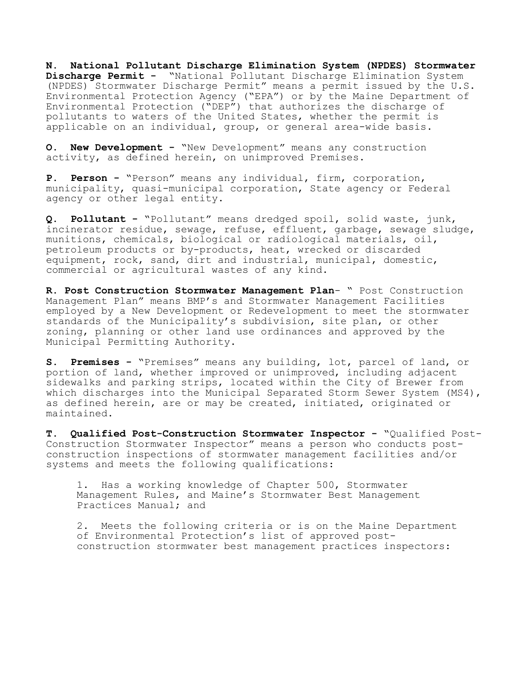**N. National Pollutant Discharge Elimination System (NPDES) Stormwater Discharge Permit -** "National Pollutant Discharge Elimination System (NPDES) Stormwater Discharge Permit" means a permit issued by the U.S. Environmental Protection Agency ("EPA") or by the Maine Department of Environmental Protection ("DEP") that authorizes the discharge of pollutants to waters of the United States, whether the permit is applicable on an individual, group, or general area-wide basis.

**O. New Development -** "New Development" means any construction activity, as defined herein, on unimproved Premises.

**P. Person -** "Person" means any individual, firm, corporation, municipality, quasi-municipal corporation, State agency or Federal agency or other legal entity.

**Q. Pollutant -** "Pollutant" means dredged spoil, solid waste, junk, incinerator residue, sewage, refuse, effluent, garbage, sewage sludge, munitions, chemicals, biological or radiological materials, oil, petroleum products or by-products, heat, wrecked or discarded equipment, rock, sand, dirt and industrial, municipal, domestic, commercial or agricultural wastes of any kind.

**R. Post Construction Stormwater Management Plan**- " Post Construction Management Plan" means BMP's and Stormwater Management Facilities employed by a New Development or Redevelopment to meet the stormwater standards of the Municipality's subdivision, site plan, or other zoning, planning or other land use ordinances and approved by the Municipal Permitting Authority.

**S. Premises -** "Premises" means any building, lot, parcel of land, or portion of land, whether improved or unimproved, including adjacent sidewalks and parking strips, located within the City of Brewer from which discharges into the Municipal Separated Storm Sewer System (MS4), as defined herein, are or may be created, initiated, originated or maintained.

**T. Qualified Post-Construction Stormwater Inspector -** "Qualified Post-Construction Stormwater Inspector" means a person who conducts postconstruction inspections of stormwater management facilities and/or systems and meets the following qualifications:

1. Has a working knowledge of Chapter 500, Stormwater Management Rules, and Maine's Stormwater Best Management Practices Manual; and

2. Meets the following criteria or is on the Maine Department of Environmental Protection's list of approved postconstruction stormwater best management practices inspectors: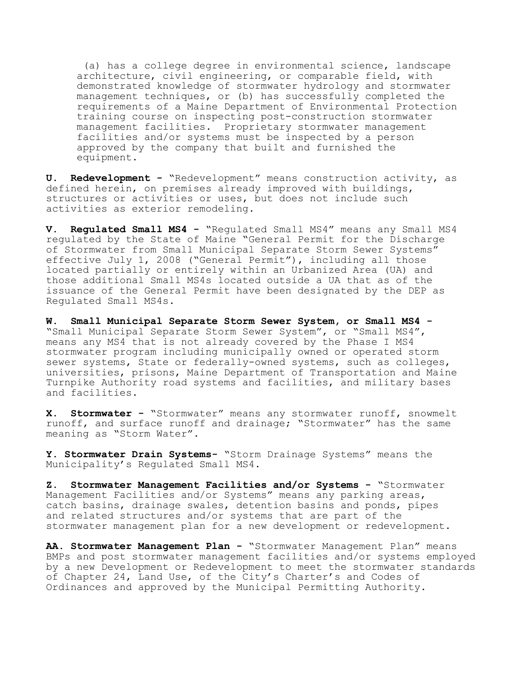(a) has a college degree in environmental science, landscape architecture, civil engineering, or comparable field, with demonstrated knowledge of stormwater hydrology and stormwater management techniques, or (b) has successfully completed the requirements of a Maine Department of Environmental Protection training course on inspecting post-construction stormwater management facilities. Proprietary stormwater management facilities and/or systems must be inspected by a person approved by the company that built and furnished the equipment.

**U. Redevelopment -** "Redevelopment" means construction activity, as defined herein, on premises already improved with buildings, structures or activities or uses, but does not include such activities as exterior remodeling.

**V. Regulated Small MS4 -** "Regulated Small MS4" means any Small MS4 regulated by the State of Maine "General Permit for the Discharge of Stormwater from Small Municipal Separate Storm Sewer Systems" effective July 1, 2008 ("General Permit"), including all those located partially or entirely within an Urbanized Area (UA) and those additional Small MS4s located outside a UA that as of the issuance of the General Permit have been designated by the DEP as Regulated Small MS4s.

**W. Small Municipal Separate Storm Sewer System, or Small MS4 -** "Small Municipal Separate Storm Sewer System", or "Small MS4", means any MS4 that is not already covered by the Phase I MS4 stormwater program including municipally owned or operated storm sewer systems, State or federally-owned systems, such as colleges, universities, prisons, Maine Department of Transportation and Maine Turnpike Authority road systems and facilities, and military bases and facilities.

**X. Stormwater -** "Stormwater" means any stormwater runoff, snowmelt runoff, and surface runoff and drainage; "Stormwater" has the same meaning as "Storm Water".

**Y. Stormwater Drain Systems-** "Storm Drainage Systems" means the Municipality's Regulated Small MS4.

**Z. Stormwater Management Facilities and/or Systems -** "Stormwater Management Facilities and/or Systems" means any parking areas, catch basins, drainage swales, detention basins and ponds, pipes and related structures and/or systems that are part of the stormwater management plan for a new development or redevelopment.

**AA. Stormwater Management Plan -** "Stormwater Management Plan" means BMPs and post stormwater management facilities and/or systems employed by a new Development or Redevelopment to meet the stormwater standards of Chapter 24, Land Use, of the City's Charter's and Codes of Ordinances and approved by the Municipal Permitting Authority.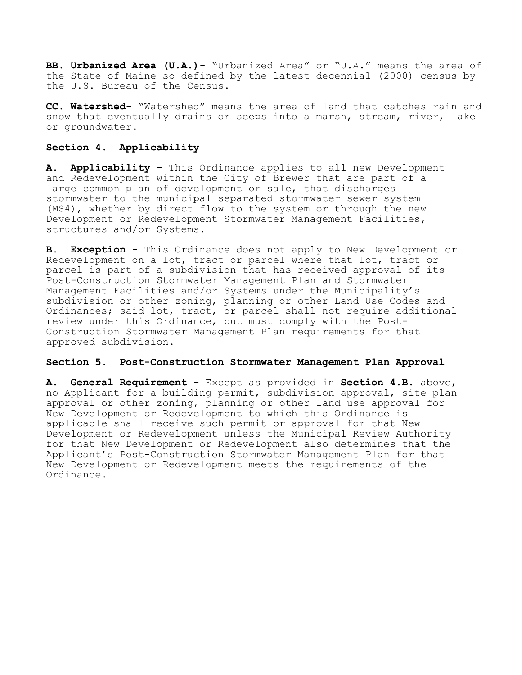**BB. Urbanized Area (U.A.)-** "Urbanized Area" or "U.A." means the area of the State of Maine so defined by the latest decennial (2000) census by the U.S. Bureau of the Census.

**CC. Watershed**- "Watershed" means the area of land that catches rain and snow that eventually drains or seeps into a marsh, stream, river, lake or groundwater.

# **Section 4. Applicability**

**A**. **Applicability -** This Ordinance applies to all new Development and Redevelopment within the City of Brewer that are part of a large common plan of development or sale, that discharges stormwater to the municipal separated stormwater sewer system (MS4), whether by direct flow to the system or through the new Development or Redevelopment Stormwater Management Facilities, structures and/or Systems.

**B. Exception -** This Ordinance does not apply to New Development or Redevelopment on a lot, tract or parcel where that lot, tract or parcel is part of a subdivision that has received approval of its Post-Construction Stormwater Management Plan and Stormwater Management Facilities and/or Systems under the Municipality's subdivision or other zoning, planning or other Land Use Codes and Ordinances; said lot, tract, or parcel shall not require additional review under this Ordinance, but must comply with the Post-Construction Stormwater Management Plan requirements for that approved subdivision.

# **Section 5. Post-Construction Stormwater Management Plan Approval**

**A. General Requirement -** Except as provided in **Section 4.B.** above, no Applicant for a building permit, subdivision approval, site plan approval or other zoning, planning or other land use approval for New Development or Redevelopment to which this Ordinance is applicable shall receive such permit or approval for that New Development or Redevelopment unless the Municipal Review Authority for that New Development or Redevelopment also determines that the Applicant's Post-Construction Stormwater Management Plan for that New Development or Redevelopment meets the requirements of the Ordinance.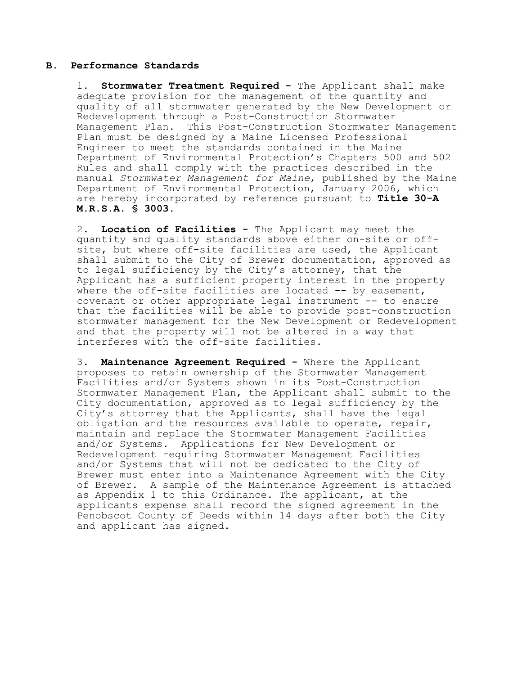# **B. Performance Standards**

1. **Stormwater Treatment Required -** The Applicant shall make adequate provision for the management of the quantity and quality of all stormwater generated by the New Development or Redevelopment through a Post-Construction Stormwater Management Plan. This Post-Construction Stormwater Management Plan must be designed by a Maine Licensed Professional Engineer to meet the standards contained in the Maine Department of Environmental Protection's Chapters 500 and 502 Rules and shall comply with the practices described in the manual *Stormwater Management for Maine*, published by the Maine Department of Environmental Protection, January 2006, which are hereby incorporated by reference pursuant to **Title 30-A M.R.S.A. § 3003**.

2. **Location of Facilities -** The Applicant may meet the quantity and quality standards above either on-site or offsite, but where off-site facilities are used, the Applicant shall submit to the City of Brewer documentation, approved as to legal sufficiency by the City's attorney, that the Applicant has a sufficient property interest in the property where the off-site facilities are located -- by easement, covenant or other appropriate legal instrument -- to ensure that the facilities will be able to provide post-construction stormwater management for the New Development or Redevelopment and that the property will not be altered in a way that interferes with the off-site facilities.

3. **Maintenance Agreement Required -** Where the Applicant proposes to retain ownership of the Stormwater Management Facilities and/or Systems shown in its Post-Construction Stormwater Management Plan, the Applicant shall submit to the City documentation, approved as to legal sufficiency by the City's attorney that the Applicants, shall have the legal obligation and the resources available to operate, repair, maintain and replace the Stormwater Management Facilities and/or Systems. Applications for New Development or Redevelopment requiring Stormwater Management Facilities and/or Systems that will not be dedicated to the City of Brewer must enter into a Maintenance Agreement with the City of Brewer. A sample of the Maintenance Agreement is attached as Appendix 1 to this Ordinance. The applicant, at the applicants expense shall record the signed agreement in the Penobscot County of Deeds within 14 days after both the City and applicant has signed.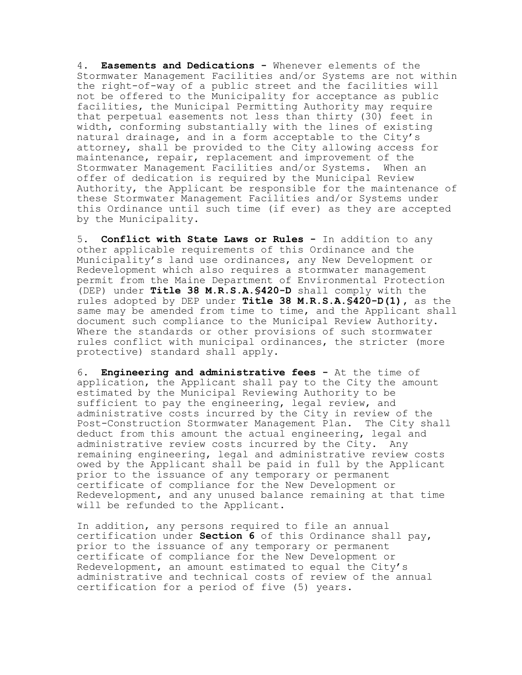4. **Easements and Dedications -** Whenever elements of the Stormwater Management Facilities and/or Systems are not within the right-of-way of a public street and the facilities will not be offered to the Municipality for acceptance as public facilities, the Municipal Permitting Authority may require that perpetual easements not less than thirty (30) feet in width, conforming substantially with the lines of existing natural drainage, and in a form acceptable to the City's attorney, shall be provided to the City allowing access for maintenance, repair, replacement and improvement of the Stormwater Management Facilities and/or Systems. When an offer of dedication is required by the Municipal Review Authority, the Applicant be responsible for the maintenance of these Stormwater Management Facilities and/or Systems under this Ordinance until such time (if ever) as they are accepted by the Municipality.

5. **Conflict with State Laws or Rules -** In addition to any other applicable requirements of this Ordinance and the Municipality's land use ordinances, any New Development or Redevelopment which also requires a stormwater management permit from the Maine Department of Environmental Protection (DEP) under **Title 38 M.R.S.A.§420-D** shall comply with the rules adopted by DEP under **Title 38 M.R.S.A.§420-D(1),** as the same may be amended from time to time, and the Applicant shall document such compliance to the Municipal Review Authority. Where the standards or other provisions of such stormwater rules conflict with municipal ordinances, the stricter (more protective) standard shall apply.

6. **Engineering and administrative fees -** At the time of application, the Applicant shall pay to the City the amount estimated by the Municipal Reviewing Authority to be sufficient to pay the engineering, legal review, and administrative costs incurred by the City in review of the Post-Construction Stormwater Management Plan. The City shall deduct from this amount the actual engineering, legal and administrative review costs incurred by the City. Any remaining engineering, legal and administrative review costs owed by the Applicant shall be paid in full by the Applicant prior to the issuance of any temporary or permanent certificate of compliance for the New Development or Redevelopment, and any unused balance remaining at that time will be refunded to the Applicant.

In addition, any persons required to file an annual certification under **Section 6** of this Ordinance shall pay, prior to the issuance of any temporary or permanent certificate of compliance for the New Development or Redevelopment, an amount estimated to equal the City's administrative and technical costs of review of the annual certification for a period of five (5) years.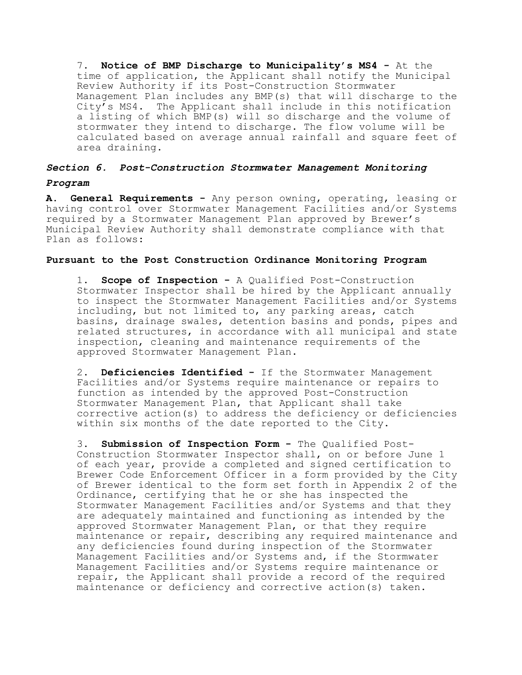7. **Notice of BMP Discharge to Municipality's MS4 -** At the time of application, the Applicant shall notify the Municipal Review Authority if its Post-Construction Stormwater Management Plan includes any BMP(s) that will discharge to the City's MS4. The Applicant shall include in this notification a listing of which BMP(s) will so discharge and the volume of stormwater they intend to discharge. The flow volume will be calculated based on average annual rainfall and square feet of area draining.

# *Section 6. Post-Construction Stormwater Management Monitoring*

# *Program*

**A. General Requirements -** Any person owning, operating, leasing or having control over Stormwater Management Facilities and/or Systems required by a Stormwater Management Plan approved by Brewer's Municipal Review Authority shall demonstrate compliance with that Plan as follows:

# **Pursuant to the Post Construction Ordinance Monitoring Program**

1. **Scope of Inspection -** A Qualified Post-Construction Stormwater Inspector shall be hired by the Applicant annually to inspect the Stormwater Management Facilities and/or Systems including, but not limited to, any parking areas, catch basins, drainage swales, detention basins and ponds, pipes and related structures, in accordance with all municipal and state inspection, cleaning and maintenance requirements of the approved Stormwater Management Plan.

2. **Deficiencies Identified -** If the Stormwater Management Facilities and/or Systems require maintenance or repairs to function as intended by the approved Post-Construction Stormwater Management Plan, that Applicant shall take corrective action(s) to address the deficiency or deficiencies within six months of the date reported to the City.

3. **Submission of Inspection Form -** The Qualified Post-Construction Stormwater Inspector shall, on or before June 1 of each year, provide a completed and signed certification to Brewer Code Enforcement Officer in a form provided by the City of Brewer identical to the form set forth in Appendix 2 of the Ordinance, certifying that he or she has inspected the Stormwater Management Facilities and/or Systems and that they are adequately maintained and functioning as intended by the approved Stormwater Management Plan, or that they require maintenance or repair, describing any required maintenance and any deficiencies found during inspection of the Stormwater Management Facilities and/or Systems and, if the Stormwater Management Facilities and/or Systems require maintenance or repair, the Applicant shall provide a record of the required maintenance or deficiency and corrective action(s) taken.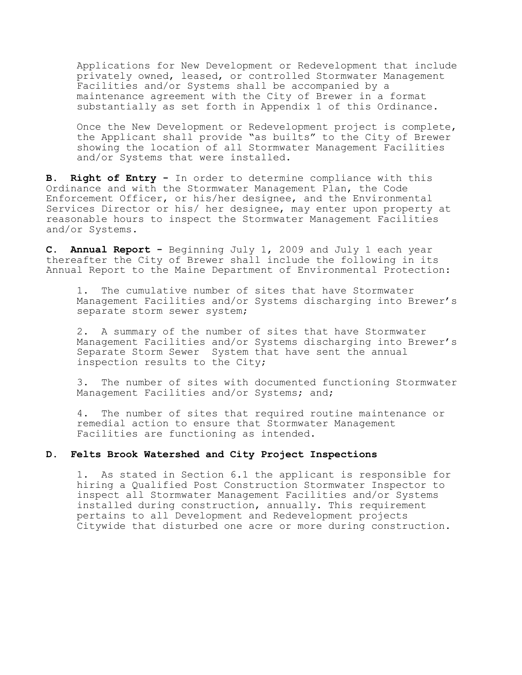Applications for New Development or Redevelopment that include privately owned, leased, or controlled Stormwater Management Facilities and/or Systems shall be accompanied by a maintenance agreement with the City of Brewer in a format substantially as set forth in Appendix 1 of this Ordinance.

Once the New Development or Redevelopment project is complete, the Applicant shall provide "as builts" to the City of Brewer showing the location of all Stormwater Management Facilities and/or Systems that were installed.

**B. Right of Entry -** In order to determine compliance with this Ordinance and with the Stormwater Management Plan, the Code Enforcement Officer, or his/her designee, and the Environmental Services Director or his/ her designee, may enter upon property at reasonable hours to inspect the Stormwater Management Facilities and/or Systems.

**C. Annual Report -** Beginning July 1, 2009 and July 1 each year thereafter the City of Brewer shall include the following in its Annual Report to the Maine Department of Environmental Protection:

1. The cumulative number of sites that have Stormwater Management Facilities and/or Systems discharging into Brewer's separate storm sewer system;

2. A summary of the number of sites that have Stormwater Management Facilities and/or Systems discharging into Brewer's Separate Storm Sewer System that have sent the annual inspection results to the City;

3. The number of sites with documented functioning Stormwater Management Facilities and/or Systems; and;

4. The number of sites that required routine maintenance or remedial action to ensure that Stormwater Management Facilities are functioning as intended.

# **D. Felts Brook Watershed and City Project Inspections**

1.As stated in Section 6.1 the applicant is responsible for hiring a Qualified Post Construction Stormwater Inspector to inspect all Stormwater Management Facilities and/or Systems installed during construction, annually. This requirement pertains to all Development and Redevelopment projects Citywide that disturbed one acre or more during construction.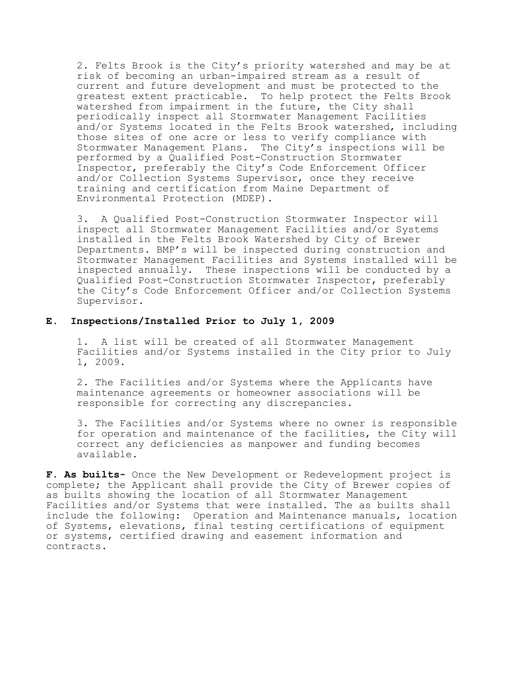2. Felts Brook is the City's priority watershed and may be at risk of becoming an urban-impaired stream as a result of current and future development and must be protected to the greatest extent practicable. To help protect the Felts Brook watershed from impairment in the future, the City shall periodically inspect all Stormwater Management Facilities and/or Systems located in the Felts Brook watershed, including those sites of one acre or less to verify compliance with Stormwater Management Plans. The City's inspections will be performed by a Qualified Post-Construction Stormwater Inspector, preferably the City's Code Enforcement Officer and/or Collection Systems Supervisor, once they receive training and certification from Maine Department of Environmental Protection (MDEP).

3. A Qualified Post-Construction Stormwater Inspector will inspect all Stormwater Management Facilities and/or Systems installed in the Felts Brook Watershed by City of Brewer Departments. BMP's will be inspected during construction and Stormwater Management Facilities and Systems installed will be inspected annually. These inspections will be conducted by a Qualified Post-Construction Stormwater Inspector, preferably the City's Code Enforcement Officer and/or Collection Systems Supervisor.

# **E. Inspections/Installed Prior to July 1, 2009**

1. A list will be created of all Stormwater Management Facilities and/or Systems installed in the City prior to July 1, 2009.

2. The Facilities and/or Systems where the Applicants have maintenance agreements or homeowner associations will be responsible for correcting any discrepancies.

3. The Facilities and/or Systems where no owner is responsible for operation and maintenance of the facilities, the City will correct any deficiencies as manpower and funding becomes available.

**F. As builts-** Once the New Development or Redevelopment project is complete; the Applicant shall provide the City of Brewer copies of as builts showing the location of all Stormwater Management Facilities and/or Systems that were installed. The as builts shall include the following: Operation and Maintenance manuals, location of Systems, elevations, final testing certifications of equipment or systems, certified drawing and easement information and contracts.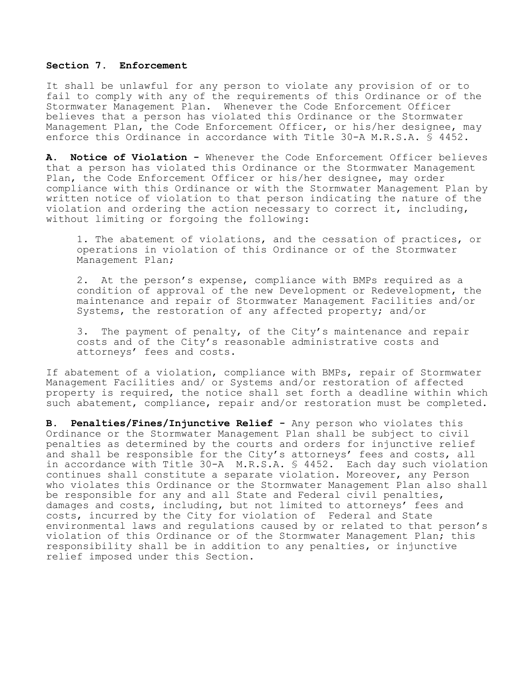## **Section 7. Enforcement**

It shall be unlawful for any person to violate any provision of or to fail to comply with any of the requirements of this Ordinance or of the Stormwater Management Plan. Whenever the Code Enforcement Officer believes that a person has violated this Ordinance or the Stormwater Management Plan, the Code Enforcement Officer, or his/her designee, may enforce this Ordinance in accordance with Title 30-A M.R.S.A. § 4452.

**A. Notice of Violation -** Whenever the Code Enforcement Officer believes that a person has violated this Ordinance or the Stormwater Management Plan, the Code Enforcement Officer or his/her designee, may order compliance with this Ordinance or with the Stormwater Management Plan by written notice of violation to that person indicating the nature of the violation and ordering the action necessary to correct it, including, without limiting or forgoing the following:

1. The abatement of violations, and the cessation of practices, or operations in violation of this Ordinance or of the Stormwater Management Plan;

2. At the person's expense, compliance with BMPs required as a condition of approval of the new Development or Redevelopment, the maintenance and repair of Stormwater Management Facilities and/or Systems, the restoration of any affected property; and/or

3. The payment of penalty, of the City's maintenance and repair costs and of the City's reasonable administrative costs and attorneys' fees and costs.

If abatement of a violation, compliance with BMPs, repair of Stormwater Management Facilities and/ or Systems and/or restoration of affected property is required, the notice shall set forth a deadline within which such abatement, compliance, repair and/or restoration must be completed.

**B. Penalties/Fines/Injunctive Relief -** Any person who violates this Ordinance or the Stormwater Management Plan shall be subject to civil penalties as determined by the courts and orders for injunctive relief and shall be responsible for the City's attorneys' fees and costs, all in accordance with Title 30-A M.R.S.A. § 4452. Each day such violation continues shall constitute a separate violation. Moreover, any Person who violates this Ordinance or the Stormwater Management Plan also shall be responsible for any and all State and Federal civil penalties, damages and costs, including, but not limited to attorneys' fees and costs, incurred by the City for violation of Federal and State environmental laws and regulations caused by or related to that person's violation of this Ordinance or of the Stormwater Management Plan; this responsibility shall be in addition to any penalties, or injunctive relief imposed under this Section.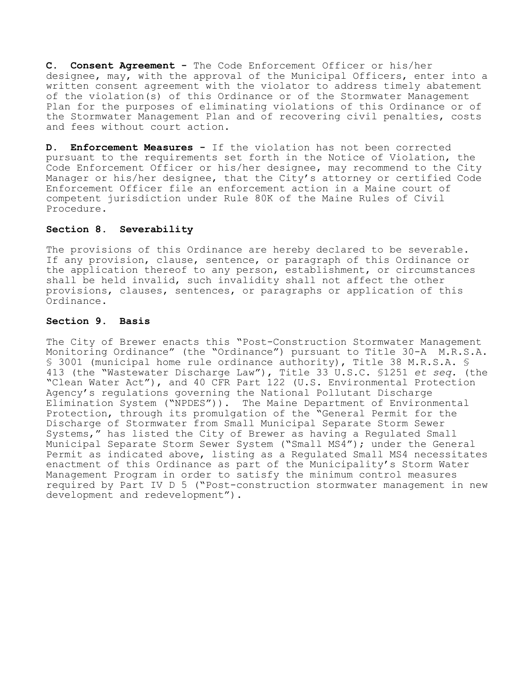**C. Consent Agreement -** The Code Enforcement Officer or his/her designee, may, with the approval of the Municipal Officers, enter into a written consent agreement with the violator to address timely abatement of the violation(s) of this Ordinance or of the Stormwater Management Plan for the purposes of eliminating violations of this Ordinance or of the Stormwater Management Plan and of recovering civil penalties, costs and fees without court action.

**D. Enforcement Measures -** If the violation has not been corrected pursuant to the requirements set forth in the Notice of Violation, the Code Enforcement Officer or his/her designee, may recommend to the City Manager or his/her designee, that the City's attorney or certified Code Enforcement Officer file an enforcement action in a Maine court of competent jurisdiction under Rule 80K of the Maine Rules of Civil Procedure.

# **Section 8. Severability**

The provisions of this Ordinance are hereby declared to be severable. If any provision, clause, sentence, or paragraph of this Ordinance or the application thereof to any person, establishment, or circumstances shall be held invalid, such invalidity shall not affect the other provisions, clauses, sentences, or paragraphs or application of this Ordinance.

# **Section 9. Basis**

The City of Brewer enacts this "Post-Construction Stormwater Management Monitoring Ordinance" (the "Ordinance") pursuant to Title 30-A M.R.S.A. § 3001 (municipal home rule ordinance authority), Title 38 M.R.S.A. § 413 (the "Wastewater Discharge Law"), Title 33 U.S.C. §1251 *et seq.* (the "Clean Water Act"), and 40 CFR Part 122 (U.S. Environmental Protection Agency's regulations governing the National Pollutant Discharge Elimination System ("NPDES")). The Maine Department of Environmental Protection, through its promulgation of the "General Permit for the Discharge of Stormwater from Small Municipal Separate Storm Sewer Systems," has listed the City of Brewer as having a Regulated Small Municipal Separate Storm Sewer System ("Small MS4"); under the General Permit as indicated above, listing as a Regulated Small MS4 necessitates enactment of this Ordinance as part of the Municipality's Storm Water Management Program in order to satisfy the minimum control measures required by Part IV D 5 ("Post-construction stormwater management in new development and redevelopment").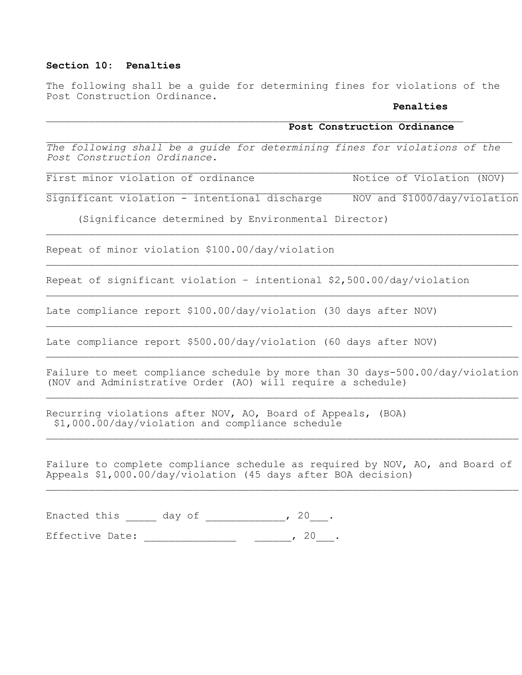# **Section 10: Penalties**

The following shall be a guide for determining fines for violations of the Post Construction Ordinance.

### **Penalties**

# **Post Construction Ordinance**

*The following shall be a guide for determining fines for violations of the Post Construction Ordinance.*

First minor violation of ordinance Notice of Violation (NOV)

Significant violation - intentional discharge NOV and \$1000/day/violation

(Significance determined by Environmental Director)

Repeat of minor violation \$100.00/day/violation

Repeat of significant violation – intentional \$2,500.00/day/violation

Late compliance report \$100.00/day/violation (30 days after NOV)

Late compliance report \$500.00/day/violation (60 days after NOV)

Failure to meet compliance schedule by more than 30 days-500.00/day/violation (NOV and Administrative Order (AO) will require a schedule)

Recurring violations after NOV, AO, Board of Appeals, (BOA) \$1,000.00/day/violation and compliance schedule

Failure to complete compliance schedule as required by NOV, AO, and Board of Appeals \$1,000.00/day/violation (45 days after BOA decision)

Enacted this \_\_\_\_\_ day of \_\_\_\_\_\_\_\_\_\_\_\_, 20\_\_\_.

Effective Date: \_\_\_\_\_\_\_\_\_\_\_\_\_\_\_\_\_\_\_\_\_\_\_\_\_\_, 20\_\_\_.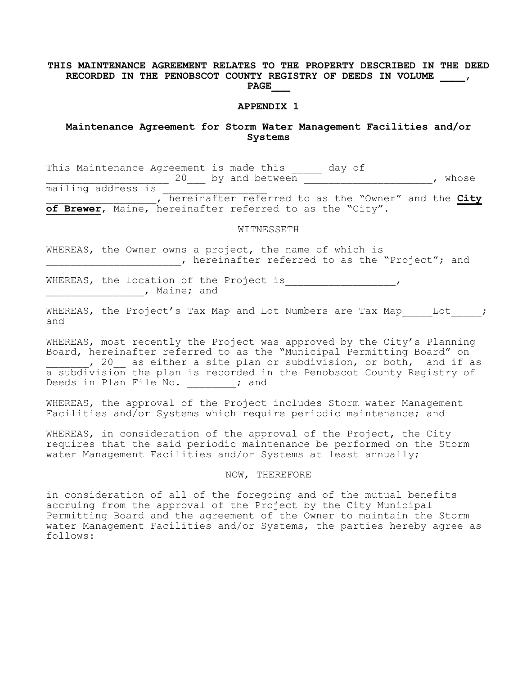## **THIS MAINTENANCE AGREEMENT RELATES TO THE PROPERTY DESCRIBED IN THE DEED RECORDED IN THE PENOBSCOT COUNTY REGISTRY OF DEEDS IN VOLUME \_\_\_\_, PAGE\_\_\_**

#### **APPENDIX 1**

# **Maintenance Agreement for Storm Water Management Facilities and/or Systems**

This Maintenance Agreement is made this and day of 20 by and between the state of the state of the state of the state of the state of the state of the state of the state of the state of the state of the state of the state of the state of the state of the state of the state  $\overline{\text{main}}$  address is \_\_\_\_\_\_\_\_\_\_\_\_\_\_\_\_\_\_, hereinafter referred to as the "Owner" and the **City of Brewer**, Maine, hereinafter referred to as the "City".

WITNESSETH

WHEREAS, the Owner owns a project, the name of which is , hereinafter referred to as the "Project"; and

WHEREAS, the location of the Project is\_\_\_\_\_\_\_\_\_\_\_\_\_\_\_\_\_\_\_\_\_\_\_, \_\_\_\_\_\_\_\_\_\_\_\_\_\_\_\_, Maine; and

٠

WHEREAS, the Project's Tax Map and Lot Numbers are Tax Map Lot ; and

WHEREAS, most recently the Project was approved by the City's Planning Board, hereinafter referred to as the "Municipal Permitting Board" on , 20 as either a site plan or subdivision, or both, and if as a subdivision the plan is recorded in the Penobscot County Registry of Deeds in Plan File No.  $\qquad \qquad ;$  and

WHEREAS, the approval of the Project includes Storm water Management Facilities and/or Systems which require periodic maintenance; and

WHEREAS, in consideration of the approval of the Project, the City requires that the said periodic maintenance be performed on the Storm water Management Facilities and/or Systems at least annually;

#### NOW, THEREFORE

in consideration of all of the foregoing and of the mutual benefits accruing from the approval of the Project by the City Municipal Permitting Board and the agreement of the Owner to maintain the Storm water Management Facilities and/or Systems, the parties hereby agree as follows: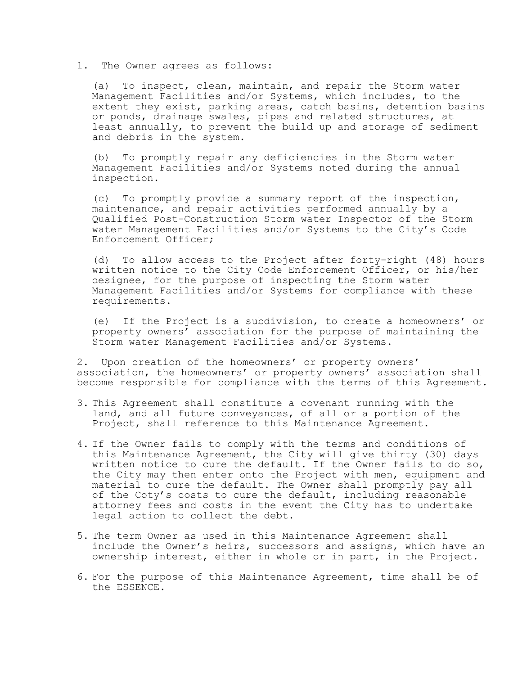# 1. The Owner agrees as follows:

(a) To inspect, clean, maintain, and repair the Storm water Management Facilities and/or Systems, which includes, to the extent they exist, parking areas, catch basins, detention basins or ponds, drainage swales, pipes and related structures, at least annually, to prevent the build up and storage of sediment and debris in the system.

(b) To promptly repair any deficiencies in the Storm water Management Facilities and/or Systems noted during the annual inspection.

(c) To promptly provide a summary report of the inspection, maintenance, and repair activities performed annually by a Qualified Post-Construction Storm water Inspector of the Storm water Management Facilities and/or Systems to the City's Code Enforcement Officer;

(d) To allow access to the Project after forty-right (48) hours written notice to the City Code Enforcement Officer, or his/her designee, for the purpose of inspecting the Storm water Management Facilities and/or Systems for compliance with these requirements.

(e) If the Project is a subdivision, to create a homeowners' or property owners' association for the purpose of maintaining the Storm water Management Facilities and/or Systems.

2. Upon creation of the homeowners' or property owners' association, the homeowners' or property owners' association shall become responsible for compliance with the terms of this Agreement.

- 3. This Agreement shall constitute a covenant running with the land, and all future conveyances, of all or a portion of the Project, shall reference to this Maintenance Agreement.
- 4. If the Owner fails to comply with the terms and conditions of this Maintenance Agreement, the City will give thirty (30) days written notice to cure the default. If the Owner fails to do so, the City may then enter onto the Project with men, equipment and material to cure the default. The Owner shall promptly pay all of the Coty's costs to cure the default, including reasonable attorney fees and costs in the event the City has to undertake legal action to collect the debt.
- 5. The term Owner as used in this Maintenance Agreement shall include the Owner's heirs, successors and assigns, which have an ownership interest, either in whole or in part, in the Project.
- 6. For the purpose of this Maintenance Agreement, time shall be of the ESSENCE.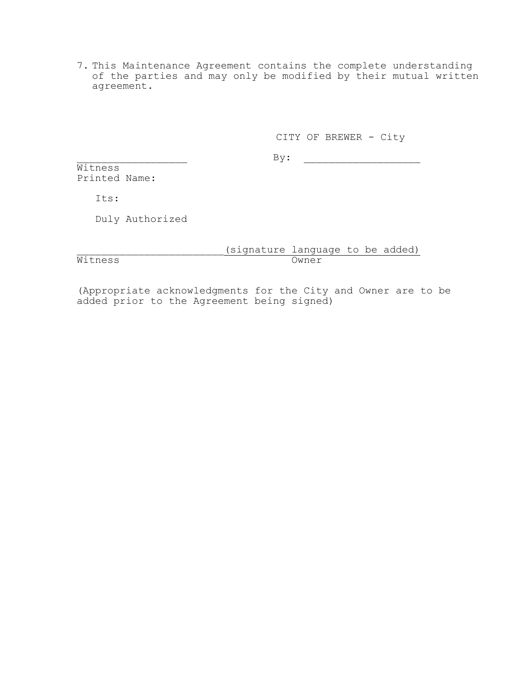7. This Maintenance Agreement contains the complete understanding of the parties and may only be modified by their mutual written agreement.

# CITY OF BREWER - City

 $By:$ 

Witness<sup></sup> Printed Name:

Its:

 $\overline{\texttt{Witness}}$ 

Duly Authorized

\_\_\_\_\_\_\_\_\_\_\_\_\_\_\_\_\_\_\_\_\_\_\_\_(signature language to be added)

(Appropriate acknowledgments for the City and Owner are to be added prior to the Agreement being signed)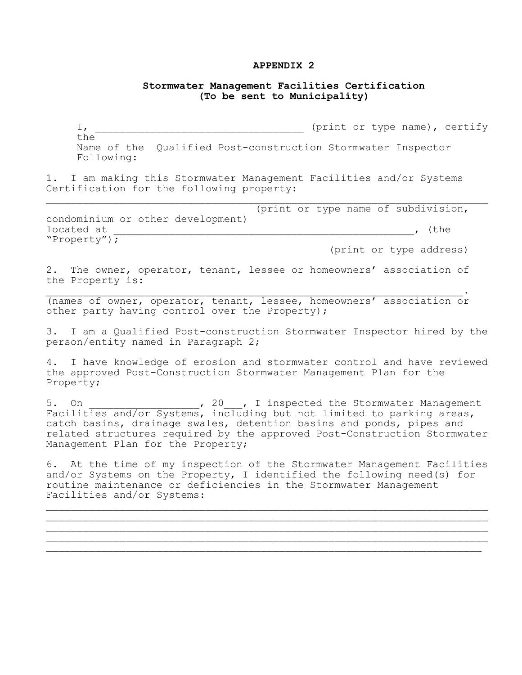## **APPENDIX 2**

# **Stormwater Management Facilities Certification (To be sent to Municipality)**

I, \_\_\_\_\_\_\_\_\_\_\_\_\_\_\_\_\_\_\_\_\_\_\_\_\_\_\_\_\_\_\_\_\_\_ (print or type name), certify the Name of the Qualified Post-construction Stormwater Inspector Following:

1. I am making this Stormwater Management Facilities and/or Systems Certification for the following property:

 (print or type name of subdivision, condominium or other development)  $\begin{tabular}{lcccccc} \texttt{located at} & \texttt{\color{green}---} & \texttt{\color{green}---} & \texttt{\color{green}---} & \texttt{\color{green}---} & \texttt{\color{green}---} & \texttt{\color{green}---} & \texttt{\color{green}---} & \texttt{\color{green}---} & \texttt{\color{green}---} & \texttt{\color{green}---} & \texttt{\color{green}---} & \texttt{\color{green}---} & \texttt{\color{green}---} & \texttt{\color{green}---} & \texttt{\color{green}---} & \texttt{\color{green}---} & \texttt{\color{green}---} & \texttt{\color{green}---} & \texttt{\color$ "Property");

(print or type address)

2. The owner, operator, tenant, lessee or homeowners' association of the Property is:  $\mathcal{L}_\mathcal{L} = \mathcal{L}_\mathcal{L} = \mathcal{L}_\mathcal{L} = \mathcal{L}_\mathcal{L} = \mathcal{L}_\mathcal{L} = \mathcal{L}_\mathcal{L} = \mathcal{L}_\mathcal{L} = \mathcal{L}_\mathcal{L} = \mathcal{L}_\mathcal{L} = \mathcal{L}_\mathcal{L} = \mathcal{L}_\mathcal{L} = \mathcal{L}_\mathcal{L} = \mathcal{L}_\mathcal{L} = \mathcal{L}_\mathcal{L} = \mathcal{L}_\mathcal{L} = \mathcal{L}_\mathcal{L} = \mathcal{L}_\mathcal{L}$ 

(names of owner, operator, tenant, lessee, homeowners' association or other party having control over the Property);

3. I am a Qualified Post-construction Stormwater Inspector hired by the person/entity named in Paragraph 2;

4. I have knowledge of erosion and stormwater control and have reviewed the approved Post-Construction Stormwater Management Plan for the Property;

5. On  $\begin{array}{c} 5. \end{array}$  On  $\begin{array}{c} 20 \\ 7. \end{array}$  I inspected the Stormwater Management Facilities and/or Systems, including but not limited to parking areas, catch basins, drainage swales, detention basins and ponds, pipes and related structures required by the approved Post-Construction Stormwater Management Plan for the Property;

6. At the time of my inspection of the Stormwater Management Facilities and/or Systems on the Property, I identified the following need(s) for routine maintenance or deficiencies in the Stormwater Management Facilities and/or Systems:

\_\_\_\_\_\_\_\_\_\_\_\_\_\_\_\_\_\_\_\_\_\_\_\_\_\_\_\_\_\_\_\_\_\_\_\_\_\_\_\_\_\_\_\_\_\_\_\_\_\_\_\_\_\_\_\_\_\_\_\_\_\_\_\_\_\_\_\_\_\_\_\_ \_\_\_\_\_\_\_\_\_\_\_\_\_\_\_\_\_\_\_\_\_\_\_\_\_\_\_\_\_\_\_\_\_\_\_\_\_\_\_\_\_\_\_\_\_\_\_\_\_\_\_\_\_\_\_\_\_\_\_\_\_\_\_\_\_\_\_\_\_\_\_\_ \_\_\_\_\_\_\_\_\_\_\_\_\_\_\_\_\_\_\_\_\_\_\_\_\_\_\_\_\_\_\_\_\_\_\_\_\_\_\_\_\_\_\_\_\_\_\_\_\_\_\_\_\_\_\_\_\_\_\_\_\_\_\_\_\_\_\_\_\_\_\_\_ \_\_\_\_\_\_\_\_\_\_\_\_\_\_\_\_\_\_\_\_\_\_\_\_\_\_\_\_\_\_\_\_\_\_\_\_\_\_\_\_\_\_\_\_\_\_\_\_\_\_\_\_\_\_\_\_\_\_\_\_\_\_\_\_\_\_\_\_\_\_\_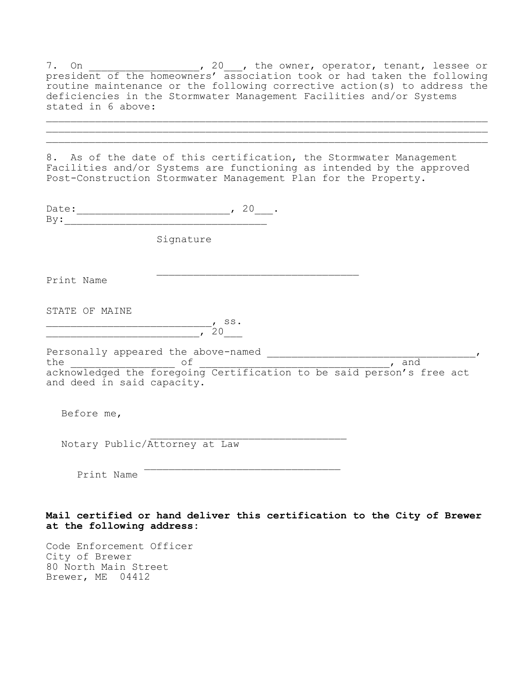7. On  $\sim$  , 20 , the owner, operator, tenant, lessee or president of the homeowners' association took or had taken the following routine maintenance or the following corrective action(s) to address the deficiencies in the Stormwater Management Facilities and/or Systems stated in 6 above:

\_\_\_\_\_\_\_\_\_\_\_\_\_\_\_\_\_\_\_\_\_\_\_\_\_\_\_\_\_\_\_\_\_\_\_\_\_\_\_\_\_\_\_\_\_\_\_\_\_\_\_\_\_\_\_\_\_\_\_\_\_\_\_\_\_\_\_\_\_\_\_\_ \_\_\_\_\_\_\_\_\_\_\_\_\_\_\_\_\_\_\_\_\_\_\_\_\_\_\_\_\_\_\_\_\_\_\_\_\_\_\_\_\_\_\_\_\_\_\_\_\_\_\_\_\_\_\_\_\_\_\_\_\_\_\_\_\_\_\_\_\_\_\_\_

8. As of the date of this certification, the Stormwater Management Facilities and/or Systems are functioning as intended by the approved Post-Construction Stormwater Management Plan for the Property.

| Date: 20.<br>By:                                                                                             |           |  |  |
|--------------------------------------------------------------------------------------------------------------|-----------|--|--|
|                                                                                                              | Signature |  |  |
| Print Name                                                                                                   |           |  |  |
| STATE OF MAINE                                                                                               | 20        |  |  |
| the of of contract of the foregoing Certification to be said person's free act<br>and deed in said capacity. |           |  |  |
| Before me,                                                                                                   |           |  |  |
| Notary Public/Attorney at Law                                                                                |           |  |  |
| Print Name                                                                                                   |           |  |  |
| Mail certified or hand deliver this certification to the City of Brewer<br>at the following address:         |           |  |  |

Code Enforcement Officer City of Brewer 80 North Main Street Brewer, ME 04412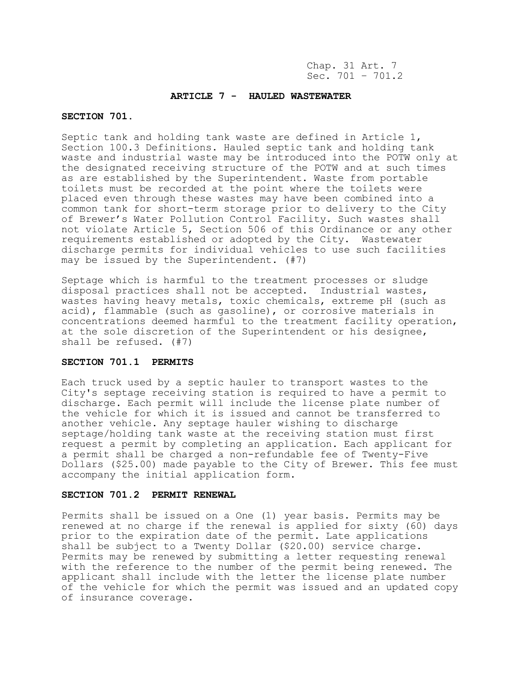#### **ARTICLE 7 - HAULED WASTEWATER**

## **SECTION 701.**

Septic tank and holding tank waste are defined in Article 1, Section 100.3 Definitions. Hauled septic tank and holding tank waste and industrial waste may be introduced into the POTW only at the designated receiving structure of the POTW and at such times as are established by the Superintendent. Waste from portable toilets must be recorded at the point where the toilets were placed even through these wastes may have been combined into a common tank for short-term storage prior to delivery to the City of Brewer's Water Pollution Control Facility. Such wastes shall not violate Article 5, Section 506 of this Ordinance or any other requirements established or adopted by the City. Wastewater discharge permits for individual vehicles to use such facilities may be issued by the Superintendent. (#7)

Septage which is harmful to the treatment processes or sludge disposal practices shall not be accepted. Industrial wastes, wastes having heavy metals, toxic chemicals, extreme pH (such as acid), flammable (such as gasoline), or corrosive materials in concentrations deemed harmful to the treatment facility operation, at the sole discretion of the Superintendent or his designee, shall be refused. (#7)

#### **SECTION 701.1 PERMITS**

Each truck used by a septic hauler to transport wastes to the City's septage receiving station is required to have a permit to discharge. Each permit will include the license plate number of the vehicle for which it is issued and cannot be transferred to another vehicle. Any septage hauler wishing to discharge septage/holding tank waste at the receiving station must first request a permit by completing an application. Each applicant for a permit shall be charged a non-refundable fee of Twenty-Five Dollars (\$25.00) made payable to the City of Brewer. This fee must accompany the initial application form.

#### **SECTION 701.2 PERMIT RENEWAL**

Permits shall be issued on a One (1) year basis. Permits may be renewed at no charge if the renewal is applied for sixty (60) days prior to the expiration date of the permit. Late applications shall be subject to a Twenty Dollar (\$20.00) service charge. Permits may be renewed by submitting a letter requesting renewal with the reference to the number of the permit being renewed. The applicant shall include with the letter the license plate number of the vehicle for which the permit was issued and an updated copy of insurance coverage.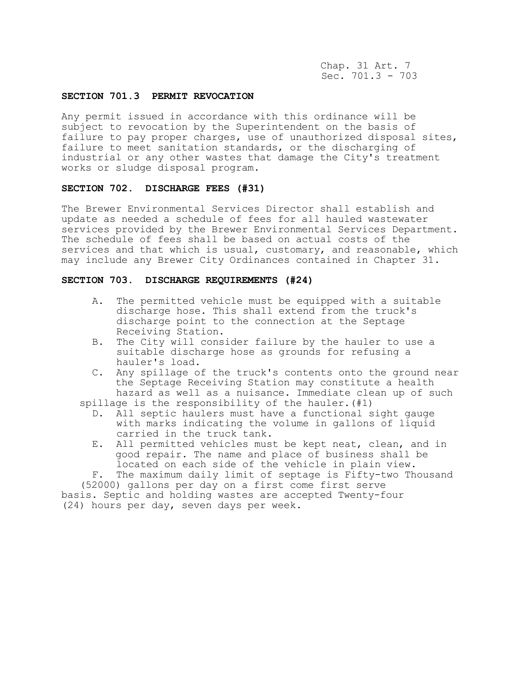Chap. 31 Art. 7 Sec. 701.3 - 703

#### **SECTION 701.3 PERMIT REVOCATION**

Any permit issued in accordance with this ordinance will be subject to revocation by the Superintendent on the basis of failure to pay proper charges, use of unauthorized disposal sites, failure to meet sanitation standards, or the discharging of industrial or any other wastes that damage the City's treatment works or sludge disposal program.

# **SECTION 702. DISCHARGE FEES (#31)**

The Brewer Environmental Services Director shall establish and update as needed a schedule of fees for all hauled wastewater services provided by the Brewer Environmental Services Department. The schedule of fees shall be based on actual costs of the services and that which is usual, customary, and reasonable, which may include any Brewer City Ordinances contained in Chapter 31.

### **SECTION 703. DISCHARGE REQUIREMENTS (#24)**

- A. The permitted vehicle must be equipped with a suitable discharge hose. This shall extend from the truck's discharge point to the connection at the Septage Receiving Station.
- B. The City will consider failure by the hauler to use a suitable discharge hose as grounds for refusing a hauler's load.
- C. Any spillage of the truck's contents onto the ground near the Septage Receiving Station may constitute a health hazard as well as a nuisance. Immediate clean up of such

spillage is the responsibility of the hauler. (#1)

- D. All septic haulers must have a functional sight gauge with marks indicating the volume in gallons of liquid carried in the truck tank.
- E. All permitted vehicles must be kept neat, clean, and in good repair. The name and place of business shall be located on each side of the vehicle in plain view.

F. The maximum daily limit of septage is Fifty-two Thousand (52000) gallons per day on a first come first serve basis. Septic and holding wastes are accepted Twenty-four (24) hours per day, seven days per week.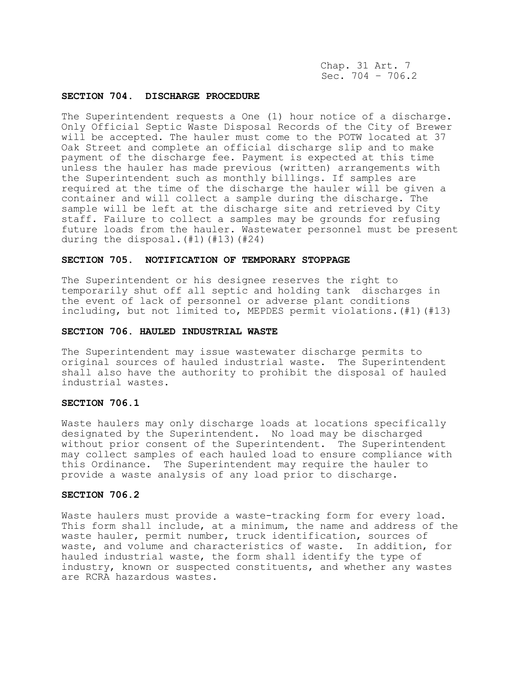Chap. 31 Art. 7 Sec.  $704 - 706.2$ 

# **SECTION 704. DISCHARGE PROCEDURE**

The Superintendent requests a One (1) hour notice of a discharge. Only Official Septic Waste Disposal Records of the City of Brewer will be accepted. The hauler must come to the POTW located at 37 Oak Street and complete an official discharge slip and to make payment of the discharge fee. Payment is expected at this time unless the hauler has made previous (written) arrangements with the Superintendent such as monthly billings. If samples are required at the time of the discharge the hauler will be given a container and will collect a sample during the discharge. The sample will be left at the discharge site and retrieved by City staff. Failure to collect a samples may be grounds for refusing future loads from the hauler. Wastewater personnel must be present during the disposal.(#1)(#13)(#24)

# **SECTION 705. NOTIFICATION OF TEMPORARY STOPPAGE**

The Superintendent or his designee reserves the right to temporarily shut off all septic and holding tank discharges in the event of lack of personnel or adverse plant conditions including, but not limited to, MEPDES permit violations.(#1)(#13)

#### **SECTION 706. HAULED INDUSTRIAL WASTE**

The Superintendent may issue wastewater discharge permits to original sources of hauled industrial waste. The Superintendent shall also have the authority to prohibit the disposal of hauled industrial wastes.

### **SECTION 706.1**

Waste haulers may only discharge loads at locations specifically designated by the Superintendent. No load may be discharged without prior consent of the Superintendent. The Superintendent may collect samples of each hauled load to ensure compliance with this Ordinance. The Superintendent may require the hauler to provide a waste analysis of any load prior to discharge.

#### **SECTION 706.2**

Waste haulers must provide a waste-tracking form for every load. This form shall include, at a minimum, the name and address of the waste hauler, permit number, truck identification, sources of waste, and volume and characteristics of waste. In addition, for hauled industrial waste, the form shall identify the type of industry, known or suspected constituents, and whether any wastes are RCRA hazardous wastes.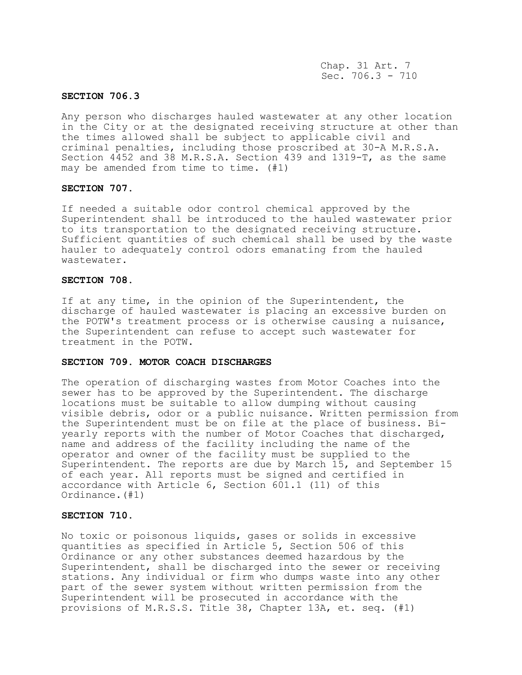Chap. 31 Art. 7 Sec.  $706.3 - 710$ 

### **SECTION 706.3**

Any person who discharges hauled wastewater at any other location in the City or at the designated receiving structure at other than the times allowed shall be subject to applicable civil and criminal penalties, including those proscribed at 30-A M.R.S.A. Section 4452 and 38 M.R.S.A. Section 439 and 1319-T, as the same may be amended from time to time. (#1)

# **SECTION 707.**

If needed a suitable odor control chemical approved by the Superintendent shall be introduced to the hauled wastewater prior to its transportation to the designated receiving structure. Sufficient quantities of such chemical shall be used by the waste hauler to adequately control odors emanating from the hauled wastewater.

#### **SECTION 708.**

If at any time, in the opinion of the Superintendent, the discharge of hauled wastewater is placing an excessive burden on the POTW's treatment process or is otherwise causing a nuisance, the Superintendent can refuse to accept such wastewater for treatment in the POTW.

#### **SECTION 709. MOTOR COACH DISCHARGES**

The operation of discharging wastes from Motor Coaches into the sewer has to be approved by the Superintendent. The discharge locations must be suitable to allow dumping without causing visible debris, odor or a public nuisance. Written permission from the Superintendent must be on file at the place of business. Biyearly reports with the number of Motor Coaches that discharged, name and address of the facility including the name of the operator and owner of the facility must be supplied to the Superintendent. The reports are due by March 15, and September 15 of each year. All reports must be signed and certified in accordance with Article 6, Section 601.1 (11) of this Ordinance.(#1)

## **SECTION 710.**

No toxic or poisonous liquids, gases or solids in excessive quantities as specified in Article 5, Section 506 of this Ordinance or any other substances deemed hazardous by the Superintendent, shall be discharged into the sewer or receiving stations. Any individual or firm who dumps waste into any other part of the sewer system without written permission from the Superintendent will be prosecuted in accordance with the provisions of M.R.S.S. Title 38, Chapter 13A, et. seq. (#1)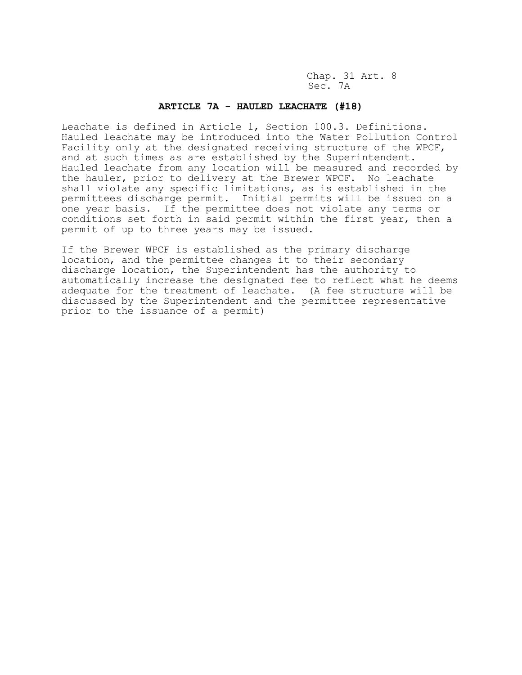Chap. 31 Art. 8 Sec. 7A

## **ARTICLE 7A - HAULED LEACHATE (#18)**

Leachate is defined in Article 1, Section 100.3. Definitions. Hauled leachate may be introduced into the Water Pollution Control Facility only at the designated receiving structure of the WPCF, and at such times as are established by the Superintendent. Hauled leachate from any location will be measured and recorded by the hauler, prior to delivery at the Brewer WPCF. No leachate shall violate any specific limitations, as is established in the permittees discharge permit. Initial permits will be issued on a one year basis. If the permittee does not violate any terms or conditions set forth in said permit within the first year, then a permit of up to three years may be issued.

If the Brewer WPCF is established as the primary discharge location, and the permittee changes it to their secondary discharge location, the Superintendent has the authority to automatically increase the designated fee to reflect what he deems adequate for the treatment of leachate. (A fee structure will be discussed by the Superintendent and the permittee representative prior to the issuance of a permit)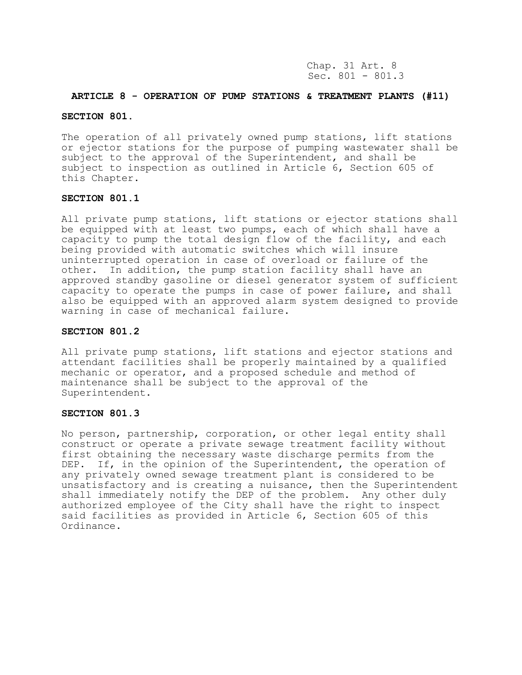Chap. 31 Art. 8 Sec.  $801 - 801.3$ 

### **ARTICLE 8 - OPERATION OF PUMP STATIONS & TREATMENT PLANTS (#11)**

#### **SECTION 801.**

The operation of all privately owned pump stations, lift stations or ejector stations for the purpose of pumping wastewater shall be subject to the approval of the Superintendent, and shall be subject to inspection as outlined in Article 6, Section 605 of this Chapter.

### **SECTION 801.1**

All private pump stations, lift stations or ejector stations shall be equipped with at least two pumps, each of which shall have a capacity to pump the total design flow of the facility, and each being provided with automatic switches which will insure uninterrupted operation in case of overload or failure of the other. In addition, the pump station facility shall have an approved standby gasoline or diesel generator system of sufficient capacity to operate the pumps in case of power failure, and shall also be equipped with an approved alarm system designed to provide warning in case of mechanical failure.

## **SECTION 801.2**

All private pump stations, lift stations and ejector stations and attendant facilities shall be properly maintained by a qualified mechanic or operator, and a proposed schedule and method of maintenance shall be subject to the approval of the Superintendent.

# **SECTION 801.3**

No person, partnership, corporation, or other legal entity shall construct or operate a private sewage treatment facility without first obtaining the necessary waste discharge permits from the DEP. If, in the opinion of the Superintendent, the operation of any privately owned sewage treatment plant is considered to be unsatisfactory and is creating a nuisance, then the Superintendent shall immediately notify the DEP of the problem. Any other duly authorized employee of the City shall have the right to inspect said facilities as provided in Article 6, Section 605 of this Ordinance.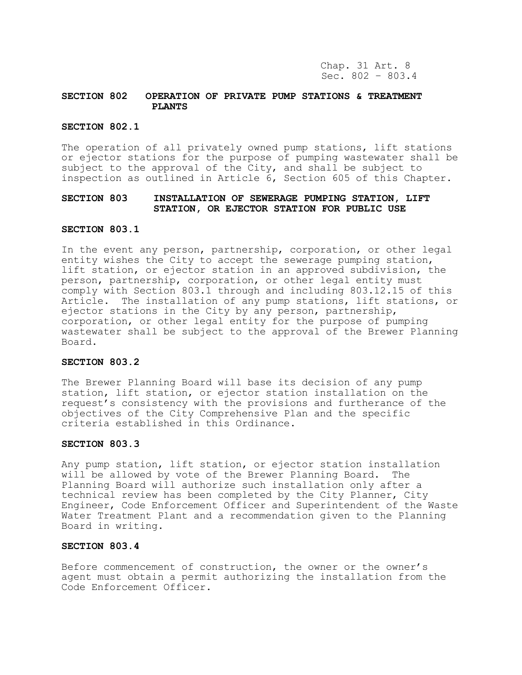## **SECTION 802 OPERATION OF PRIVATE PUMP STATIONS & TREATMENT PLANTS**

# **SECTION 802.1**

The operation of all privately owned pump stations, lift stations or ejector stations for the purpose of pumping wastewater shall be subject to the approval of the City, and shall be subject to inspection as outlined in Article 6, Section 605 of this Chapter.

# **SECTION 803 INSTALLATION OF SEWERAGE PUMPING STATION, LIFT STATION, OR EJECTOR STATION FOR PUBLIC USE**

#### **SECTION 803.1**

In the event any person, partnership, corporation, or other legal entity wishes the City to accept the sewerage pumping station, lift station, or ejector station in an approved subdivision, the person, partnership, corporation, or other legal entity must comply with Section 803.1 through and including 803.12.15 of this Article. The installation of any pump stations, lift stations, or ejector stations in the City by any person, partnership, corporation, or other legal entity for the purpose of pumping wastewater shall be subject to the approval of the Brewer Planning Board.

#### **SECTION 803.2**

The Brewer Planning Board will base its decision of any pump station, lift station, or ejector station installation on the request's consistency with the provisions and furtherance of the objectives of the City Comprehensive Plan and the specific criteria established in this Ordinance.

#### **SECTION 803.3**

Any pump station, lift station, or ejector station installation will be allowed by vote of the Brewer Planning Board. The Planning Board will authorize such installation only after a technical review has been completed by the City Planner, City Engineer, Code Enforcement Officer and Superintendent of the Waste Water Treatment Plant and a recommendation given to the Planning Board in writing.

### **SECTION 803.4**

Before commencement of construction, the owner or the owner's agent must obtain a permit authorizing the installation from the Code Enforcement Officer.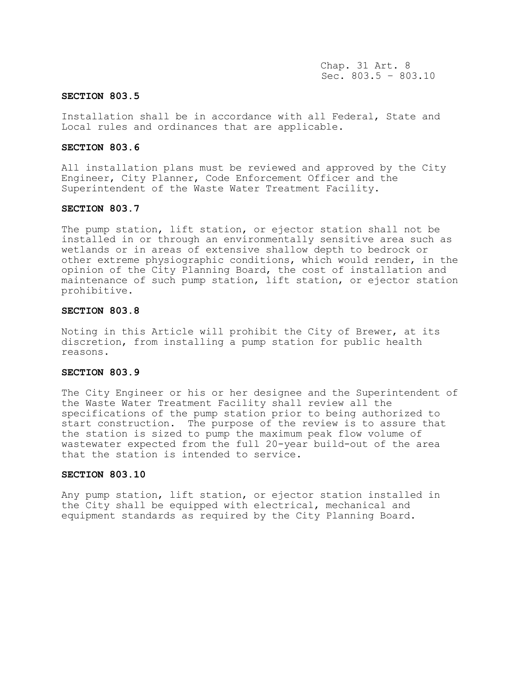Chap. 31 Art. 8 Sec. 803.5 – 803.10

#### **SECTION 803.5**

Installation shall be in accordance with all Federal, State and Local rules and ordinances that are applicable.

#### **SECTION 803.6**

All installation plans must be reviewed and approved by the City Engineer, City Planner, Code Enforcement Officer and the Superintendent of the Waste Water Treatment Facility.

#### **SECTION 803.7**

The pump station, lift station, or ejector station shall not be installed in or through an environmentally sensitive area such as wetlands or in areas of extensive shallow depth to bedrock or other extreme physiographic conditions, which would render, in the opinion of the City Planning Board, the cost of installation and maintenance of such pump station, lift station, or ejector station prohibitive.

#### **SECTION 803.8**

Noting in this Article will prohibit the City of Brewer, at its discretion, from installing a pump station for public health reasons.

### **SECTION 803.9**

The City Engineer or his or her designee and the Superintendent of the Waste Water Treatment Facility shall review all the specifications of the pump station prior to being authorized to start construction. The purpose of the review is to assure that the station is sized to pump the maximum peak flow volume of wastewater expected from the full 20-year build-out of the area that the station is intended to service.

#### **SECTION 803.10**

Any pump station, lift station, or ejector station installed in the City shall be equipped with electrical, mechanical and equipment standards as required by the City Planning Board.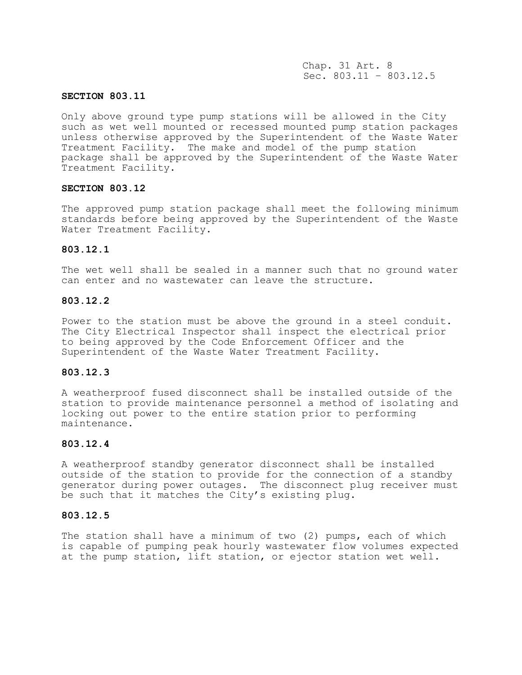Chap. 31 Art. 8 Sec. 803.11 – 803.12.5

### **SECTION 803.11**

Only above ground type pump stations will be allowed in the City such as wet well mounted or recessed mounted pump station packages unless otherwise approved by the Superintendent of the Waste Water Treatment Facility. The make and model of the pump station package shall be approved by the Superintendent of the Waste Water Treatment Facility.

# **SECTION 803.12**

The approved pump station package shall meet the following minimum standards before being approved by the Superintendent of the Waste Water Treatment Facility.

#### **803.12.1**

The wet well shall be sealed in a manner such that no ground water can enter and no wastewater can leave the structure.

# **803.12.2**

Power to the station must be above the ground in a steel conduit. The City Electrical Inspector shall inspect the electrical prior to being approved by the Code Enforcement Officer and the Superintendent of the Waste Water Treatment Facility.

# **803.12.3**

A weatherproof fused disconnect shall be installed outside of the station to provide maintenance personnel a method of isolating and locking out power to the entire station prior to performing maintenance.

#### **803.12.4**

A weatherproof standby generator disconnect shall be installed outside of the station to provide for the connection of a standby generator during power outages. The disconnect plug receiver must be such that it matches the City's existing plug.

#### **803.12.5**

The station shall have a minimum of two (2) pumps, each of which is capable of pumping peak hourly wastewater flow volumes expected at the pump station, lift station, or ejector station wet well.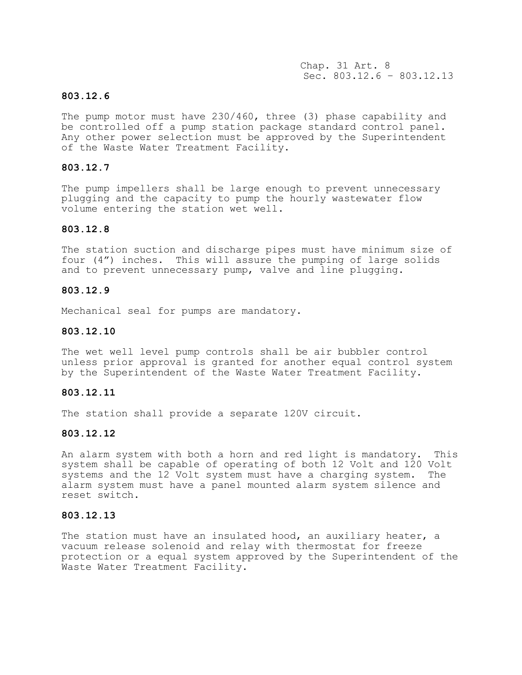Chap. 31 Art. 8 Sec. 803.12.6 – 803.12.13

# **803.12.6**

The pump motor must have 230/460, three (3) phase capability and be controlled off a pump station package standard control panel. Any other power selection must be approved by the Superintendent of the Waste Water Treatment Facility.

## **803.12.7**

The pump impellers shall be large enough to prevent unnecessary plugging and the capacity to pump the hourly wastewater flow volume entering the station wet well.

### **803.12.8**

The station suction and discharge pipes must have minimum size of four (4") inches. This will assure the pumping of large solids and to prevent unnecessary pump, valve and line plugging.

# **803.12.9**

Mechanical seal for pumps are mandatory.

### **803.12.10**

The wet well level pump controls shall be air bubbler control unless prior approval is granted for another equal control system by the Superintendent of the Waste Water Treatment Facility.

# **803.12.11**

The station shall provide a separate 120V circuit.

### **803.12.12**

An alarm system with both a horn and red light is mandatory. This system shall be capable of operating of both 12 Volt and 120 Volt systems and the 12 Volt system must have a charging system. The alarm system must have a panel mounted alarm system silence and reset switch.

## **803.12.13**

The station must have an insulated hood, an auxiliary heater, a vacuum release solenoid and relay with thermostat for freeze protection or a equal system approved by the Superintendent of the Waste Water Treatment Facility.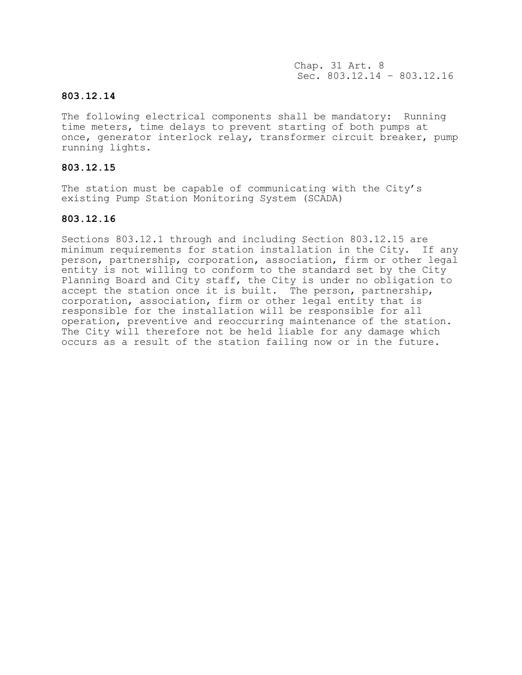Chap. 31 Art. 8 Sec. 803.12.14 – 803.12.16

# **803.12.14**

The following electrical components shall be mandatory: Running time meters, time delays to prevent starting of both pumps at once, generator interlock relay, transformer circuit breaker, pump running lights.

# **803.12.15**

The station must be capable of communicating with the City's existing Pump Station Monitoring System (SCADA)

# **803.12.16**

Sections 803.12.1 through and including Section 803.12.15 are minimum requirements for station installation in the City. If any person, partnership, corporation, association, firm or other legal entity is not willing to conform to the standard set by the City Planning Board and City staff, the City is under no obligation to accept the station once it is built. The person, partnership, corporation, association, firm or other legal entity that is responsible for the installation will be responsible for all operation, preventive and reoccurring maintenance of the station. The City will therefore not be held liable for any damage which occurs as a result of the station failing now or in the future.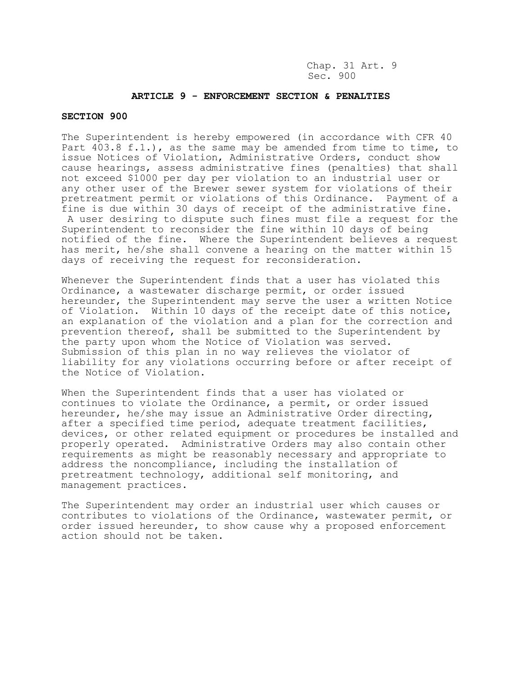Chap. 31 Art. 9 Sec. 900

### **ARTICLE 9 - ENFORCEMENT SECTION & PENALTIES**

#### **SECTION 900**

The Superintendent is hereby empowered (in accordance with CFR 40 Part 403.8 f.1.), as the same may be amended from time to time, to issue Notices of Violation, Administrative Orders, conduct show cause hearings, assess administrative fines (penalties) that shall not exceed \$1000 per day per violation to an industrial user or any other user of the Brewer sewer system for violations of their pretreatment permit or violations of this Ordinance. Payment of a fine is due within 30 days of receipt of the administrative fine. A user desiring to dispute such fines must file a request for the Superintendent to reconsider the fine within 10 days of being notified of the fine. Where the Superintendent believes a request has merit, he/she shall convene a hearing on the matter within 15 days of receiving the request for reconsideration.

Whenever the Superintendent finds that a user has violated this Ordinance, a wastewater discharge permit, or order issued hereunder, the Superintendent may serve the user a written Notice of Violation. Within 10 days of the receipt date of this notice, an explanation of the violation and a plan for the correction and prevention thereof, shall be submitted to the Superintendent by the party upon whom the Notice of Violation was served. Submission of this plan in no way relieves the violator of liability for any violations occurring before or after receipt of the Notice of Violation.

When the Superintendent finds that a user has violated or continues to violate the Ordinance, a permit, or order issued hereunder, he/she may issue an Administrative Order directing, after a specified time period, adequate treatment facilities, devices, or other related equipment or procedures be installed and properly operated. Administrative Orders may also contain other requirements as might be reasonably necessary and appropriate to address the noncompliance, including the installation of pretreatment technology, additional self monitoring, and management practices.

The Superintendent may order an industrial user which causes or contributes to violations of the Ordinance, wastewater permit, or order issued hereunder, to show cause why a proposed enforcement action should not be taken.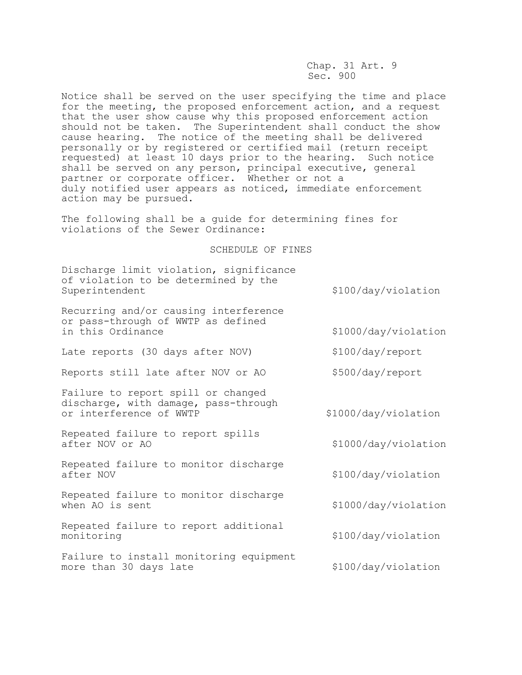Chap. 31 Art. 9 Sec. 900

Notice shall be served on the user specifying the time and place for the meeting, the proposed enforcement action, and a request that the user show cause why this proposed enforcement action should not be taken. The Superintendent shall conduct the show cause hearing. The notice of the meeting shall be delivered personally or by registered or certified mail (return receipt requested) at least 10 days prior to the hearing. Such notice shall be served on any person, principal executive, general partner or corporate officer. Whether or not a duly notified user appears as noticed, immediate enforcement action may be pursued.

The following shall be a guide for determining fines for violations of the Sewer Ordinance:

#### SCHEDULE OF FINES

Discharge limit violation, significance of violation to be determined by the Superintendent  $$100/day/violation$ 

Recurring and/or causing interference or pass-through of WWTP as defined in this Ordinance  $$1000/day/violation$ 

Late reports (30 days after NOV) \$100/day/report

Reports still late after NOV or AO \$500/day/report

Failure to report spill or changed discharge, with damage, pass-through or interference of WWTP  $\frac{1000}{dx}$ 

Repeated failure to report spills after NOV or AO  $$1000/day/violation$ 

Repeated failure to monitor discharge after NOV 6100/day/violation

Repeated failure to monitor discharge when AO is sent  $$1000/day/violation$ 

Repeated failure to report additional monitoring  $$100/day/violation$ 

Failure to install monitoring equipment more than 30 days late \$100/day/violation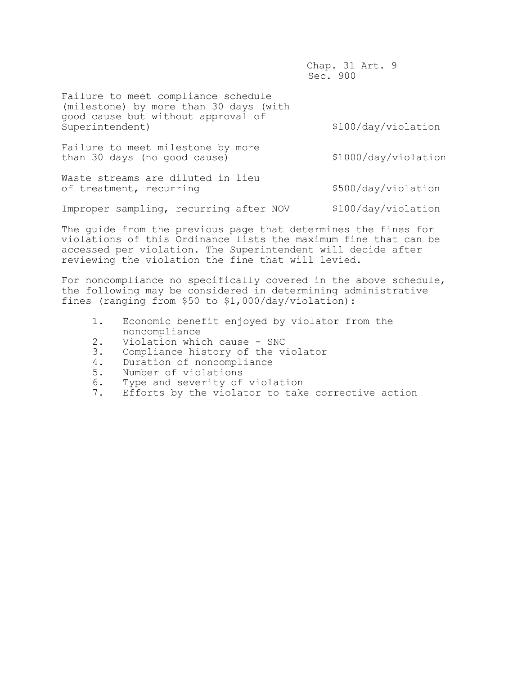Chap. 31 Art. 9 Sec. 900

Failure to meet compliance schedule (milestone) by more than 30 days (with good cause but without approval of

\$100/day/violation

Failure to meet milestone by more than 30 days (no good cause) <br>\$1000/day/violation

Waste streams are diluted in lieu of treatment, recurring  $$500/day/violation$ 

Improper sampling, recurring after NOV \$100/day/violation

The guide from the previous page that determines the fines for violations of this Ordinance lists the maximum fine that can be accessed per violation. The Superintendent will decide after reviewing the violation the fine that will levied.

For noncompliance no specifically covered in the above schedule, the following may be considered in determining administrative fines (ranging from \$50 to \$1,000/day/violation):

- 1. Economic benefit enjoyed by violator from the noncompliance
- 2. Violation which cause SNC
- 3. Compliance history of the violator
- 4. Duration of noncompliance
- 5. Number of violations
- 6. Type and severity of violation
- 7. Efforts by the violator to take corrective action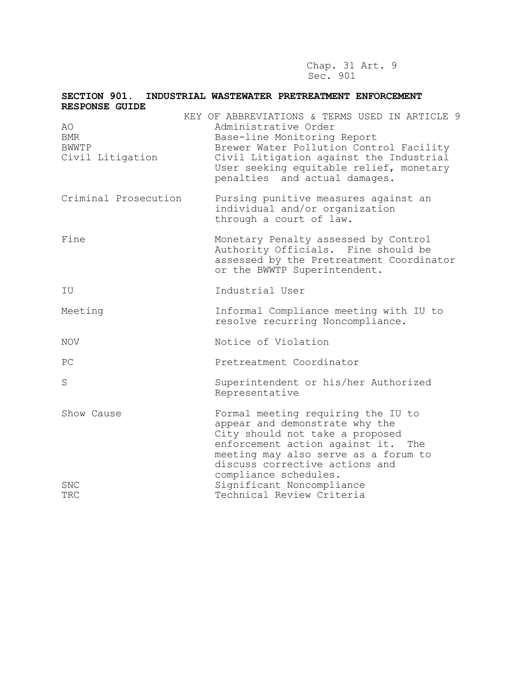Chap. 31 Art. 9 Sec. 901

| SECTION 901.<br><b>RESPONSE GUIDE</b>   | INDUSTRIAL WASTEWATER PRETREATMENT ENFORCEMENT                                                                                                                                                                                                                          |
|-----------------------------------------|-------------------------------------------------------------------------------------------------------------------------------------------------------------------------------------------------------------------------------------------------------------------------|
| AO.<br>BMR<br>BWWTP<br>Civil Litigation | KEY OF ABBREVIATIONS & TERMS USED IN ARTICLE 9<br>Administrative Order<br>Base-line Monitoring Report<br>Brewer Water Pollution Control Facility<br>Civil Litigation against the Industrial<br>User seeking equitable relief, monetary<br>penalties and actual damages. |
| Criminal Prosecution                    | Pursing punitive measures against an<br>individual and/or organization<br>through a court of law.                                                                                                                                                                       |
| Fine                                    | Monetary Penalty assessed by Control<br>Authority Officials. Fine should be<br>assessed by the Pretreatment Coordinator<br>or the BWWTP Superintendent.                                                                                                                 |
| ΙU                                      | Industrial User                                                                                                                                                                                                                                                         |
| Meeting                                 | Informal Compliance meeting with IU to<br>resolve recurring Noncompliance.                                                                                                                                                                                              |
| <b>NOV</b>                              | Notice of Violation                                                                                                                                                                                                                                                     |
| PС                                      | Pretreatment Coordinator                                                                                                                                                                                                                                                |
| S                                       | Superintendent or his/her Authorized<br>Representative                                                                                                                                                                                                                  |
| Show Cause                              | Formal meeting requiring the IU to<br>appear and demonstrate why the<br>City should not take a proposed<br>enforcement action against it.<br>The<br>meeting may also serve as a forum to<br>discuss corrective actions and<br>compliance schedules.                     |
| SNC<br>TRC                              | Significant Noncompliance<br>Technical Review Criteria                                                                                                                                                                                                                  |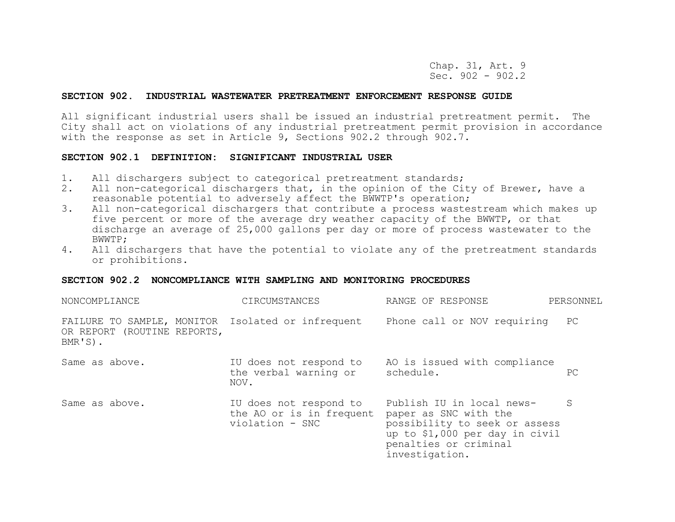Chap. 31, Art. 9 Sec. 902 - 902.2

#### **SECTION 902. INDUSTRIAL WASTEWATER PRETREATMENT ENFORCEMENT RESPONSE GUIDE**

All significant industrial users shall be issued an industrial pretreatment permit. The City shall act on violations of any industrial pretreatment permit provision in accordance with the response as set in Article 9, Sections 902.2 through 902.7.

#### **SECTION 902.1 DEFINITION: SIGNIFICANT INDUSTRIAL USER**

- 1. All dischargers subject to categorical pretreatment standards;
- 2. All non-categorical dischargers that, in the opinion of the City of Brewer, have a reasonable potential to adversely affect the BWWTP's operation;
- 3. All non-categorical dischargers that contribute a process wastestream which makes up five percent or more of the average dry weather capacity of the BWWTP, or that discharge an average of 25,000 gallons per day or more of process wastewater to the BWWTP;
- 4. All dischargers that have the potential to violate any of the pretreatment standards or prohibitions.

#### **SECTION 902.2 NONCOMPLIANCE WITH SAMPLING AND MONITORING PROCEDURES**

| NONCOMPLIANCE                                                                                 | CIRCUMSTANCES                                                         | RANGE OF RESPONSE                                                                                                                                                | PERSONNEL |
|-----------------------------------------------------------------------------------------------|-----------------------------------------------------------------------|------------------------------------------------------------------------------------------------------------------------------------------------------------------|-----------|
| FAILURE TO SAMPLE, MONITOR Isolated or infrequent<br>OR REPORT (ROUTINE REPORTS,<br>$BMR'S$ . |                                                                       | Phone call or NOV requiring                                                                                                                                      | PC        |
| Same as above.                                                                                | IU does not respond to<br>the verbal warning or<br>NOV.               | AO is issued with compliance<br>schedule.                                                                                                                        | PC.       |
| Same as above.                                                                                | IU does not respond to<br>the AO or is in frequent<br>violation - SNC | Publish IU in local news-<br>paper as SNC with the<br>possibility to seek or assess<br>up to \$1,000 per day in civil<br>penalties or criminal<br>investigation. | S         |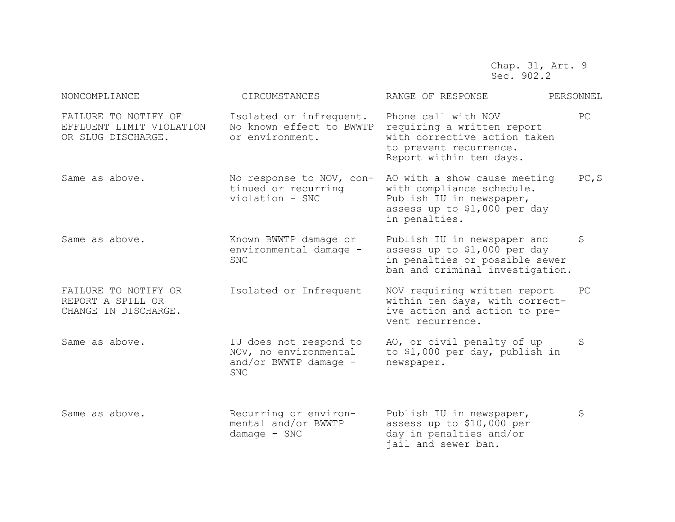Chap. 31, Art. 9 Sec. 902.2

| NONCOMPLIANCE                                                          | CIRCUMSTANCES                                                                            | RANGE OF RESPONSE                                                                                                                      | PERSONNEL |
|------------------------------------------------------------------------|------------------------------------------------------------------------------------------|----------------------------------------------------------------------------------------------------------------------------------------|-----------|
| FAILURE TO NOTIFY OF<br>EFFLUENT LIMIT VIOLATION<br>OR SLUG DISCHARGE. | Isolated or infrequent.<br>No known effect to BWWTP<br>or environment.                   | Phone call with NOV<br>requiring a written report<br>with corrective action taken<br>to prevent recurrence.<br>Report within ten days. | PC        |
| Same as above.                                                         | No response to NOV, con-<br>tinued or recurring<br>violation - SNC                       | AO with a show cause meeting<br>with compliance schedule.<br>Publish IU in newspaper,<br>assess up to \$1,000 per day<br>in penalties. | PC, S     |
| Same as above.                                                         | Known BWWTP damage or<br>environmental damage -<br><b>SNC</b>                            | Publish IU in newspaper and<br>assess up to \$1,000 per day<br>in penalties or possible sewer<br>ban and criminal investigation.       | S         |
| FAILURE TO NOTIFY OR<br>REPORT A SPILL OR<br>CHANGE IN DISCHARGE.      | Isolated or Infrequent                                                                   | NOV requiring written report<br>within ten days, with correct-<br>ive action and action to pre-<br>vent recurrence.                    | PC        |
| Same as above.                                                         | IU does not respond to<br>NOV, no environmental<br>and/or BWWTP damage $-$<br><b>SNC</b> | AO, or civil penalty of up<br>to \$1,000 per day, publish in<br>newspaper.                                                             | S         |
| Same as above.                                                         | Recurring or environ-<br>mental and/or BWWTP<br>$d$ amage - SNC                          | Publish IU in newspaper,<br>assess up to \$10,000 per<br>day in penalties and/or<br>jail and sewer ban.                                | S         |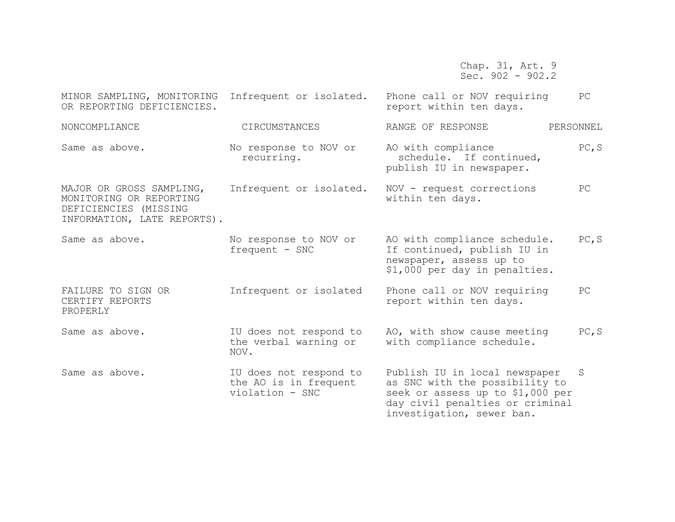Chap. 31, Art. 9 Sec. 902 - 902.2

| MINOR SAMPLING, MONITORING<br>OR REPORTING DEFICIENCIES.                                                    | Infrequent or isolated.                                            | Phone call or NOV requiring<br>report within ten days.                                                                                                              | PC        |
|-------------------------------------------------------------------------------------------------------------|--------------------------------------------------------------------|---------------------------------------------------------------------------------------------------------------------------------------------------------------------|-----------|
| NONCOMPLIANCE                                                                                               | CIRCUMSTANCES                                                      | RANGE OF RESPONSE                                                                                                                                                   | PERSONNEL |
| Same as above.                                                                                              | No response to NOV or<br>recurring.                                | AO with compliance<br>schedule. If continued,<br>publish IU in newspaper.                                                                                           | PC, S     |
| MAJOR OR GROSS SAMPLING,<br>MONITORING OR REPORTING<br>DEFICIENCIES (MISSING<br>INFORMATION, LATE REPORTS). | Infrequent or isolated.                                            | NOV - request corrections<br>within ten days.                                                                                                                       | PC        |
| Same as above.                                                                                              | No response to NOV or<br>frequent - SNC                            | AO with compliance schedule.<br>If continued, publish IU in<br>newspaper, assess up to<br>\$1,000 per day in penalties.                                             | PC, S     |
| FAILURE TO SIGN OR<br>CERTIFY REPORTS<br>PROPERLY                                                           | Infrequent or isolated                                             | Phone call or NOV requiring<br>report within ten days.                                                                                                              | PC        |
| Same as above.                                                                                              | IU does not respond to<br>the verbal warning or<br>NOV.            | AO, with show cause meeting<br>with compliance schedule.                                                                                                            | PC, S     |
| Same as above.                                                                                              | IU does not respond to<br>the AO is in frequent<br>violation - SNC | Publish IU in local newspaper<br>as SNC with the possibility to<br>seek or assess up to \$1,000 per<br>day civil penalties or criminal<br>investigation, sewer ban. | S         |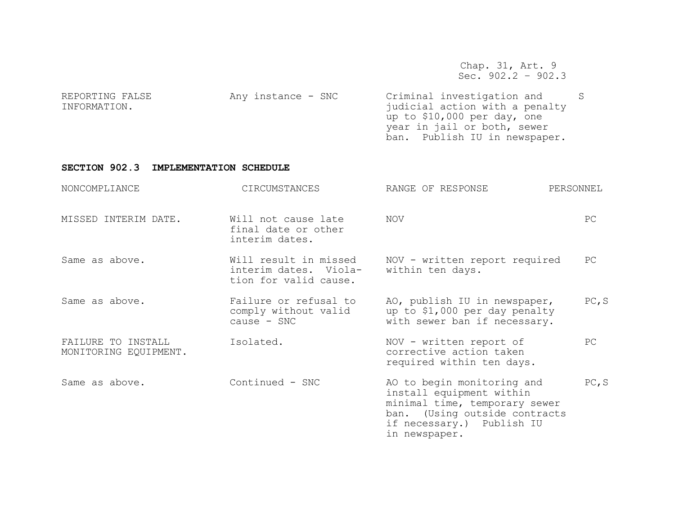Chap. 31, Art. 9 Sec. 902.2 – 902.3

| REPORTING FALSE | Any instance - SNC | Criminal investigation and     |  |
|-----------------|--------------------|--------------------------------|--|
| INFORMATION.    |                    | judicial action with a penalty |  |
|                 |                    | up to \$10,000 per day, one    |  |
|                 |                    | year in jail or both, sewer    |  |
|                 |                    | ban. Publish IU in newspaper.  |  |

# **SECTION 902.3 IMPLEMENTATION SCHEDULE**

| NONCOMPLIANCE                               | CIRCUMSTANCES                                                           | RANGE OF RESPONSE                                                                                                                                                      | PERSONNEL |
|---------------------------------------------|-------------------------------------------------------------------------|------------------------------------------------------------------------------------------------------------------------------------------------------------------------|-----------|
| MISSED INTERIM DATE.                        | Will not cause late<br>final date or other<br>interim dates.            | NOV                                                                                                                                                                    | PC        |
| Same as above.                              | Will result in missed<br>interim dates. Viola-<br>tion for valid cause. | NOV - written report required<br>within ten days.                                                                                                                      | PC        |
| Same as above.                              | Failure or refusal to<br>comply without valid<br>$cause - SNC$          | AO, publish IU in newspaper,<br>up to \$1,000 per day penalty<br>with sewer ban if necessary.                                                                          | PC, S     |
| FAILURE TO INSTALL<br>MONITORING EQUIPMENT. | Isolated.                                                               | NOV - written report of<br>corrective action taken<br>required within ten days.                                                                                        | PC        |
| Same as above.                              | Continued - SNC                                                         | AO to begin monitoring and<br>install equipment within<br>minimal time, temporary sewer<br>ban. (Using outside contracts<br>if necessary.) Publish IU<br>in newspaper. | PC, S     |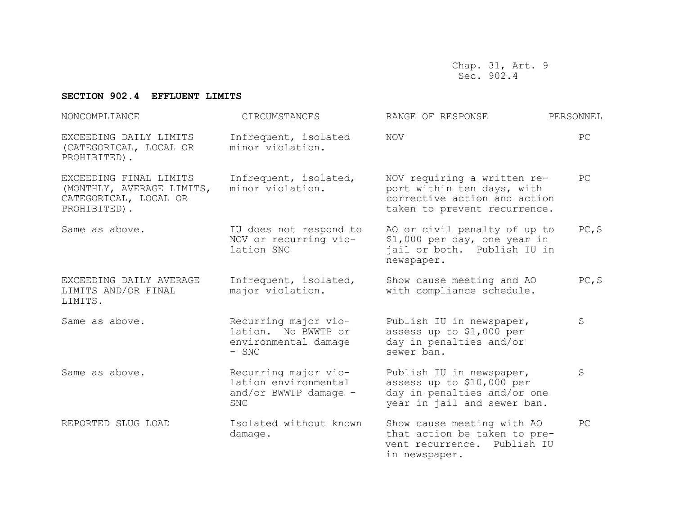Chap. 31, Art. 9 Sec. 902.4

## **SECTION 902.4 EFFLUENT LIMITS**

| NONCOMPLIANCE                                                                                           | CIRCUMSTANCES                                                                | RANGE OF RESPONSE                                                                                                         | PERSONNEL |  |
|---------------------------------------------------------------------------------------------------------|------------------------------------------------------------------------------|---------------------------------------------------------------------------------------------------------------------------|-----------|--|
| EXCEEDING DAILY LIMITS<br>(CATEGORICAL, LOCAL OR<br>PROHIBITED).                                        | Infrequent, isolated<br>minor violation.                                     | <b>NOV</b>                                                                                                                | PC        |  |
| EXCEEDING FINAL LIMITS<br>(MONTHLY, AVERAGE LIMITS,<br>CATEGORICAL, LOCAL OR<br>PROHIBITED).            | Infrequent, isolated,<br>minor violation.                                    | NOV requiring a written re-<br>port within ten days, with<br>corrective action and action<br>taken to prevent recurrence. |           |  |
| Same as above.                                                                                          | IU does not respond to<br>NOV or recurring vio-<br>lation SNC                | AO or civil penalty of up to<br>\$1,000 per day, one year in<br>jail or both. Publish IU in<br>newspaper.                 | PC, S     |  |
| EXCEEDING DAILY AVERAGE<br>LIMITS AND/OR FINAL<br>LIMITS.                                               | Infrequent, isolated,<br>major violation.                                    | Show cause meeting and AO<br>with compliance schedule.                                                                    | PC, S     |  |
| Same as above.                                                                                          | Recurring major vio-<br>lation. No BWWTP or<br>environmental damage<br>- SNC |                                                                                                                           | S         |  |
| Recurring major vio-<br>Same as above.<br>lation environmental<br>and/or BWWTP damage $-$<br><b>SNC</b> |                                                                              | Publish IU in newspaper,<br>assess up to \$10,000 per<br>day in penalties and/or one<br>year in jail and sewer ban.       | S         |  |
| REPORTED SLUG LOAD                                                                                      | Isolated without known<br>damage.                                            | Show cause meeting with AO<br>that action be taken to pre-<br>Publish IU<br>vent recurrence.<br>in newspaper.             | PC        |  |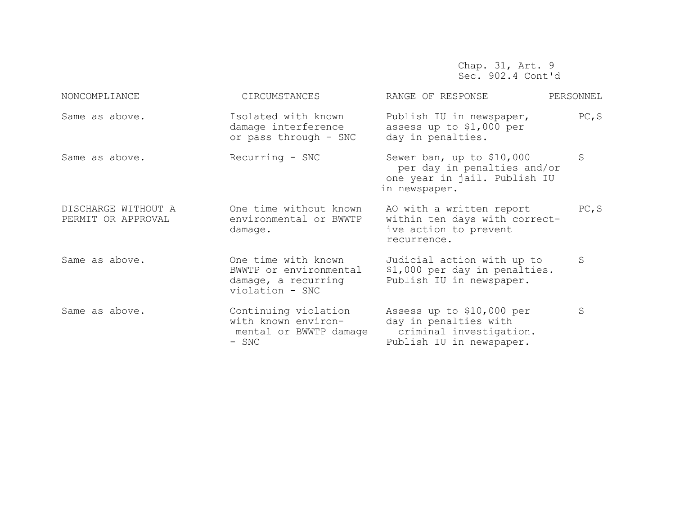Chap. 31, Art. 9 Sec. 902.4 Cont'd

| NONCOMPLIANCE                             | CIRCUMSTANCES                                                                           | RANGE OF RESPONSE                                                                                         | PERSONNEL |
|-------------------------------------------|-----------------------------------------------------------------------------------------|-----------------------------------------------------------------------------------------------------------|-----------|
| Same as above.                            | Isolated with known<br>damage interference<br>or pass through - SNC                     | Publish IU in newspaper,<br>assess up to \$1,000 per<br>day in penalties.                                 | PC, S     |
| Same as above.                            | Recurring - SNC                                                                         | Sewer ban, up to \$10,000<br>per day in penalties and/or<br>one year in jail. Publish IU<br>in newspaper. | S         |
| DISCHARGE WITHOUT A<br>PERMIT OR APPROVAL | One time without known<br>environmental or BWWTP<br>damage.                             | AO with a written report<br>within ten days with correct-<br>ive action to prevent<br>recurrence.         | PC, S     |
| Same as above.                            | One time with known<br>BWWTP or environmental<br>damage, a recurring<br>violation - SNC | Judicial action with up to<br>\$1,000 per day in penalties.<br>Publish IU in newspaper.                   |           |
| Same as above.                            | Continuing violation<br>with known environ-<br>mental or BWWTP damage<br>- SNC          | Assess up to \$10,000 per<br>day in penalties with<br>criminal investigation.<br>Publish IU in newspaper. | S         |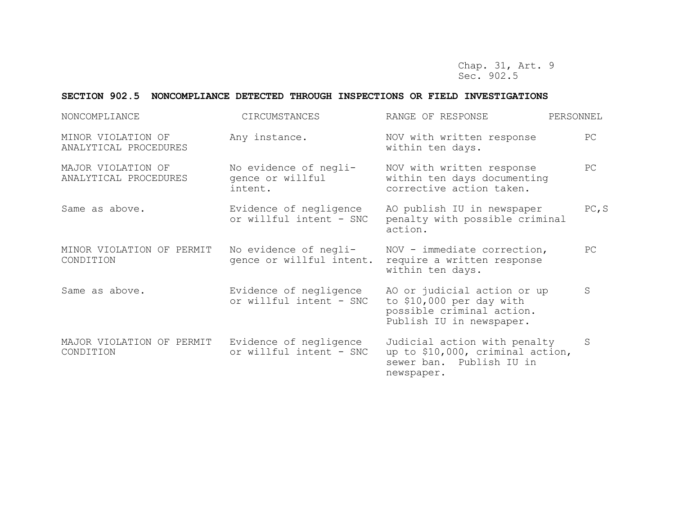Chap. 31, Art. 9 Sec. 902.5

## **SECTION 902.5 NONCOMPLIANCE DETECTED THROUGH INSPECTIONS OR FIELD INVESTIGATIONS**

| NONCOMPLIANCE                               | CIRCUMSTANCES                                        | RANGE OF RESPONSE                                                                                                | PERSONNEL |
|---------------------------------------------|------------------------------------------------------|------------------------------------------------------------------------------------------------------------------|-----------|
| MINOR VIOLATION OF<br>ANALYTICAL PROCEDURES | Any instance.                                        | NOV with written response<br>within ten days.                                                                    | PC        |
| MAJOR VIOLATION OF<br>ANALYTICAL PROCEDURES | No evidence of negli-<br>gence or willful<br>intent. | NOV with written response<br>within ten days documenting<br>corrective action taken.                             | PC        |
| Same as above.                              | Evidence of negligence<br>or willful intent - SNC    | AO publish IU in newspaper<br>penalty with possible criminal<br>action.                                          | PC, S     |
| MINOR VIOLATION OF PERMIT<br>CONDITION      | No evidence of negli-<br>gence or willful intent.    | NOV - immediate correction,<br>require a written response<br>within ten days.                                    | PC        |
| Same as above.                              | Evidence of negligence<br>or willful intent - SNC    | AO or judicial action or up<br>to \$10,000 per day with<br>possible criminal action.<br>Publish IU in newspaper. | S         |
| MAJOR VIOLATION OF PERMIT<br>CONDITION      | Evidence of negligence<br>or willful intent - SNC    | Judicial action with penalty<br>up to \$10,000, criminal action,<br>sewer ban. Publish IU in<br>newspaper.       | S         |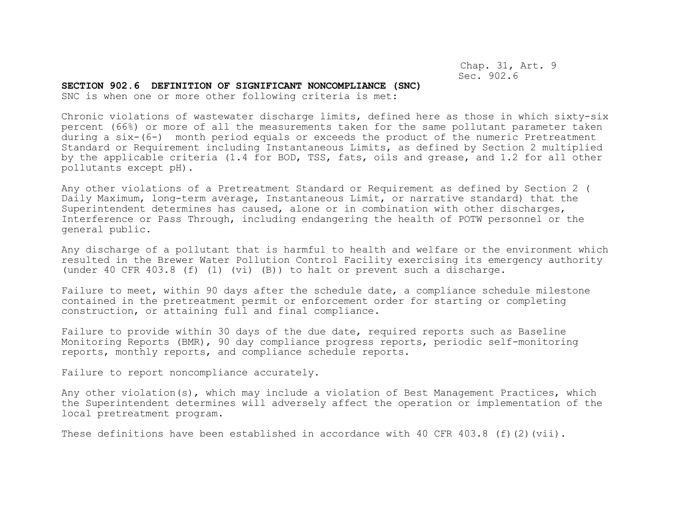Chap. 31, Art. 9 Sec. 902.6

#### **SECTION 902.6 DEFINITION OF SIGNIFICANT NONCOMPLIANCE (SNC)**

SNC is when one or more other following criteria is met:

Chronic violations of wastewater discharge limits, defined here as those in which sixty-six percent (66%) or more of all the measurements taken for the same pollutant parameter taken during a six-(6-) month period equals or exceeds the product of the numeric Pretreatment Standard or Requirement including Instantaneous Limits, as defined by Section 2 multiplied by the applicable criteria (1.4 for BOD, TSS, fats, oils and grease, and 1.2 for all other pollutants except pH).

Any other violations of a Pretreatment Standard or Requirement as defined by Section 2 ( Daily Maximum, long-term average, Instantaneous Limit, or narrative standard) that the Superintendent determines has caused, alone or in combination with other discharges, Interference or Pass Through, including endangering the health of POTW personnel or the general public.

Any discharge of a pollutant that is harmful to health and welfare or the environment which resulted in the Brewer Water Pollution Control Facility exercising its emergency authority (under 40 CFR 403.8 (f) (1) (vi) (B)) to halt or prevent such a discharge.

Failure to meet, within 90 days after the schedule date, a compliance schedule milestone contained in the pretreatment permit or enforcement order for starting or completing construction, or attaining full and final compliance.

Failure to provide within 30 days of the due date, required reports such as Baseline Monitoring Reports (BMR), 90 day compliance progress reports, periodic self-monitoring reports, monthly reports, and compliance schedule reports.

Failure to report noncompliance accurately.

Any other violation(s), which may include a violation of Best Management Practices, which the Superintendent determines will adversely affect the operation or implementation of the local pretreatment program.

These definitions have been established in accordance with 40 CFR 403.8 (f)(2)(vii).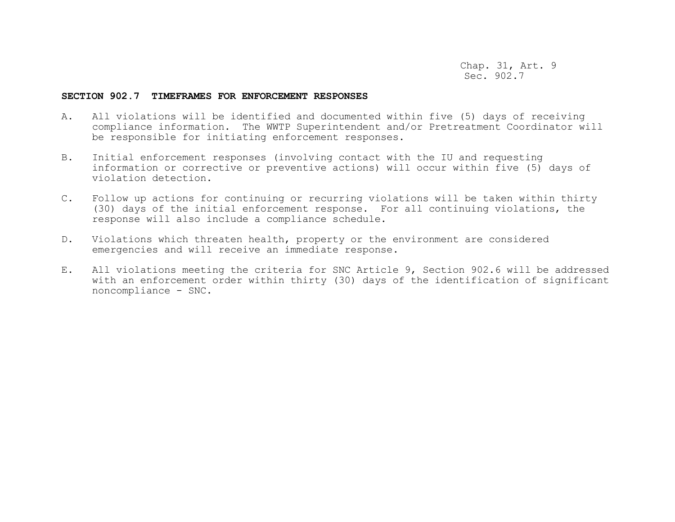Chap. 31, Art. 9 Sec. 902.7

#### **SECTION 902.7 TIMEFRAMES FOR ENFORCEMENT RESPONSES**

- A. All violations will be identified and documented within five (5) days of receiving compliance information. The WWTP Superintendent and/or Pretreatment Coordinator will be responsible for initiating enforcement responses.
- B. Initial enforcement responses (involving contact with the IU and requesting information or corrective or preventive actions) will occur within five (5) days of violation detection.
- C. Follow up actions for continuing or recurring violations will be taken within thirty (30) days of the initial enforcement response. For all continuing violations, the response will also include a compliance schedule.
- D. Violations which threaten health, property or the environment are considered emergencies and will receive an immediate response.
- E. All violations meeting the criteria for SNC Article 9, Section 902.6 will be addressed with an enforcement order within thirty (30) days of the identification of significant noncompliance - SNC.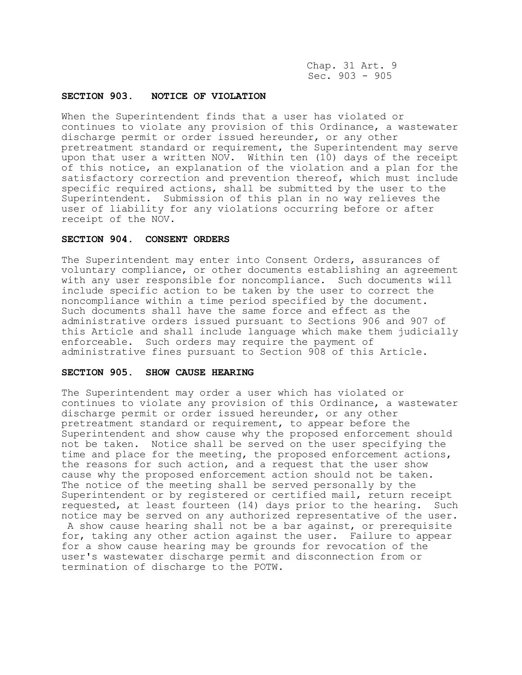Chap. 31 Art. 9 Sec. 903 - 905

## **SECTION 903. NOTICE OF VIOLATION**

When the Superintendent finds that a user has violated or continues to violate any provision of this Ordinance, a wastewater discharge permit or order issued hereunder, or any other pretreatment standard or requirement, the Superintendent may serve upon that user a written NOV. Within ten (10) days of the receipt of this notice, an explanation of the violation and a plan for the satisfactory correction and prevention thereof, which must include specific required actions, shall be submitted by the user to the Superintendent. Submission of this plan in no way relieves the user of liability for any violations occurring before or after receipt of the NOV.

## **SECTION 904. CONSENT ORDERS**

The Superintendent may enter into Consent Orders, assurances of voluntary compliance, or other documents establishing an agreement with any user responsible for noncompliance. Such documents will include specific action to be taken by the user to correct the noncompliance within a time period specified by the document. Such documents shall have the same force and effect as the administrative orders issued pursuant to Sections 906 and 907 of this Article and shall include language which make them judicially enforceable. Such orders may require the payment of administrative fines pursuant to Section 908 of this Article.

## **SECTION 905. SHOW CAUSE HEARING**

The Superintendent may order a user which has violated or continues to violate any provision of this Ordinance, a wastewater discharge permit or order issued hereunder, or any other pretreatment standard or requirement, to appear before the Superintendent and show cause why the proposed enforcement should not be taken. Notice shall be served on the user specifying the time and place for the meeting, the proposed enforcement actions, the reasons for such action, and a request that the user show cause why the proposed enforcement action should not be taken. The notice of the meeting shall be served personally by the Superintendent or by registered or certified mail, return receipt requested, at least fourteen (14) days prior to the hearing. Such notice may be served on any authorized representative of the user. A show cause hearing shall not be a bar against, or prerequisite for, taking any other action against the user. Failure to appear for a show cause hearing may be grounds for revocation of the user's wastewater discharge permit and disconnection from or termination of discharge to the POTW.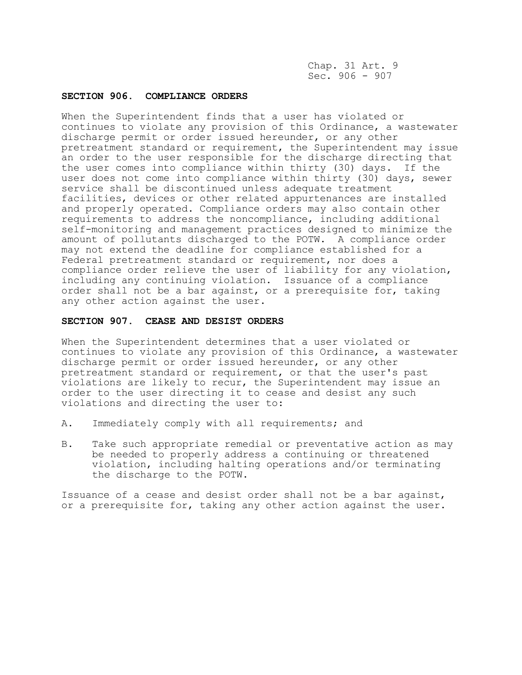Chap. 31 Art. 9 Sec. 906 - 907

## **SECTION 906. COMPLIANCE ORDERS**

When the Superintendent finds that a user has violated or continues to violate any provision of this Ordinance, a wastewater discharge permit or order issued hereunder, or any other pretreatment standard or requirement, the Superintendent may issue an order to the user responsible for the discharge directing that the user comes into compliance within thirty (30) days. If the user does not come into compliance within thirty (30) days, sewer service shall be discontinued unless adequate treatment facilities, devices or other related appurtenances are installed and properly operated. Compliance orders may also contain other requirements to address the noncompliance, including additional self-monitoring and management practices designed to minimize the amount of pollutants discharged to the POTW. A compliance order may not extend the deadline for compliance established for a Federal pretreatment standard or requirement, nor does a compliance order relieve the user of liability for any violation, including any continuing violation. Issuance of a compliance order shall not be a bar against, or a prerequisite for, taking any other action against the user.

#### **SECTION 907. CEASE AND DESIST ORDERS**

When the Superintendent determines that a user violated or continues to violate any provision of this Ordinance, a wastewater discharge permit or order issued hereunder, or any other pretreatment standard or requirement, or that the user's past violations are likely to recur, the Superintendent may issue an order to the user directing it to cease and desist any such violations and directing the user to:

- A. Immediately comply with all requirements; and
- B. Take such appropriate remedial or preventative action as may be needed to properly address a continuing or threatened violation, including halting operations and/or terminating the discharge to the POTW.

Issuance of a cease and desist order shall not be a bar against, or a prerequisite for, taking any other action against the user.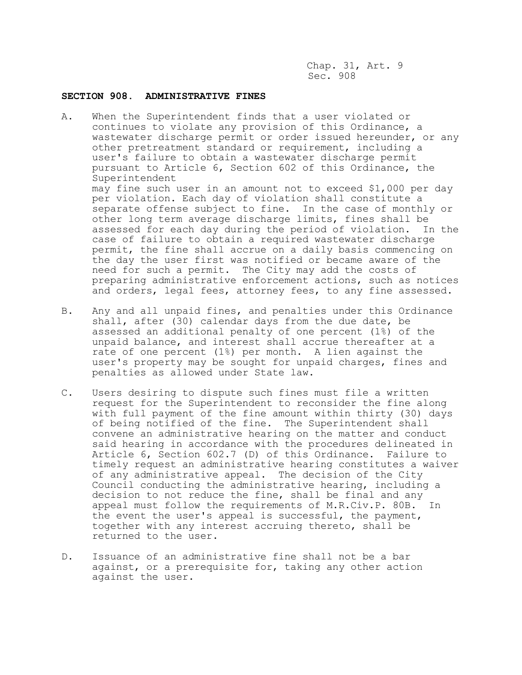Chap. 31, Art. 9 Sec. 908

## **SECTION 908. ADMINISTRATIVE FINES**

- A. When the Superintendent finds that a user violated or continues to violate any provision of this Ordinance, a wastewater discharge permit or order issued hereunder, or any other pretreatment standard or requirement, including a user's failure to obtain a wastewater discharge permit pursuant to Article 6, Section 602 of this Ordinance, the Superintendent may fine such user in an amount not to exceed \$1,000 per day per violation. Each day of violation shall constitute a separate offense subject to fine. In the case of monthly or other long term average discharge limits, fines shall be assessed for each day during the period of violation. In the case of failure to obtain a required wastewater discharge permit, the fine shall accrue on a daily basis commencing on the day the user first was notified or became aware of the need for such a permit. The City may add the costs of preparing administrative enforcement actions, such as notices and orders, legal fees, attorney fees, to any fine assessed.
- B. Any and all unpaid fines, and penalties under this Ordinance shall, after (30) calendar days from the due date, be assessed an additional penalty of one percent (1%) of the unpaid balance, and interest shall accrue thereafter at a rate of one percent (1%) per month. A lien against the user's property may be sought for unpaid charges, fines and penalties as allowed under State law.
- C. Users desiring to dispute such fines must file a written request for the Superintendent to reconsider the fine along with full payment of the fine amount within thirty (30) days of being notified of the fine. The Superintendent shall convene an administrative hearing on the matter and conduct said hearing in accordance with the procedures delineated in Article 6, Section 602.7 (D) of this Ordinance. Failure to timely request an administrative hearing constitutes a waiver of any administrative appeal. The decision of the City Council conducting the administrative hearing, including a decision to not reduce the fine, shall be final and any appeal must follow the requirements of M.R.Civ.P. 80B. In the event the user's appeal is successful, the payment, together with any interest accruing thereto, shall be returned to the user.
- D. Issuance of an administrative fine shall not be a bar against, or a prerequisite for, taking any other action against the user.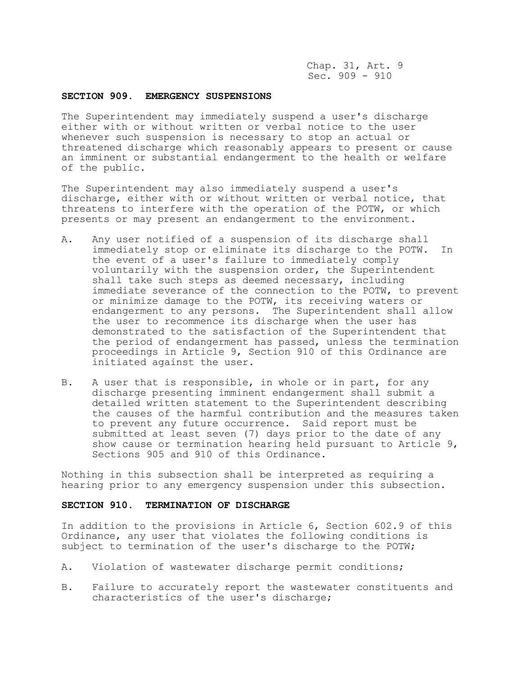Chap. 31, Art. 9 Sec. 909 - 910

### **SECTION 909. EMERGENCY SUSPENSIONS**

The Superintendent may immediately suspend a user's discharge either with or without written or verbal notice to the user whenever such suspension is necessary to stop an actual or threatened discharge which reasonably appears to present or cause an imminent or substantial endangerment to the health or welfare of the public.

The Superintendent may also immediately suspend a user's discharge, either with or without written or verbal notice, that threatens to interfere with the operation of the POTW, or which presents or may present an endangerment to the environment.

- A. Any user notified of a suspension of its discharge shall immediately stop or eliminate its discharge to the POTW. In the event of a user's failure to immediately comply voluntarily with the suspension order, the Superintendent shall take such steps as deemed necessary, including immediate severance of the connection to the POTW, to prevent or minimize damage to the POTW, its receiving waters or endangerment to any persons. The Superintendent shall allow the user to recommence its discharge when the user has demonstrated to the satisfaction of the Superintendent that the period of endangerment has passed, unless the termination proceedings in Article 9, Section 910 of this Ordinance are initiated against the user.
- B. A user that is responsible, in whole or in part, for any discharge presenting imminent endangerment shall submit a detailed written statement to the Superintendent describing the causes of the harmful contribution and the measures taken to prevent any future occurrence. Said report must be submitted at least seven (7) days prior to the date of any show cause or termination hearing held pursuant to Article 9, Sections 905 and 910 of this Ordinance.

Nothing in this subsection shall be interpreted as requiring a hearing prior to any emergency suspension under this subsection.

## **SECTION 910. TERMINATION OF DISCHARGE**

In addition to the provisions in Article 6, Section 602.9 of this Ordinance, any user that violates the following conditions is subject to termination of the user's discharge to the POTW;

- A. Violation of wastewater discharge permit conditions;
- B. Failure to accurately report the wastewater constituents and characteristics of the user's discharge;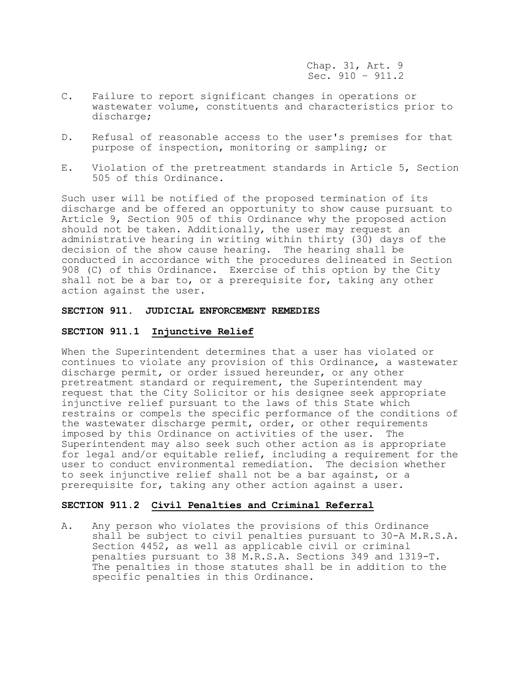Chap. 31, Art. 9 Sec. 910 – 911.2

- C. Failure to report significant changes in operations or wastewater volume, constituents and characteristics prior to discharge;
- D. Refusal of reasonable access to the user's premises for that purpose of inspection, monitoring or sampling; or
- E. Violation of the pretreatment standards in Article 5, Section 505 of this Ordinance.

Such user will be notified of the proposed termination of its discharge and be offered an opportunity to show cause pursuant to Article 9, Section 905 of this Ordinance why the proposed action should not be taken. Additionally, the user may request an administrative hearing in writing within thirty (30) days of the decision of the show cause hearing. The hearing shall be conducted in accordance with the procedures delineated in Section 908 (C) of this Ordinance. Exercise of this option by the City shall not be a bar to, or a prerequisite for, taking any other action against the user.

#### **SECTION 911. JUDICIAL ENFORCEMENT REMEDIES**

#### **SECTION 911.1 Injunctive Relief**

When the Superintendent determines that a user has violated or continues to violate any provision of this Ordinance, a wastewater discharge permit, or order issued hereunder, or any other pretreatment standard or requirement, the Superintendent may request that the City Solicitor or his designee seek appropriate injunctive relief pursuant to the laws of this State which restrains or compels the specific performance of the conditions of the wastewater discharge permit, order, or other requirements imposed by this Ordinance on activities of the user. The Superintendent may also seek such other action as is appropriate for legal and/or equitable relief, including a requirement for the user to conduct environmental remediation. The decision whether to seek injunctive relief shall not be a bar against, or a prerequisite for, taking any other action against a user.

## **SECTION 911.2 Civil Penalties and Criminal Referral**

A. Any person who violates the provisions of this Ordinance shall be subject to civil penalties pursuant to 30-A M.R.S.A. Section 4452, as well as applicable civil or criminal penalties pursuant to 38 M.R.S.A. Sections 349 and 1319-T. The penalties in those statutes shall be in addition to the specific penalties in this Ordinance.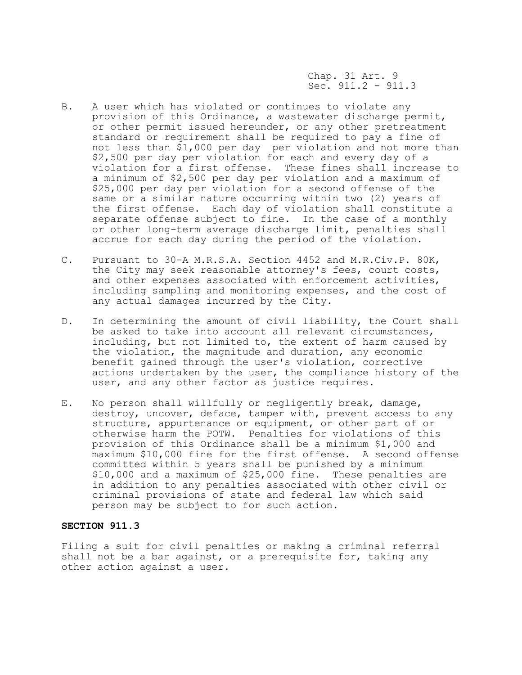Chap. 31 Art. 9 Sec.  $911.2 - 911.3$ 

- B. A user which has violated or continues to violate any provision of this Ordinance, a wastewater discharge permit, or other permit issued hereunder, or any other pretreatment standard or requirement shall be required to pay a fine of not less than \$1,000 per day per violation and not more than \$2,500 per day per violation for each and every day of a violation for a first offense. These fines shall increase to a minimum of \$2,500 per day per violation and a maximum of \$25,000 per day per violation for a second offense of the same or a similar nature occurring within two (2) years of the first offense. Each day of violation shall constitute a separate offense subject to fine. In the case of a monthly or other long-term average discharge limit, penalties shall accrue for each day during the period of the violation.
- C. Pursuant to 30-A M.R.S.A. Section 4452 and M.R.Civ.P. 80K, the City may seek reasonable attorney's fees, court costs, and other expenses associated with enforcement activities, including sampling and monitoring expenses, and the cost of any actual damages incurred by the City.
- D. In determining the amount of civil liability, the Court shall be asked to take into account all relevant circumstances, including, but not limited to, the extent of harm caused by the violation, the magnitude and duration, any economic benefit gained through the user's violation, corrective actions undertaken by the user, the compliance history of the user, and any other factor as justice requires.
- E. No person shall willfully or negligently break, damage, destroy, uncover, deface, tamper with, prevent access to any structure, appurtenance or equipment, or other part of or otherwise harm the POTW. Penalties for violations of this provision of this Ordinance shall be a minimum \$1,000 and maximum \$10,000 fine for the first offense. A second offense committed within 5 years shall be punished by a minimum \$10,000 and a maximum of \$25,000 fine. These penalties are in addition to any penalties associated with other civil or criminal provisions of state and federal law which said person may be subject to for such action.

## **SECTION 911.3**

Filing a suit for civil penalties or making a criminal referral shall not be a bar against, or a prerequisite for, taking any other action against a user.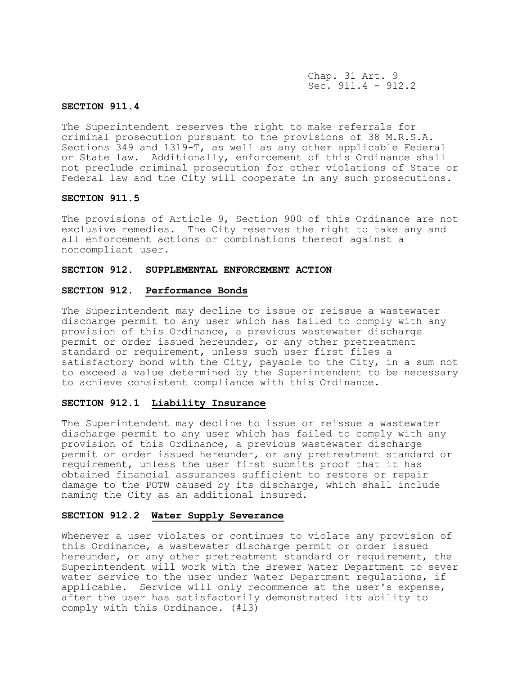Chap. 31 Art. 9 Sec. 911.4 - 912.2

## **SECTION 911.4**

The Superintendent reserves the right to make referrals for criminal prosecution pursuant to the provisions of 38 M.R.S.A. Sections 349 and 1319-T, as well as any other applicable Federal or State law. Additionally, enforcement of this Ordinance shall not preclude criminal prosecution for other violations of State or Federal law and the City will cooperate in any such prosecutions.

### **SECTION 911.5**

The provisions of Article 9, Section 900 of this Ordinance are not exclusive remedies. The City reserves the right to take any and all enforcement actions or combinations thereof against a noncompliant user.

#### **SECTION 912. SUPPLEMENTAL ENFORCEMENT ACTION**

## **SECTION 912. Performance Bonds**

The Superintendent may decline to issue or reissue a wastewater discharge permit to any user which has failed to comply with any provision of this Ordinance, a previous wastewater discharge permit or order issued hereunder, or any other pretreatment standard or requirement, unless such user first files a satisfactory bond with the City, payable to the City, in a sum not to exceed a value determined by the Superintendent to be necessary to achieve consistent compliance with this Ordinance.

## **SECTION 912.1 Liability Insurance**

The Superintendent may decline to issue or reissue a wastewater discharge permit to any user which has failed to comply with any provision of this Ordinance, a previous wastewater discharge permit or order issued hereunder, or any pretreatment standard or requirement, unless the user first submits proof that it has obtained financial assurances sufficient to restore or repair damage to the POTW caused by its discharge, which shall include naming the City as an additional insured.

## **SECTION 912.2 Water Supply Severance**

Whenever a user violates or continues to violate any provision of this Ordinance, a wastewater discharge permit or order issued hereunder, or any other pretreatment standard or requirement, the Superintendent will work with the Brewer Water Department to sever water service to the user under Water Department regulations, if applicable. Service will only recommence at the user's expense, after the user has satisfactorily demonstrated its ability to comply with this Ordinance. (#13)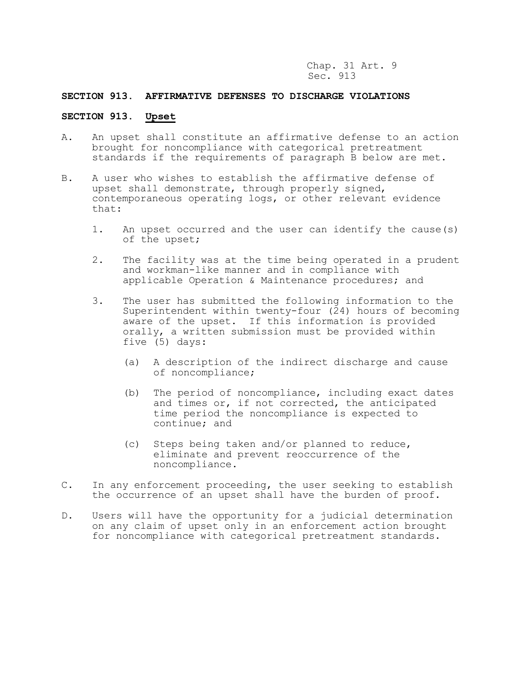Chap. 31 Art. 9 Sec. 913

## **SECTION 913. AFFIRMATIVE DEFENSES TO DISCHARGE VIOLATIONS**

# **SECTION 913. Upset**

- A. An upset shall constitute an affirmative defense to an action brought for noncompliance with categorical pretreatment standards if the requirements of paragraph B below are met.
- B. A user who wishes to establish the affirmative defense of upset shall demonstrate, through properly signed, contemporaneous operating logs, or other relevant evidence that:
	- 1. An upset occurred and the user can identify the cause(s) of the upset;
	- 2. The facility was at the time being operated in a prudent and workman-like manner and in compliance with applicable Operation & Maintenance procedures; and
	- 3. The user has submitted the following information to the Superintendent within twenty-four (24) hours of becoming aware of the upset. If this information is provided orally, a written submission must be provided within five (5) days:
		- (a) A description of the indirect discharge and cause of noncompliance;
		- (b) The period of noncompliance, including exact dates and times or, if not corrected, the anticipated time period the noncompliance is expected to continue; and
		- (c) Steps being taken and/or planned to reduce, eliminate and prevent reoccurrence of the noncompliance.
- C. In any enforcement proceeding, the user seeking to establish the occurrence of an upset shall have the burden of proof.
- D. Users will have the opportunity for a judicial determination on any claim of upset only in an enforcement action brought for noncompliance with categorical pretreatment standards.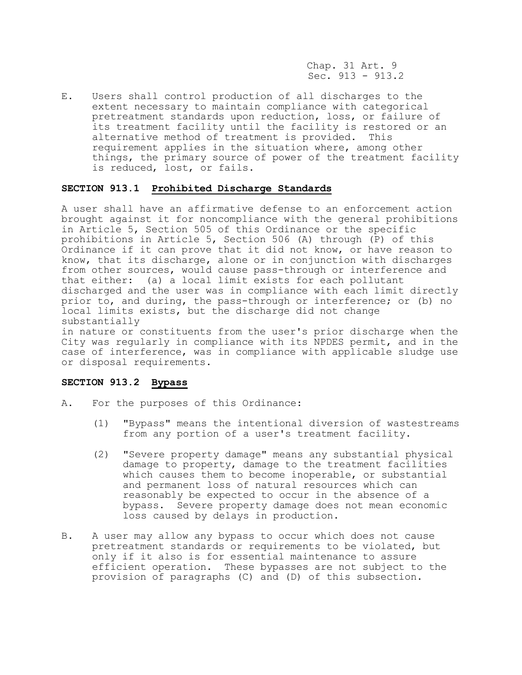Chap. 31 Art. 9 Sec. 913 - 913.2

E. Users shall control production of all discharges to the extent necessary to maintain compliance with categorical pretreatment standards upon reduction, loss, or failure of its treatment facility until the facility is restored or an alternative method of treatment is provided. This requirement applies in the situation where, among other things, the primary source of power of the treatment facility is reduced, lost, or fails.

### **SECTION 913.1 Prohibited Discharge Standards**

A user shall have an affirmative defense to an enforcement action brought against it for noncompliance with the general prohibitions in Article 5, Section 505 of this Ordinance or the specific prohibitions in Article 5, Section 506 (A) through (P) of this Ordinance if it can prove that it did not know, or have reason to know, that its discharge, alone or in conjunction with discharges from other sources, would cause pass-through or interference and that either: (a) a local limit exists for each pollutant discharged and the user was in compliance with each limit directly prior to, and during, the pass-through or interference; or (b) no local limits exists, but the discharge did not change substantially

in nature or constituents from the user's prior discharge when the City was regularly in compliance with its NPDES permit, and in the case of interference, was in compliance with applicable sludge use or disposal requirements.

### **SECTION 913.2 Bypass**

- A. For the purposes of this Ordinance:
	- (1) "Bypass" means the intentional diversion of wastestreams from any portion of a user's treatment facility.
	- (2) "Severe property damage" means any substantial physical damage to property, damage to the treatment facilities which causes them to become inoperable, or substantial and permanent loss of natural resources which can reasonably be expected to occur in the absence of a bypass. Severe property damage does not mean economic loss caused by delays in production.
- B. A user may allow any bypass to occur which does not cause pretreatment standards or requirements to be violated, but only if it also is for essential maintenance to assure efficient operation. These bypasses are not subject to the provision of paragraphs (C) and (D) of this subsection.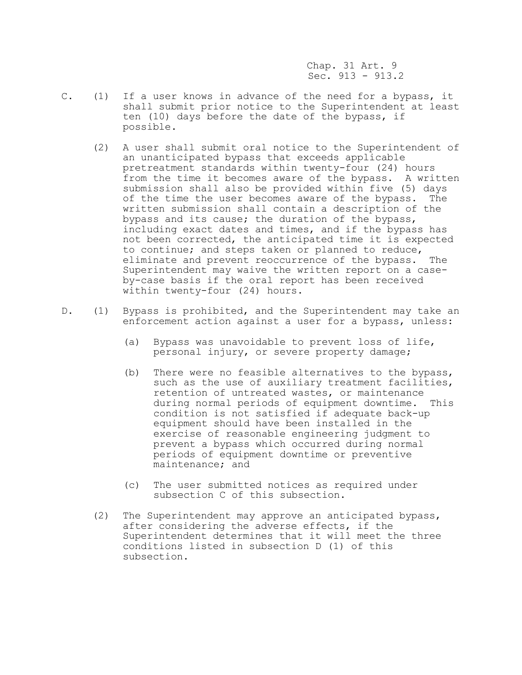Chap. 31 Art. 9 Sec. 913 - 913.2

- C. (1) If a user knows in advance of the need for a bypass, it shall submit prior notice to the Superintendent at least ten (10) days before the date of the bypass, if possible.
	- (2) A user shall submit oral notice to the Superintendent of an unanticipated bypass that exceeds applicable pretreatment standards within twenty-four (24) hours from the time it becomes aware of the bypass. A written submission shall also be provided within five (5) days of the time the user becomes aware of the bypass. The written submission shall contain a description of the bypass and its cause; the duration of the bypass, including exact dates and times, and if the bypass has not been corrected, the anticipated time it is expected to continue; and steps taken or planned to reduce, eliminate and prevent reoccurrence of the bypass. The Superintendent may waive the written report on a caseby-case basis if the oral report has been received within twenty-four (24) hours.
- D. (1) Bypass is prohibited, and the Superintendent may take an enforcement action against a user for a bypass, unless:
	- (a) Bypass was unavoidable to prevent loss of life, personal injury, or severe property damage;
	- (b) There were no feasible alternatives to the bypass, such as the use of auxiliary treatment facilities, retention of untreated wastes, or maintenance during normal periods of equipment downtime. This condition is not satisfied if adequate back-up equipment should have been installed in the exercise of reasonable engineering judgment to prevent a bypass which occurred during normal periods of equipment downtime or preventive maintenance; and
	- (c) The user submitted notices as required under subsection C of this subsection.
	- (2) The Superintendent may approve an anticipated bypass, after considering the adverse effects, if the Superintendent determines that it will meet the three conditions listed in subsection D (1) of this subsection.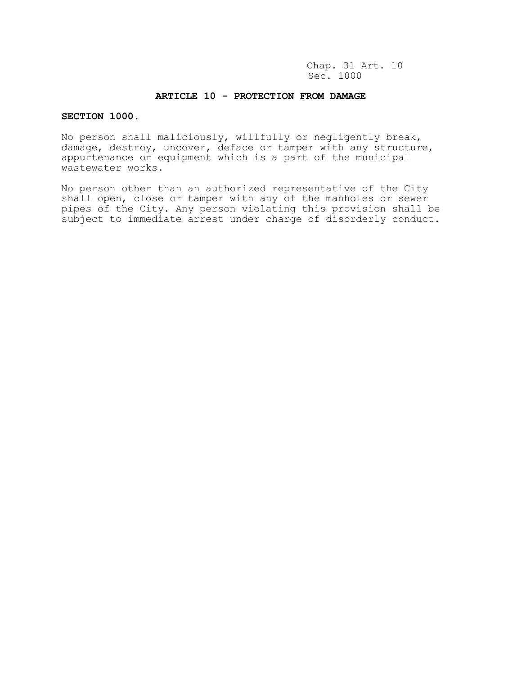Chap. 31 Art. 10 Sec. 1000

## **ARTICLE 10 - PROTECTION FROM DAMAGE**

## **SECTION 1000.**

No person shall maliciously, willfully or negligently break, damage, destroy, uncover, deface or tamper with any structure, appurtenance or equipment which is a part of the municipal wastewater works.

No person other than an authorized representative of the City shall open, close or tamper with any of the manholes or sewer pipes of the City. Any person violating this provision shall be subject to immediate arrest under charge of disorderly conduct.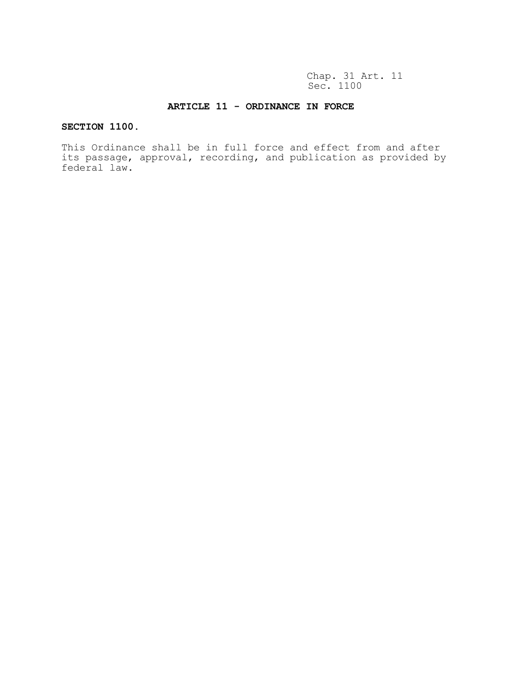Chap. 31 Art. 11 Sec. 1100

## **ARTICLE 11 - ORDINANCE IN FORCE**

# **SECTION 1100.**

This Ordinance shall be in full force and effect from and after its passage, approval, recording, and publication as provided by federal law.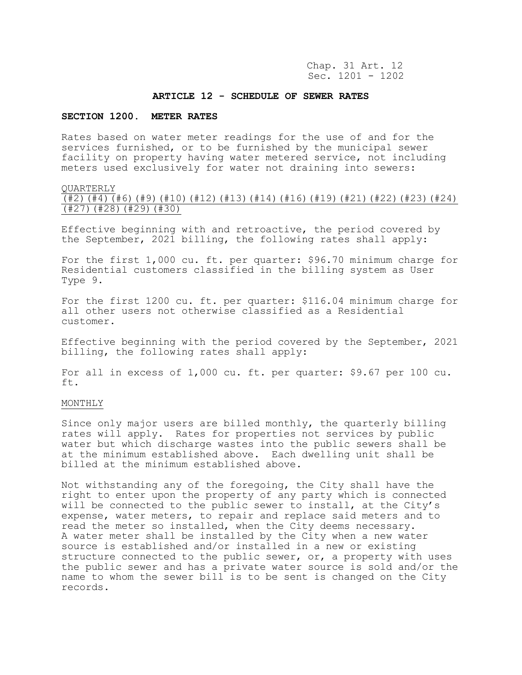Chap. 31 Art. 12 Sec. 1201 - 1202

#### **ARTICLE 12 - SCHEDULE OF SEWER RATES**

#### **SECTION 1200. METER RATES**

Rates based on water meter readings for the use of and for the services furnished, or to be furnished by the municipal sewer facility on property having water metered service, not including meters used exclusively for water not draining into sewers:

#### QUARTERLY

(#2)(#4)(#6)(#9)(#10)(#12)(#13)(#14)(#16)(#19)(#21)(#22)(#23)(#24) (#27)(#28)(#29)(#30)

Effective beginning with and retroactive, the period covered by the September, 2021 billing, the following rates shall apply:

For the first 1,000 cu. ft. per quarter: \$96.70 minimum charge for Residential customers classified in the billing system as User Type 9.

For the first 1200 cu. ft. per quarter: \$116.04 minimum charge for all other users not otherwise classified as a Residential customer.

Effective beginning with the period covered by the September, 2021 billing, the following rates shall apply:

For all in excess of 1,000 cu. ft. per quarter: \$9.67 per 100 cu. ft.

## MONTHLY

Since only major users are billed monthly, the quarterly billing rates will apply. Rates for properties not services by public water but which discharge wastes into the public sewers shall be at the minimum established above. Each dwelling unit shall be billed at the minimum established above.

Not withstanding any of the foregoing, the City shall have the right to enter upon the property of any party which is connected will be connected to the public sewer to install, at the City's expense, water meters, to repair and replace said meters and to read the meter so installed, when the City deems necessary. A water meter shall be installed by the City when a new water source is established and/or installed in a new or existing structure connected to the public sewer, or, a property with uses the public sewer and has a private water source is sold and/or the name to whom the sewer bill is to be sent is changed on the City records.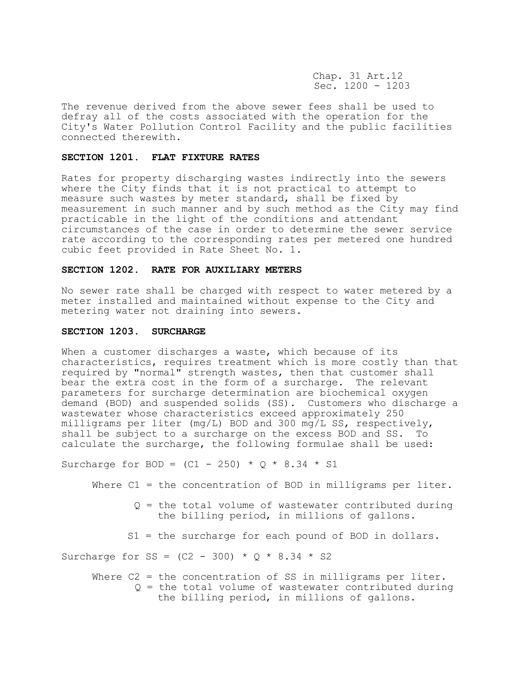Chap. 31 Art.12 Sec. 1200 - 1203

The revenue derived from the above sewer fees shall be used to defray all of the costs associated with the operation for the City's Water Pollution Control Facility and the public facilities connected therewith.

### **SECTION 1201. FLAT FIXTURE RATES**

Rates for property discharging wastes indirectly into the sewers where the City finds that it is not practical to attempt to measure such wastes by meter standard, shall be fixed by measurement in such manner and by such method as the City may find practicable in the light of the conditions and attendant circumstances of the case in order to determine the sewer service rate according to the corresponding rates per metered one hundred cubic feet provided in Rate Sheet No. 1.

#### **SECTION 1202. RATE FOR AUXILIARY METERS**

No sewer rate shall be charged with respect to water metered by a meter installed and maintained without expense to the City and metering water not draining into sewers.

#### **SECTION 1203. SURCHARGE**

When a customer discharges a waste, which because of its characteristics, requires treatment which is more costly than that required by "normal" strength wastes, then that customer shall bear the extra cost in the form of a surcharge. The relevant parameters for surcharge determination are biochemical oxygen demand (BOD) and suspended solids (SS). Customers who discharge a wastewater whose characteristics exceed approximately 250 milligrams per liter (mg/L) BOD and 300 mg/L SS, respectively, shall be subject to a surcharge on the excess BOD and SS. To calculate the surcharge, the following formulae shall be used:

Surcharge for BOD =  $(C1 - 250) * Q * 8.34 * S1$ 

Where C1 = the concentration of BOD in milligrams per liter.

- Q = the total volume of wastewater contributed during the billing period, in millions of gallons.
- S1 = the surcharge for each pound of BOD in dollars.

Surcharge for SS =  $(C2 - 300) * 0 * 8.34 * S2$ 

Where C2 = the concentration of SS in milligrams per liter. Q = the total volume of wastewater contributed during the billing period, in millions of gallons.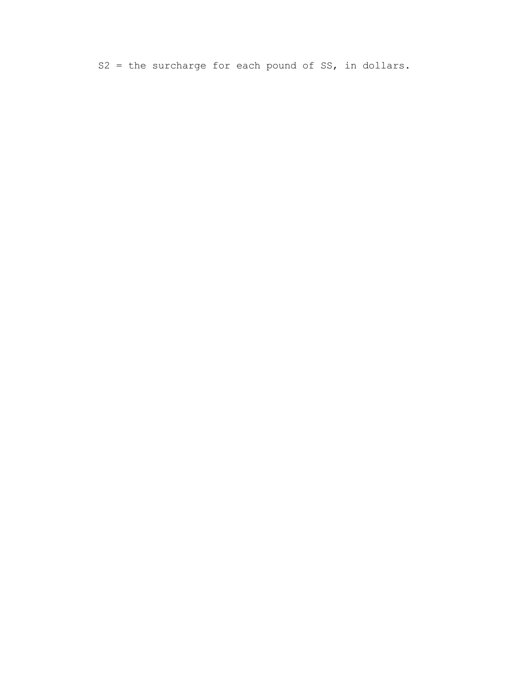$S2 =$  the surcharge for each pound of SS, in dollars.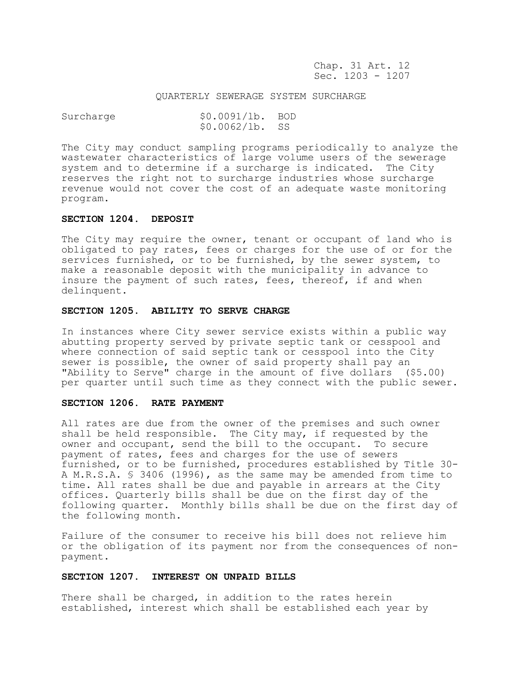Chap. 31 Art. 12 Sec. 1203 - 1207

#### QUARTERLY SEWERAGE SYSTEM SURCHARGE

| Surcharge | \$0.0091/lb. BOD |  |
|-----------|------------------|--|
|           | $$0.0062/1b.$ SS |  |

The City may conduct sampling programs periodically to analyze the wastewater characteristics of large volume users of the sewerage system and to determine if a surcharge is indicated. The City reserves the right not to surcharge industries whose surcharge revenue would not cover the cost of an adequate waste monitoring program.

#### **SECTION 1204. DEPOSIT**

The City may require the owner, tenant or occupant of land who is obligated to pay rates, fees or charges for the use of or for the services furnished, or to be furnished, by the sewer system, to make a reasonable deposit with the municipality in advance to insure the payment of such rates, fees, thereof, if and when delinquent.

#### **SECTION 1205. ABILITY TO SERVE CHARGE**

In instances where City sewer service exists within a public way abutting property served by private septic tank or cesspool and where connection of said septic tank or cesspool into the City sewer is possible, the owner of said property shall pay an "Ability to Serve" charge in the amount of five dollars (\$5.00) per quarter until such time as they connect with the public sewer.

#### **SECTION 1206. RATE PAYMENT**

All rates are due from the owner of the premises and such owner shall be held responsible. The City may, if requested by the owner and occupant, send the bill to the occupant. To secure payment of rates, fees and charges for the use of sewers furnished, or to be furnished, procedures established by Title 30- A M.R.S.A. § 3406 (1996), as the same may be amended from time to time. All rates shall be due and payable in arrears at the City offices. Quarterly bills shall be due on the first day of the following quarter. Monthly bills shall be due on the first day of the following month.

Failure of the consumer to receive his bill does not relieve him or the obligation of its payment nor from the consequences of nonpayment.

### **SECTION 1207. INTEREST ON UNPAID BILLS**

There shall be charged, in addition to the rates herein established, interest which shall be established each year by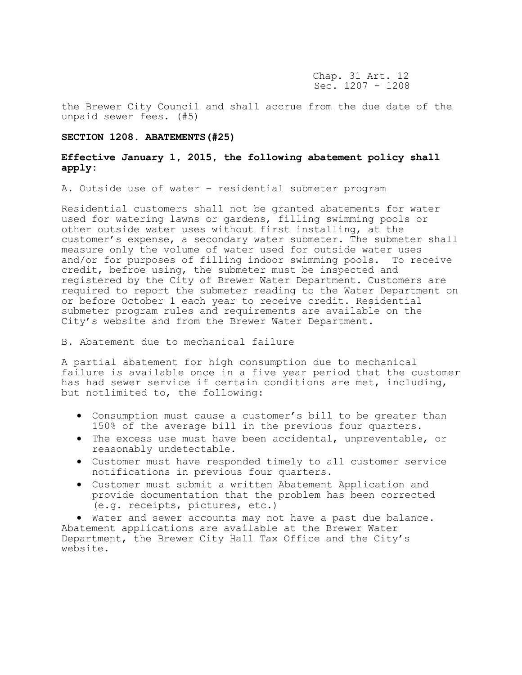Chap. 31 Art. 12 Sec. 1207 - 1208

the Brewer City Council and shall accrue from the due date of the unpaid sewer fees. (#5)

#### **SECTION 1208. ABATEMENTS(#25)**

## **Effective January 1, 2015, the following abatement policy shall apply:**

A. Outside use of water – residential submeter program

Residential customers shall not be granted abatements for water used for watering lawns or gardens, filling swimming pools or other outside water uses without first installing, at the customer's expense, a secondary water submeter. The submeter shall measure only the volume of water used for outside water uses and/or for purposes of filling indoor swimming pools. To receive credit, befroe using, the submeter must be inspected and registered by the City of Brewer Water Department. Customers are required to report the submeter reading to the Water Department on or before October 1 each year to receive credit. Residential submeter program rules and requirements are available on the City's website and from the Brewer Water Department.

B. Abatement due to mechanical failure

A partial abatement for high consumption due to mechanical failure is available once in a five year period that the customer has had sewer service if certain conditions are met, including, but notlimited to, the following:

- Consumption must cause a customer's bill to be greater than 150% of the average bill in the previous four quarters.
- The excess use must have been accidental, unpreventable, or reasonably undetectable.
- Customer must have responded timely to all customer service notifications in previous four quarters.
- Customer must submit a written Abatement Application and provide documentation that the problem has been corrected (e.g. receipts, pictures, etc.)

• Water and sewer accounts may not have a past due balance. Abatement applications are available at the Brewer Water Department, the Brewer City Hall Tax Office and the City's website.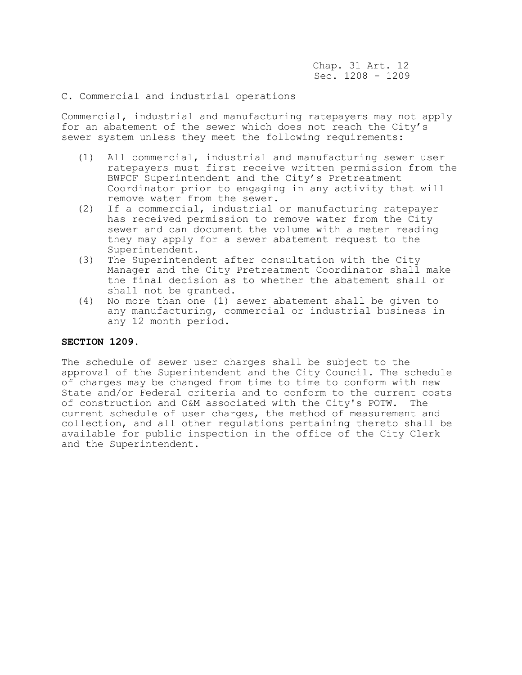Chap. 31 Art. 12 Sec. 1208 - 1209

## C. Commercial and industrial operations

Commercial, industrial and manufacturing ratepayers may not apply for an abatement of the sewer which does not reach the City's sewer system unless they meet the following requirements:

- (1) All commercial, industrial and manufacturing sewer user ratepayers must first receive written permission from the BWPCF Superintendent and the City's Pretreatment Coordinator prior to engaging in any activity that will remove water from the sewer.
- (2) If a commercial, industrial or manufacturing ratepayer has received permission to remove water from the City sewer and can document the volume with a meter reading they may apply for a sewer abatement request to the Superintendent.
- (3) The Superintendent after consultation with the City Manager and the City Pretreatment Coordinator shall make the final decision as to whether the abatement shall or shall not be granted.
- (4) No more than one (1) sewer abatement shall be given to any manufacturing, commercial or industrial business in any 12 month period.

## **SECTION 1209.**

The schedule of sewer user charges shall be subject to the approval of the Superintendent and the City Council. The schedule of charges may be changed from time to time to conform with new State and/or Federal criteria and to conform to the current costs of construction and O&M associated with the City's POTW. The current schedule of user charges, the method of measurement and collection, and all other regulations pertaining thereto shall be available for public inspection in the office of the City Clerk and the Superintendent.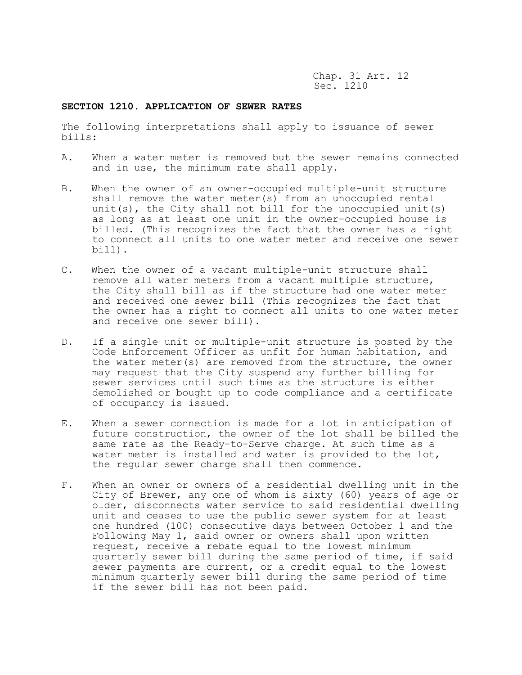Chap. 31 Art. 12 Sec. 1210

## **SECTION 1210. APPLICATION OF SEWER RATES**

The following interpretations shall apply to issuance of sewer bills:

- A. When a water meter is removed but the sewer remains connected and in use, the minimum rate shall apply.
- B. When the owner of an owner-occupied multiple-unit structure shall remove the water meter(s) from an unoccupied rental unit(s), the City shall not bill for the unoccupied unit(s) as long as at least one unit in the owner-occupied house is billed. (This recognizes the fact that the owner has a right to connect all units to one water meter and receive one sewer bill).
- C. When the owner of a vacant multiple-unit structure shall remove all water meters from a vacant multiple structure, the City shall bill as if the structure had one water meter and received one sewer bill (This recognizes the fact that the owner has a right to connect all units to one water meter and receive one sewer bill).
- D. If a single unit or multiple-unit structure is posted by the Code Enforcement Officer as unfit for human habitation, and the water meter(s) are removed from the structure, the owner may request that the City suspend any further billing for sewer services until such time as the structure is either demolished or bought up to code compliance and a certificate of occupancy is issued.
- E. When a sewer connection is made for a lot in anticipation of future construction, the owner of the lot shall be billed the same rate as the Ready-to-Serve charge. At such time as a water meter is installed and water is provided to the lot, the regular sewer charge shall then commence.
- F. When an owner or owners of a residential dwelling unit in the City of Brewer, any one of whom is sixty (60) years of age or older, disconnects water service to said residential dwelling unit and ceases to use the public sewer system for at least one hundred (100) consecutive days between October 1 and the Following May 1, said owner or owners shall upon written request, receive a rebate equal to the lowest minimum quarterly sewer bill during the same period of time, if said sewer payments are current, or a credit equal to the lowest minimum quarterly sewer bill during the same period of time if the sewer bill has not been paid.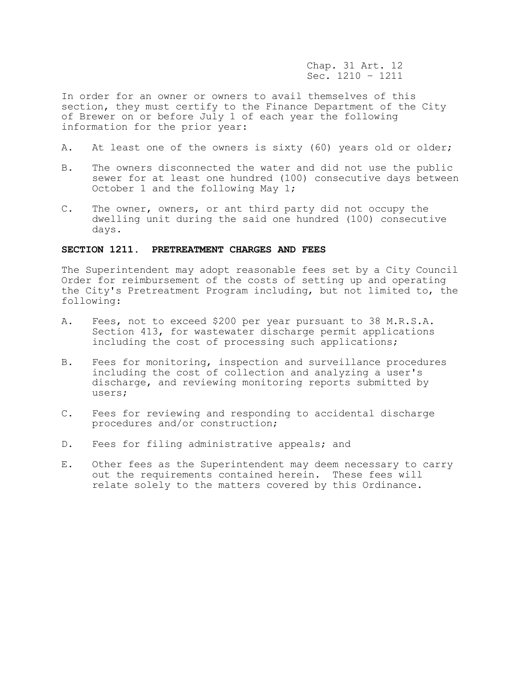Chap. 31 Art. 12 Sec. 1210 – 1211

In order for an owner or owners to avail themselves of this section, they must certify to the Finance Department of the City of Brewer on or before July 1 of each year the following information for the prior year:

- A. At least one of the owners is sixty (60) years old or older;
- B. The owners disconnected the water and did not use the public sewer for at least one hundred (100) consecutive days between October 1 and the following May 1;
- C. The owner, owners, or ant third party did not occupy the dwelling unit during the said one hundred (100) consecutive days.

## **SECTION 1211. PRETREATMENT CHARGES AND FEES**

The Superintendent may adopt reasonable fees set by a City Council Order for reimbursement of the costs of setting up and operating the City's Pretreatment Program including, but not limited to, the following:

- A. Fees, not to exceed \$200 per year pursuant to 38 M.R.S.A. Section 413, for wastewater discharge permit applications including the cost of processing such applications;
- B. Fees for monitoring, inspection and surveillance procedures including the cost of collection and analyzing a user's discharge, and reviewing monitoring reports submitted by users;
- C. Fees for reviewing and responding to accidental discharge procedures and/or construction;
- D. Fees for filing administrative appeals; and
- E. Other fees as the Superintendent may deem necessary to carry out the requirements contained herein. These fees will relate solely to the matters covered by this Ordinance.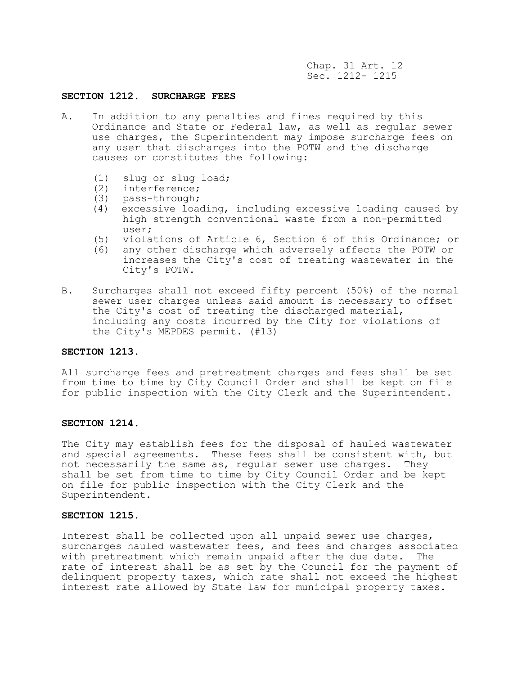Chap. 31 Art. 12 Sec. 1212- 1215

## **SECTION 1212. SURCHARGE FEES**

- A. In addition to any penalties and fines required by this Ordinance and State or Federal law, as well as regular sewer use charges, the Superintendent may impose surcharge fees on any user that discharges into the POTW and the discharge causes or constitutes the following:
	- (1) slug or slug load;
	- (2) interference;
	- (3) pass-through;
	- (4) excessive loading, including excessive loading caused by high strength conventional waste from a non-permitted user;
	- (5) violations of Article 6, Section 6 of this Ordinance; or
	- (6) any other discharge which adversely affects the POTW or increases the City's cost of treating wastewater in the City's POTW.
- B. Surcharges shall not exceed fifty percent (50%) of the normal sewer user charges unless said amount is necessary to offset the City's cost of treating the discharged material, including any costs incurred by the City for violations of the City's MEPDES permit. (#13)

## **SECTION 1213.**

All surcharge fees and pretreatment charges and fees shall be set from time to time by City Council Order and shall be kept on file for public inspection with the City Clerk and the Superintendent.

### **SECTION 1214.**

The City may establish fees for the disposal of hauled wastewater and special agreements. These fees shall be consistent with, but not necessarily the same as, regular sewer use charges. They shall be set from time to time by City Council Order and be kept on file for public inspection with the City Clerk and the Superintendent.

#### **SECTION 1215.**

Interest shall be collected upon all unpaid sewer use charges, surcharges hauled wastewater fees, and fees and charges associated with pretreatment which remain unpaid after the due date. The rate of interest shall be as set by the Council for the payment of delinquent property taxes, which rate shall not exceed the highest interest rate allowed by State law for municipal property taxes.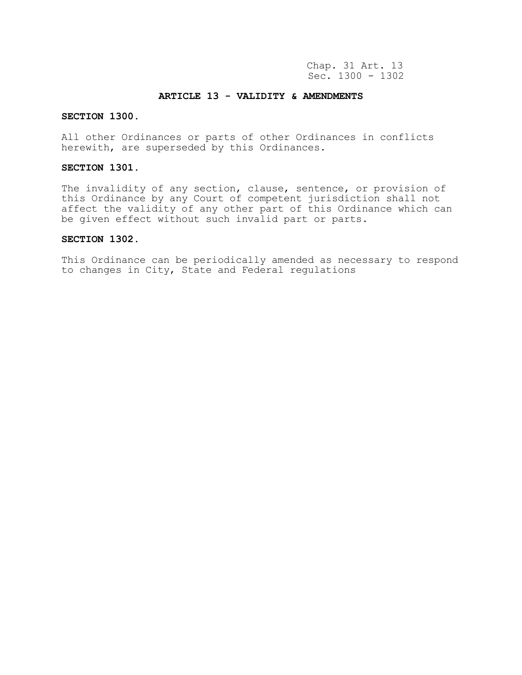Chap. 31 Art. 13 Sec. 1300 - 1302

## **ARTICLE 13 - VALIDITY & AMENDMENTS**

## **SECTION 1300.**

All other Ordinances or parts of other Ordinances in conflicts herewith, are superseded by this Ordinances.

## **SECTION 1301.**

The invalidity of any section, clause, sentence, or provision of this Ordinance by any Court of competent jurisdiction shall not affect the validity of any other part of this Ordinance which can be given effect without such invalid part or parts.

## **SECTION 1302.**

This Ordinance can be periodically amended as necessary to respond to changes in City, State and Federal regulations